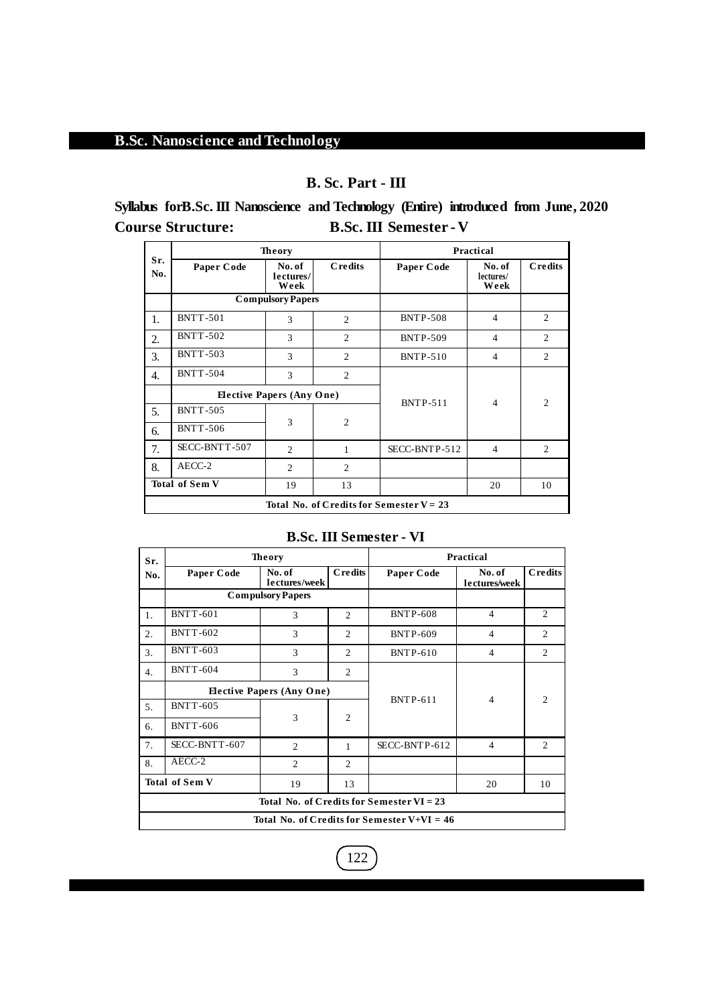# **B. Sc. Part - III**

**Syllabus forB.Sc. III Nanoscience and Technology (Entire) introduced from June, 2020 Course Structure: B.Sc. III Semester -V**

|            |                                            | <b>Theory</b>                    |                | Practical       |                             |                |  |  |  |  |
|------------|--------------------------------------------|----------------------------------|----------------|-----------------|-----------------------------|----------------|--|--|--|--|
| Sr.<br>No. | Paper Code                                 | No. of<br>lectures/<br>Week      | <b>Credits</b> | Paper Code      | No. of<br>lectures/<br>Week | <b>Credits</b> |  |  |  |  |
|            |                                            | <b>Compulsory Papers</b>         |                |                 |                             |                |  |  |  |  |
| 1.         | <b>BNTT-501</b>                            | 3                                | 2              | <b>BNTP-508</b> | $\overline{4}$              | $\overline{2}$ |  |  |  |  |
| 2.         | <b>BNTT-502</b>                            | 3<br>$\overline{c}$              |                | <b>BNTP-509</b> | $\overline{4}$              | $\overline{c}$ |  |  |  |  |
| 3.         | <b>BNTT-503</b>                            | 3                                | 2              | <b>BNTP-510</b> | $\overline{4}$              | 2              |  |  |  |  |
| 4.         | <b>BNTT-504</b>                            | 3                                | $\overline{c}$ |                 |                             |                |  |  |  |  |
|            |                                            | <b>Elective Papers (Any One)</b> |                |                 | $\overline{4}$              | $\overline{2}$ |  |  |  |  |
| 5.         | <b>BNTT-505</b>                            |                                  |                | <b>BNTP-511</b> |                             |                |  |  |  |  |
| 6.         | <b>BNTT-506</b>                            | 3                                | $\overline{2}$ |                 |                             |                |  |  |  |  |
| 7.         | SECC-BNTT-507                              | $\mathfrak{D}_{1}$               | 1              | SECC-BNTP-512   | $\overline{4}$              | $\overline{c}$ |  |  |  |  |
| 8.         | AECC-2                                     | $\mathfrak{D}_{\mathfrak{p}}$    | $\overline{c}$ |                 |                             |                |  |  |  |  |
|            | <b>Total of Sem V</b>                      | 19                               | 13             |                 | 20                          | 10             |  |  |  |  |
|            | Total No. of Credits for Semester $V = 23$ |                                  |                |                 |                             |                |  |  |  |  |

# **B.Sc. III Semester - VI**

| Sr.                               |                 | <b>Theory</b>                    | Practical      |                                               |                         |                |  |
|-----------------------------------|-----------------|----------------------------------|----------------|-----------------------------------------------|-------------------------|----------------|--|
| No.                               | Paper Code      | No. of<br>lectures/week          | <b>Credits</b> | Paper Code                                    | No. of<br>lectures/week | Credits        |  |
|                                   |                 | <b>Compulsory Papers</b>         |                |                                               |                         |                |  |
| 1.                                | <b>BNTT-601</b> | 3                                | 2              | <b>BNTP-608</b>                               | $\overline{4}$          | $\overline{2}$ |  |
| 2.                                | <b>BNTT-602</b> | 3                                | $\overline{c}$ | <b>BNTP-609</b>                               | $\overline{4}$          | $\overline{2}$ |  |
| 3.                                | <b>BNTT-603</b> | 3                                | $\overline{2}$ | <b>BNTP-610</b>                               | $\overline{4}$          | 2              |  |
| 4.                                | <b>BNTT-604</b> | 3                                | $\overline{c}$ |                                               |                         |                |  |
|                                   |                 | <b>Elective Papers (Any One)</b> |                |                                               |                         |                |  |
| 5.                                | <b>BNTT-605</b> |                                  |                | <b>BNTP-611</b>                               | $\overline{4}$          | $\overline{2}$ |  |
| 6.                                | <b>BNTT-606</b> | 3                                | 2              |                                               |                         |                |  |
| 7.                                | SECC-BNTT-607   | 2                                | $\mathbf{1}$   | SECC-BNTP-612                                 | $\overline{4}$          | $\mathfrak{2}$ |  |
| 8.                                | AECC-2          | $\overline{2}$                   | $\overline{2}$ |                                               |                         |                |  |
| <b>Total of Sem V</b><br>19<br>13 |                 |                                  |                |                                               | 20                      | 10             |  |
|                                   |                 |                                  |                | Total No. of Credits for Semester $VI = 23$   |                         |                |  |
|                                   |                 |                                  |                | Total No. of Credits for Semester V+VI = $46$ |                         |                |  |

 $\boxed{122}$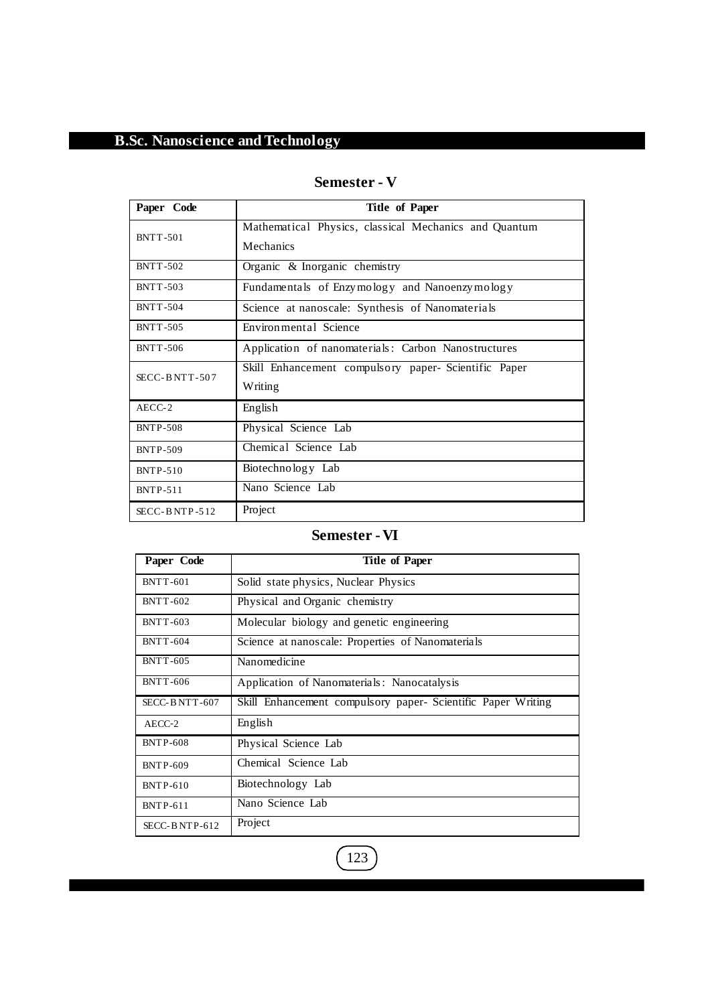# **Semester - V**

| Paper Code       | <b>Title of Paper</b>                                              |  |  |  |  |  |  |  |
|------------------|--------------------------------------------------------------------|--|--|--|--|--|--|--|
| <b>BNTT-501</b>  | Mathematical Physics, classical Mechanics and Quantum<br>Mechanics |  |  |  |  |  |  |  |
| <b>BNTT-502</b>  | Organic & Inorganic chemistry                                      |  |  |  |  |  |  |  |
| <b>BNTT-503</b>  | Fundamentals of Enzymology and Nanoenzymology                      |  |  |  |  |  |  |  |
| <b>BNTT-504</b>  | Science at nanoscale: Synthesis of Nanomaterials                   |  |  |  |  |  |  |  |
| <b>BNTT-505</b>  | Environmental Science                                              |  |  |  |  |  |  |  |
| <b>BNTT-506</b>  | Application of nanomaterials: Carbon Nanostructures                |  |  |  |  |  |  |  |
| $SECC-BNTT-507$  | Skill Enhancement compulsory paper- Scientific Paper<br>Writing    |  |  |  |  |  |  |  |
| $AECC-2$         | English                                                            |  |  |  |  |  |  |  |
| <b>BNTP-508</b>  | Physical Science Lab                                               |  |  |  |  |  |  |  |
| <b>BNTP-509</b>  | Chemical Science Lab                                               |  |  |  |  |  |  |  |
| <b>BNTP-510</b>  | Biotechnology Lab                                                  |  |  |  |  |  |  |  |
| <b>BNTP-511</b>  | Nano Science Lab                                                   |  |  |  |  |  |  |  |
| $SECC-B NTP-512$ | Project                                                            |  |  |  |  |  |  |  |

# **Semester -VI**

| Paper Code      | <b>Title of Paper</b>                                        |
|-----------------|--------------------------------------------------------------|
| <b>BNTT-601</b> | Solid state physics, Nuclear Physics                         |
| <b>BNTT-602</b> | Physical and Organic chemistry                               |
| <b>BNTT-603</b> | Molecular biology and genetic engineering                    |
| <b>BNTT-604</b> | Science at nanoscale: Properties of Nanomaterials            |
| <b>BNTT-605</b> | Nanomedicine                                                 |
| <b>BNTT-606</b> | Application of Nanomaterials: Nanocatalysis                  |
| SECC-BNTT-607   | Skill Enhancement compulsory paper- Scientific Paper Writing |
| AECC-2          | English                                                      |
| <b>BNTP-608</b> | Physical Science Lab                                         |
| <b>BNTP-609</b> | Chemical Science Lab                                         |
| <b>BNTP-610</b> | Biotechnology Lab                                            |
| <b>BNTP-611</b> | Nano Science Lab                                             |
| $SECC-BNTP-612$ | Project                                                      |

 $\left( \overline{123}\right)$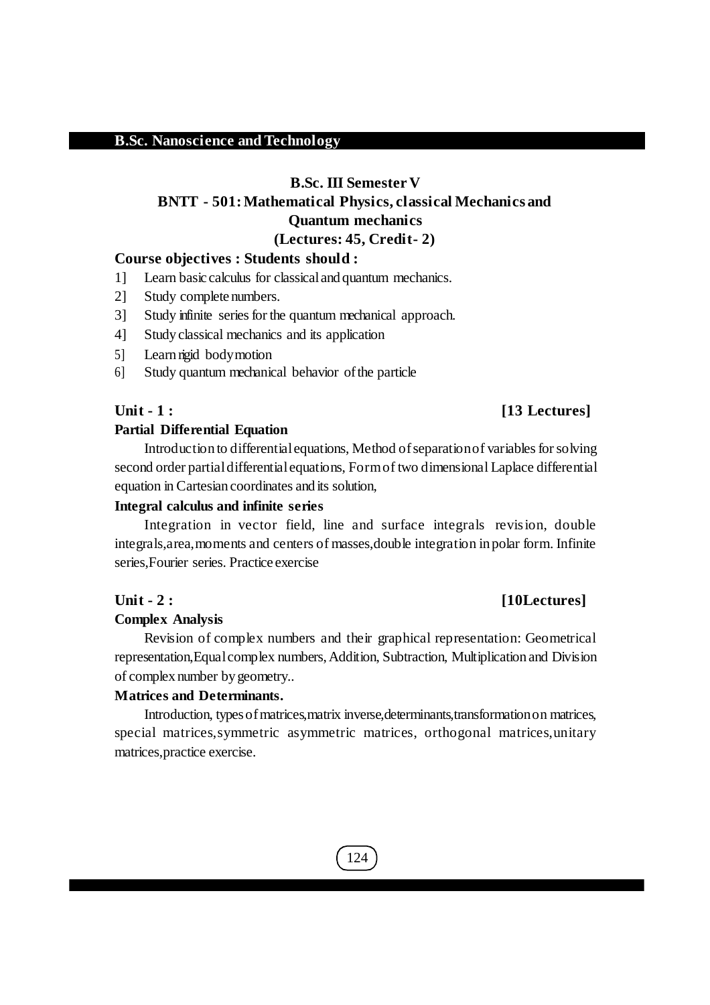# **B.Sc. III Semester V**

# **BNTT - 501:Mathematical Physics, classical Mechanics and Quantum mechanics**

**(Lectures: 45, Credit- 2)** 

# **Course objectives : Students should :**

- 1] Learn basic calculus for classicaland quantum mechanics.
- 2] Study complete numbers.
- 3] Study infinite series for the quantum mechanical approach.
- 4] Study classical mechanics and its application
- 5] Learn rigid bodymotion
- 6] Study quantum mechanical behavior ofthe particle

#### **Unit - 1 : [13 Lectures]**

#### **Partial Differential Equation**

Introduction to differential equations, Method of separation of variables for solving second order partialdifferentialequations, Formof two dimensional Laplace differential equation in Cartesian coordinates and its solution,

#### **Integral calculus and infinite series**

Integration in vector field, line and surface integrals revision, double integrals,area,moments and centers of masses,double integration in polar form. Infinite series,Fourier series. Practice exercise

### **Unit - 2 : [10Lectures]**

#### **Complex Analysis**

Revision of complex numbers and their graphical representation: Geometrical representation, Equal complex numbers, Addition, Subtraction, Multiplication and Division of complex number by geometry..

#### **Matrices and Determinants.**

Introduction, types of matrices, matrix inverse, determinants, transformation on matrices, special matrices,symmetric asymmetric matrices, orthogonal matrices,unitary matrices,practice exercise.

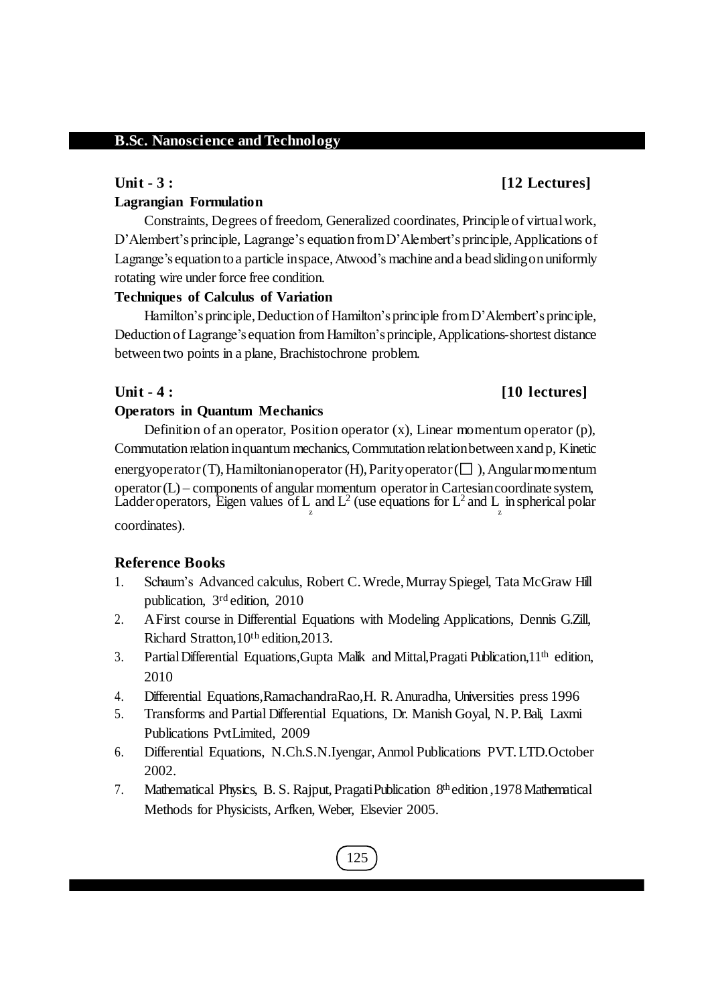#### **Unit - 3 : [12 Lectures]**

## **Lagrangian Formulation**

Constraints, Degrees of freedom, Generalized coordinates, Principle of virtualwork, D'Alembert's principle, Lagrange's equation from D'Alembert's principle, Applications of Lagrange's equation to a particle inspace,Atwood's machine and a bead slidingon uniformly rotating wire under force free condition.

## **Techniques of Calculus of Variation**

Hamilton's principle, Deduction of Hamilton's principle from D'Alembert's principle, Deduction of Lagrange's equation from Hamilton'sprinciple,Applications-shortest distance between two points in a plane, Brachistochrone problem.

# **Unit - 4 : [10 lectures]**

## **Operators in Quantum Mechanics**

Definition of an operator, Position operator  $(x)$ , Linear momentum operator  $(p)$ , Commutation relation inquantum mechanics,Commutation relationbetween xand p, Kinetic energyoperator (T), Hamiltonian operator (H), Parity operator ( $\square$ ), Angular momentum operator(L) – components of angular momentum operatorin Cartesiancoordinate system, Ladder operators, Eigen values of L and  $L^2$  (use equations for  $L^2$  and L in spherical polar z z

coordinates).

## **Reference Books**

- 1. Schaum's Advanced calculus, Robert C.Wrede,MurraySpiegel, Tata McGraw Hill publication, 3<sup>rd</sup> edition, 2010
- 2. AFirst course in Differential Equations with Modeling Applications, Dennis G.Zill, Richard Stratton, 10<sup>th</sup> edition, 2013.
- 3. PartialDifferential Equations,Gupta Malik and Mittal,Pragati Publication,11th edition, 2010
- 4. Differential Equations,RamachandraRao,H. R.Anuradha, Universities press 1996
- 5. Transforms and Partial Differential Equations, Dr. Manish Goyal, N.P. Bali, Laxmi Publications PvtLimited, 2009
- 6. Differential Equations, N.Ch.S.N.Iyengar,Anmol Publications PVT.LTD.October 2002.
- 7. Mathematical Physics, B. S. Rajput, Pragati Publication 8<sup>th</sup> edition, 1978 Mathematical Methods for Physicists, Arfken, Weber, Elsevier 2005.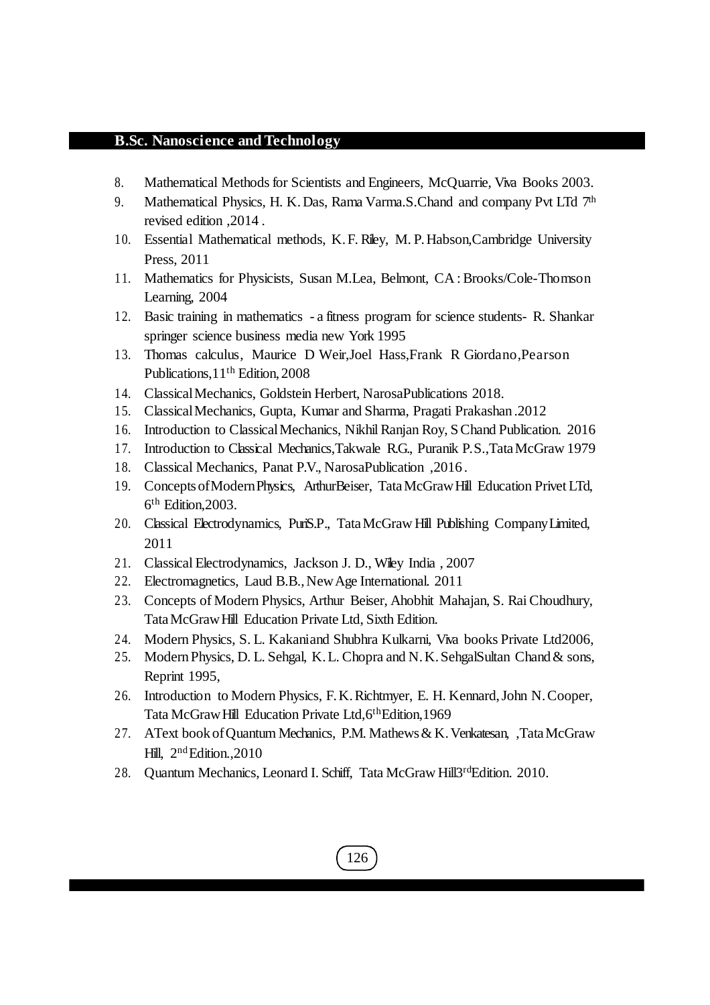- 8. Mathematical Methods for Scientists and Engineers, McQuarrie, Viva Books 2003.
- 9. Mathematical Physics, H. K. Das, Rama Varma. S. Chand and company Pvt LTd  $7<sup>th</sup>$ revised edition ,2014 .
- 10. Essential Mathematical methods, K.F. Riley, M.P. Habson, Cambridge University Press, 2011
- 11. Mathematics for Physicists, Susan M.Lea, Belmont, CA :Brooks/Cole-Thomson Learning, 2004
- 12. Basic training in mathematics a fitness program for science students- R. Shankar springer science business media new York 1995
- 13. Thomas calculus, Maurice D Weir,Joel Hass,Frank R Giordano,Pearson Publications,11th Edition, 2008
- 14. ClassicalMechanics, Goldstein Herbert, NarosaPublications 2018.
- 15. ClassicalMechanics, Gupta, Kumar and Sharma, Pragati Prakashan .2012
- 16. Introduction to ClassicalMechanics, NikhilRanjan Roy, SChand Publication. 2016
- 17. Introduction to Classical Mechanics,Takwale R.G., Puranik P.S.,TataMcGraw 1979
- 18. Classical Mechanics, Panat P.V., NarosaPublication ,2016 .
- 19. ConceptsofModernPhysics, ArthurBeiser, TataMcGrawHill Education Privet LTd, 6 th Edition,2003.
- 20. Classical Electrodynamics, PuriS.P., TataMcGraw Hill Publishing CompanyLimited, 2011
- 21. Classical Electrodynamics, Jackson J. D., Wiley India , 2007
- 22. Electromagnetics, Laud B.B.,NewAge International. 2011
- 23. Concepts of Modern Physics, Arthur Beiser, Ahobhit Mahajan, S. RaiChoudhury, TataMcGrawHill Education Private Ltd, Sixth Edition.
- 24. Modern Physics, S. L. Kakaniand Shubhra Kulkarni, Viva books Private Ltd2006,
- 25. Modern Physics, D. L. Sehgal, K. L. Chopra and N. K. SehgalSultan Chand & sons, Reprint 1995,
- 26. Introduction to Modern Physics, F.K.Richtmyer, E. H. Kennard,John N.Cooper, Tata McGraw Hill Education Private Ltd, 6<sup>th</sup>Edition, 1969
- 27. AText book ofQuantum Mechanics, P.M. Mathews& K.Venkatesan, ,TataMcGraw Hill, 2<sup>nd</sup> Edition., 2010

126

28. Quantum Mechanics, Leonard I. Schiff, Tata McGraw Hill3rdEdition. 2010.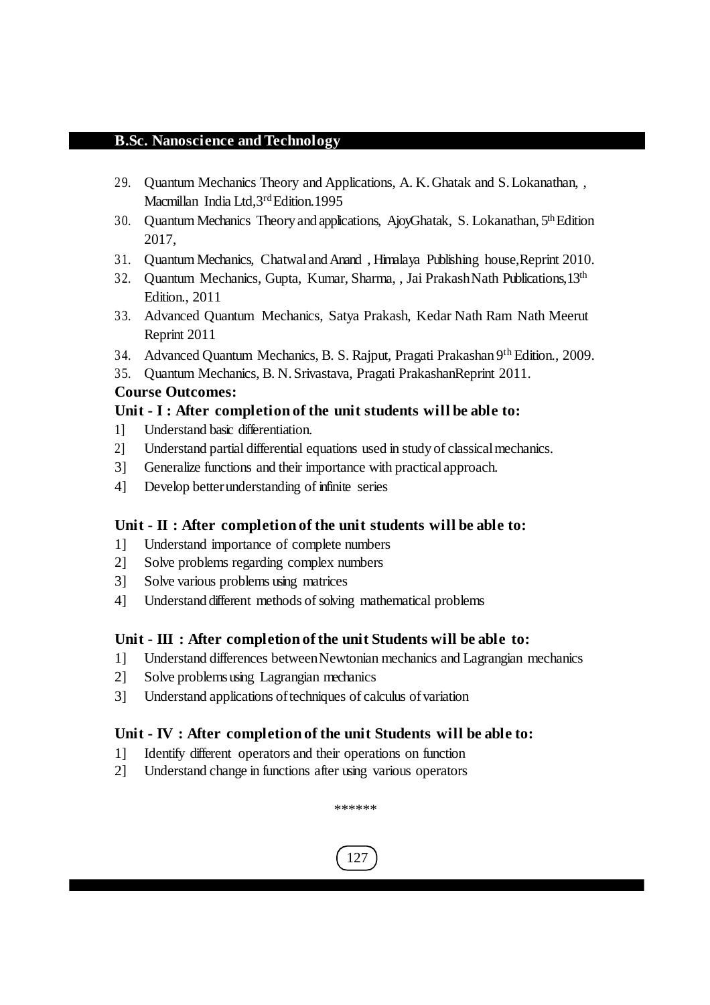- 29. Quantum Mechanics Theory and Applications, A. K.Ghatak and S.Lokanathan, , Macmillan India Ltd, 3rd Edition. 1995
- 30. Quantum Mechanics Theory and applications, AjoyGhatak, S. Lokanathan, 5<sup>th</sup> Edition 2017,
- 31. Quantum Mechanics, ChatwalandAnand , Himalaya Publishing house,Reprint 2010.
- 32. Quantum Mechanics, Gupta, Kumar, Sharma, , Jai Prakash Nath Publications.13<sup>th</sup> Edition., 2011
- 33. Advanced Quantum Mechanics, Satya Prakash, Kedar Nath Ram Nath Meerut Reprint 2011
- 34. Advanced Quantum Mechanics, B. S. Rajput, Pragati Prakashan 9<sup>th</sup> Edition., 2009.
- 35. Quantum Mechanics, B. N.Srivastava, Pragati PrakashanReprint 2011.

# **Course Outcomes:**

# **Unit - I : After completion of the unit students will be able to:**

- 1] Understand basic differentiation.
- 2] Understand partial differential equations used in study of classicalmechanics.
- 3] Generalize functions and their importance with practicalapproach.
- 4] Develop betterunderstanding of infinite series

# **Unit - II : After completion of the unit students will be able to:**

- 1] Understand importance of complete numbers
- 2] Solve problems regarding complex numbers
- 3] Solve various problems using matrices
- 4] Understand different methods of solving mathematical problems

# **Unit - III : After completion of the unit Students will be able to:**

- 1] Understand differences betweenNewtonian mechanics and Lagrangian mechanics
- 2] Solve problemsusing Lagrangian mechanics
- 3] Understand applications of techniques of calculus of variation

# **Unit - IV : After completion of the unit Students will be able to:**

- 1] Identify different operators and their operations on function
- 2] Understand change in functions after using various operators

\*\*\*\*\*\*

127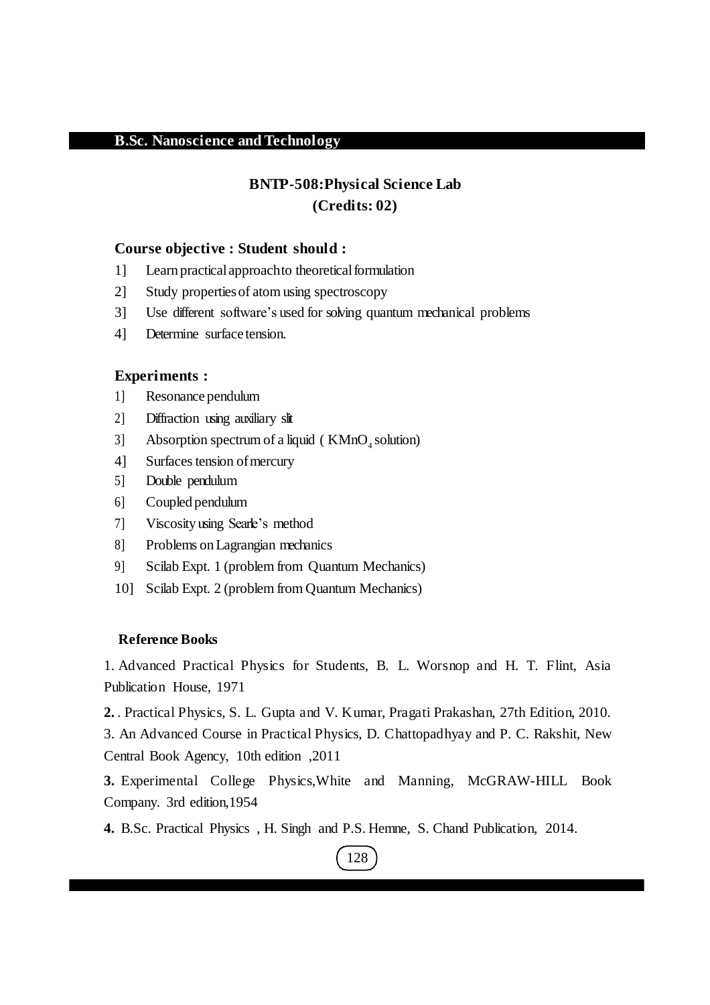# **BNTP-508:Physical Science Lab (Credits: 02)**

#### **Course objective : Student should :**

- 1] Learn practicalapproachto theoreticalformulation
- 2] Study propertiesof atom using spectroscopy
- 3] Use different software's used for solving quantum mechanical problems
- 4] Determine surface tension.

## **Experiments :**

- 1] Resonance pendulum
- 2] Diffraction using auxiliary slit
- 3] Absorption spectrum of a liquid ( $KMnO<sub>4</sub>$  solution)
- 4] Surfaces tension of mercury
- 5] Double pendulum
- 6] Coupled pendulum
- 7] Viscosity using Searle's method
- 8] Problems onLagrangian mechanics
- 9] Scilab Expt. 1 (problem from Quantum Mechanics)
- 10] Scilab Expt. 2 (problem from Quantum Mechanics)

#### **Reference Books**

1. Advanced Practical Physics for Students, B. L. Worsnop and H. T. Flint, Asia Publication House, 1971

**2.** . Practical Physics, S. L. Gupta and V. Kumar, Pragati Prakashan, 27th Edition, 2010.

3. An Advanced Course in Practical Physics, D. Chattopadhyay and P. C. Rakshit, New Central Book Agency, 10th edition ,2011

**3.** Experimental College Physics,White and Manning, McGRAW-HILL Book Company. 3rd edition,1954

**4.** B.Sc. Practical Physics , H. Singh and P.S. Hemne, S. Chand Publication, 2014.

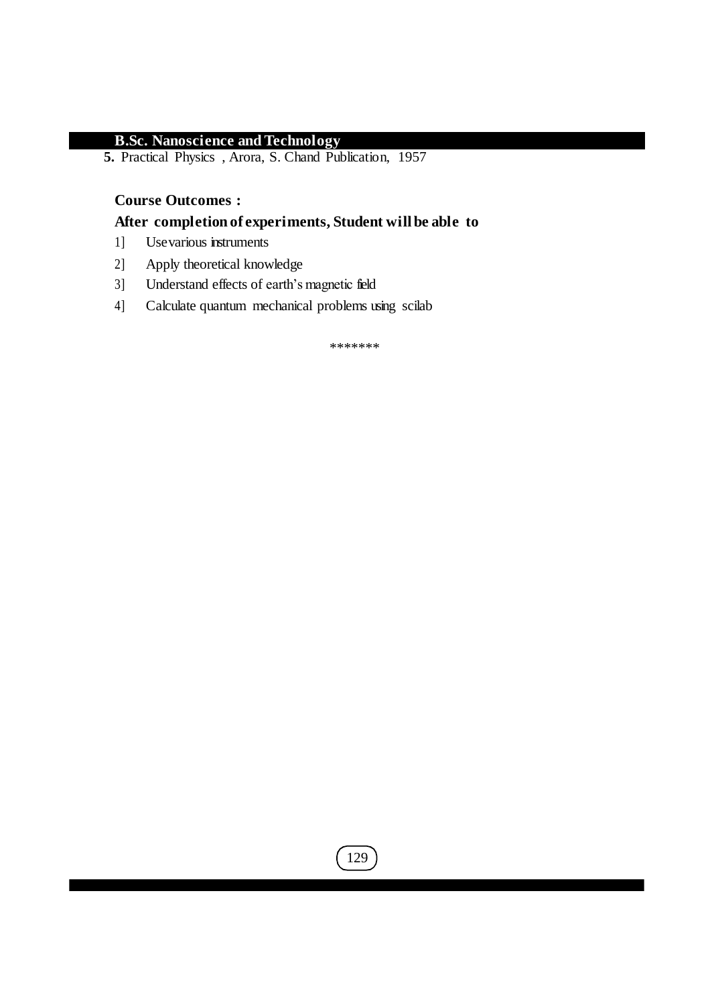**5.** Practical Physics , Arora, S. Chand Publication, 1957

# **Course Outcomes :**

# **After completion of experiments, Student will be able to**

- 1] Usevarious instruments
- 2] Apply theoretical knowledge
- 3] Understand effects of earth's magnetic field
- 4] Calculate quantum mechanical problems using scilab

\*\*\*\*\*\*\*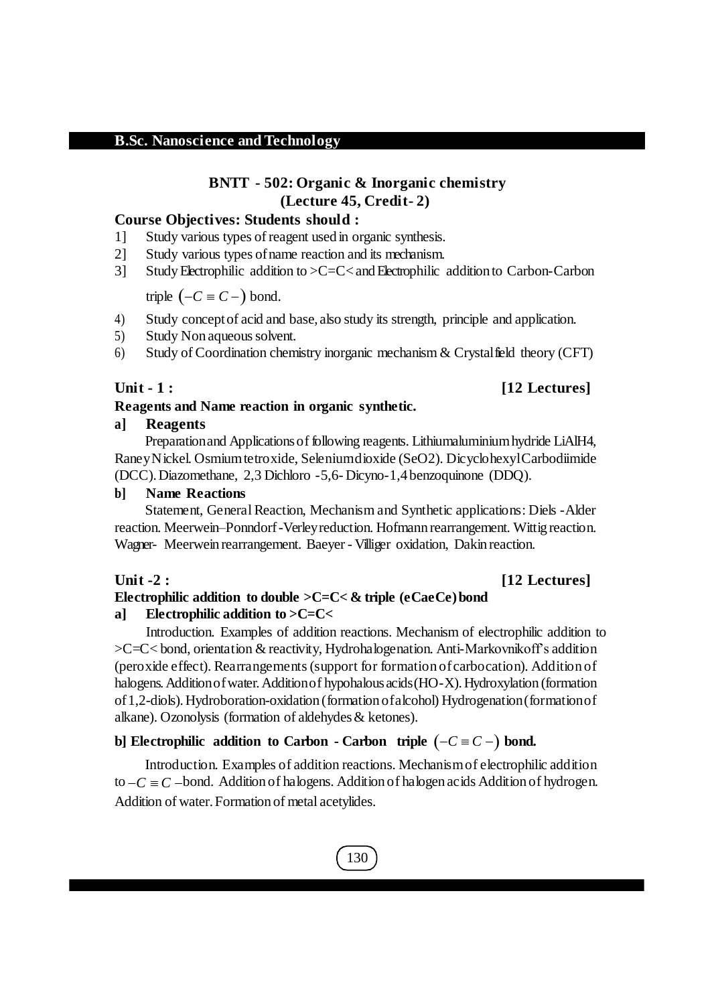# **BNTT - 502: Organic & Inorganic chemistry (Lecture 45, Credit- 2)**

#### **Course Objectives: Students should :**

- 1] Study various types of reagent used in organic synthesis.
- 2] Study various types ofname reaction and its mechanism.
- 3] Study Electrophilic addition to >C=C<andElectrophilic addition to Carbon-Carbon

triple  $(-C \equiv C - \text{)}$  bond.

- 4) Study conceptof acid and base, also study its strength, principle and application.
- 5) Study Non aqueous solvent.
- 6) Study of Coordination chemistry inorganic mechanism & Crystalfield theory (CFT)

#### **Unit - 1 : [12 Lectures]**

#### **Reagents and Name reaction in organic synthetic.**

#### **a] Reagents**

Preparationand Applicationsof following reagents. Lithiumaluminiumhydride LiAlH4, RaneyNickel. Osmiumtetroxide, Seleniumdioxide (SeO2). DicyclohexylCarbodiimide (DCC).Diazomethane, 2,3 Dichloro -5,6- Dicyno-1,4 benzoquinone (DDQ).

#### **b] Name Reactions**

Statement, General Reaction, Mechanism and Synthetic applications: Diels -Alder reaction. Meerwein–Ponndorf-Verleyreduction. Hofmann rearrangement. Wittig reaction. Wagner- Meerwein rearrangement. Baeyer - Villiger oxidation, Dakin reaction.

#### **Unit -2 : [12 Lectures]**

#### **Electrophilic addition to double >C=C< & triple (eCaeCe)bond**

#### **a] Electrophilic addition to >C=C<**

Introduction. Examples of addition reactions. Mechanism of electrophilic addition to >C=C< bond, orientation & reactivity, Hydrohalogenation. Anti-Markovnikoff's addition (peroxide effect). Rearrangements(support for formation ofcarbocation). Addition of halogens. Addition of water. Addition of hypohalous acids (HO-X). Hydroxylation (formation of1,2-diols).Hydroboration-oxidation (formation ofalcohol) Hydrogenation(formationof alkane). Ozonolysis (formation of aldehydes  $&$  ketones).

#### **b)** Electrophilic addition to Carbon - Carbon triple  $(-C \equiv C -)$  bond.

Introduction. Examples of addition reactions. Mechanismof electrophilic addition to  $-C \equiv C$  -bond. Addition of halogens. Addition of halogen acids Addition of hydrogen. Addition of water.Formation of metal acetylides.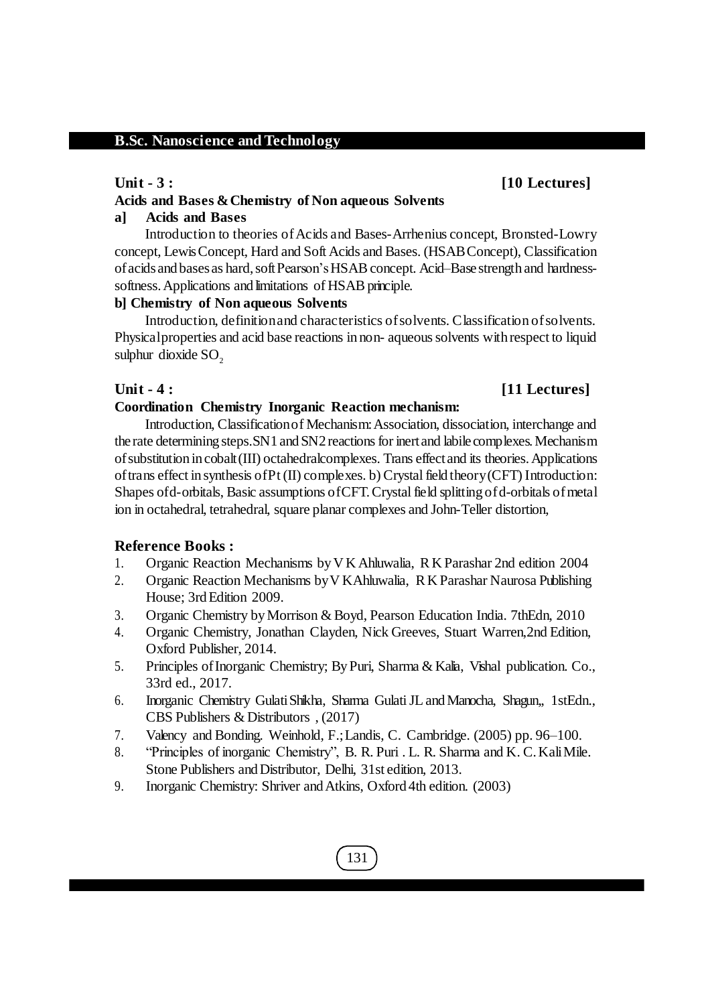# **Unit - 3 : [10 Lectures]**

#### **Acids and Bases &Chemistry of Non aqueous Solvents**

#### **a] Acids and Bases**

Introduction to theories of Acids and Bases-Arrhenius concept, Bronsted-Lowry concept, LewisConcept, Hard and Soft Acids and Bases. (HSABConcept), Classification of acids and bases as hard, soft Pearson's HSAB concept. Acid–Base strength and hardnesssoftness. Applications and limitations of HSAB principle.

#### **b] Chemistry of Non aqueous Solvents**

Introduction, definitionand characteristics ofsolvents. Classification ofsolvents. Physical properties and acid base reactions in non- aqueous solvents with respect to liquid sulphur dioxide  $SO<sub>2</sub>$ 

# **Unit - 4 : [11 Lectures]**

#### **Coordination Chemistry Inorganic Reaction mechanism:**

Introduction, Classificationof Mechanism:Association, dissociation, interchange and the rate determining steps. SN1 and SN2 reactions for inert and labile complexes. Mechanism ofsubstitution in cobalt(III) octahedralcomplexes. Trans effectand its theories.Applications of trans effect in synthesis of  $Pt(II)$  complexes. b) Crystal field theory (CFT) Introduction: Shapes ofd-orbitals, Basic assumptions ofCFT.Crystalfield splitting ofd-orbitals ofmetal ion in octahedral, tetrahedral, square planar complexes and John-Teller distortion,

#### **Reference Books :**

- 1. Organic Reaction Mechanisms byV K Ahluwalia, R K Parashar 2nd edition 2004
- 2. Organic Reaction Mechanisms byV KAhluwalia, R K Parashar Naurosa Publishing House; 3rd Edition 2009.
- 3. Organic Chemistry byMorrison & Boyd, Pearson Education India. 7thEdn, 2010
- 4. Organic Chemistry, Jonathan Clayden, Nick Greeves, Stuart Warren,2nd Edition, Oxford Publisher, 2014.
- 5. Principles ofInorganic Chemistry; ByPuri, Sharma & Kalia, Vishal publication. Co., 33rd ed., 2017.
- 6. Inorganic Chemistry GulatiShikha, Sharma GulatiJLandManocha, Shagun,, 1stEdn., CBS Publishers & Distributors , (2017)
- 7. Valency and Bonding. Weinhold, F.;Landis, C. Cambridge. (2005) pp. 96–100.
- 8. "Principles of inorganic Chemistry", B. R. Puri . L. R. Sharma and K. C.KaliMile. Stone Publishers and Distributor, Delhi, 31st edition, 2013.
- 9. Inorganic Chemistry: Shriver and Atkins, Oxford 4th edition. (2003)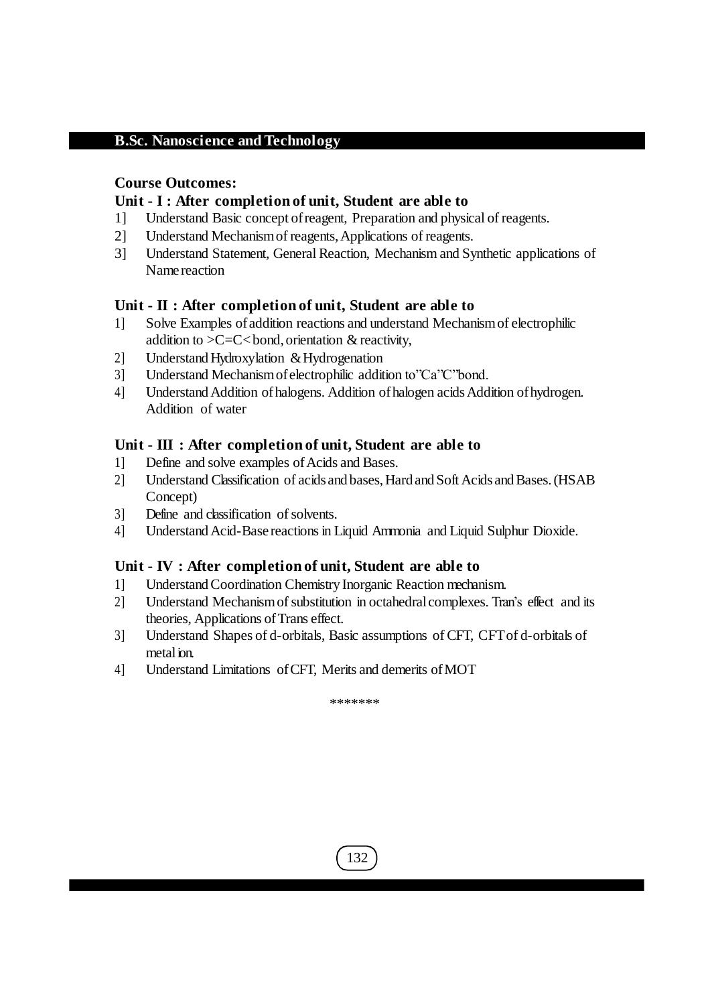# **Course Outcomes:**

# **Unit - I : After completion of unit, Student are able to**

- 1] Understand Basic concept ofreagent, Preparation and physical of reagents.
- 2] Understand Mechanismof reagents,Applications of reagents.
- 3] Understand Statement, General Reaction, Mechanism and Synthetic applications of Name reaction

# **Unit - II : After completion of unit, Student are able to**

- 1] Solve Examples ofaddition reactions and understand Mechanismof electrophilic addition to  $>C=C<$  bond, orientation & reactivity,
- 2] Understand Hydroxylation & Hydrogenation
- 3] Understand Mechanism of electrophilic addition to"Ca"C"bond.
- 4] Understand Addition of halogens. Addition of halogen acids Addition of hydrogen. Addition of water

# **Unit - III : After completion of unit, Student are able to**

- 1] Define and solve examples of Acids and Bases.
- 2] Understand Classification of acids and bases, Hard and Soft Acids and Bases. (HSAB Concept)
- 3] Define and classification of solvents.
- 4] Understand Acid-Base reactions in Liquid Ammonia and Liquid Sulphur Dioxide.

# **Unit - IV : After completion of unit, Student are able to**

- 1] UnderstandCoordination Chemistry Inorganic Reaction mechanism.
- 2] Understand Mechanismofsubstitution in octahedralcomplexes. Tran's effect and its theories, Applications of Trans effect.
- 3] Understand Shapes of d-orbitals, Basic assumptions of CFT, CFTof d-orbitals of metal ion.
- 4] Understand Limitations ofCFT, Merits and demerits ofMOT

\*\*\*\*\*\*\*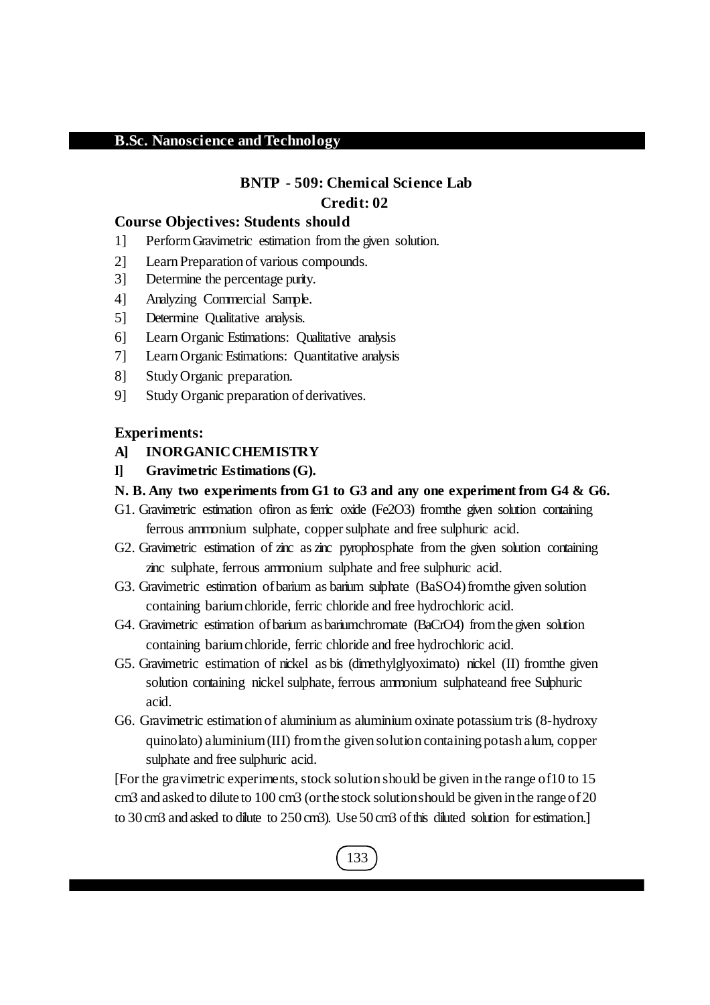# **BNTP - 509: Chemical Science Lab Credit: 02**

#### **Course Objectives: Students should**

- 1] PerformGravimetric estimation from the given solution.
- 2] LearnPreparation of various compounds.
- 3] Determine the percentage purity.
- 4] Analyzing Commercial Sample.
- 5] Determine Qualitative analysis.
- 6] Learn Organic Estimations: Qualitative analysis
- 7] LearnOrganic Estimations: Quantitative analysis
- 8] StudyOrganic preparation.
- 9] Study Organic preparation of derivatives.

#### **Experiments:**

- **A] INORGANICCHEMISTRY**
- **I] Gravimetric Estimations(G).**
- **N. B. Any two experiments from G1 to G3 and any one experiment from G4 & G6.**
- G1. Gravimetric estimation of iron as ferric oxide (Fe2O3) from the given solution containing ferrous ammonium sulphate, copper sulphate and free sulphuric acid.
- G2. Gravimetric estimation of zinc as zinc pyrophosphate from the given solution containing zinc sulphate, ferrous ammonium sulphate and free sulphuric acid.
- G3. Gravimetric estimation of barium as barium subhate (BaSO4) from the given solution containing bariumchloride, ferric chloride and free hydrochloric acid.
- G4. Gravimetric estimation ofbarium asbariumchromate (BaCrO4) fromthegiven solution containing bariumchloride, ferric chloride and free hydrochloric acid.
- G5. Gravimetric estimation of nickel as bis (dimethylglyoximato) nickel (II) fromthe given solution containing nickel sulphate, ferrous ammonium sulphateand free Sulphuric acid.
- G6. Gravimetric estimation of aluminium as aluminium oxinate potassium tris (8-hydroxy quinolato) aluminium(III) fromthe given solution containing potash alum, copper sulphate and free sulphuric acid.

[For the gravimetric experiments, stock solution should be given inthe range of10 to 15 cm3 and asked to dilute to 100 cm3 (orthe stock solutionshould be given in the rangeof20 to 30 cm3 and asked to dilute to 250 cm3). Use 50 cm3 of this diluted solution for estimation.

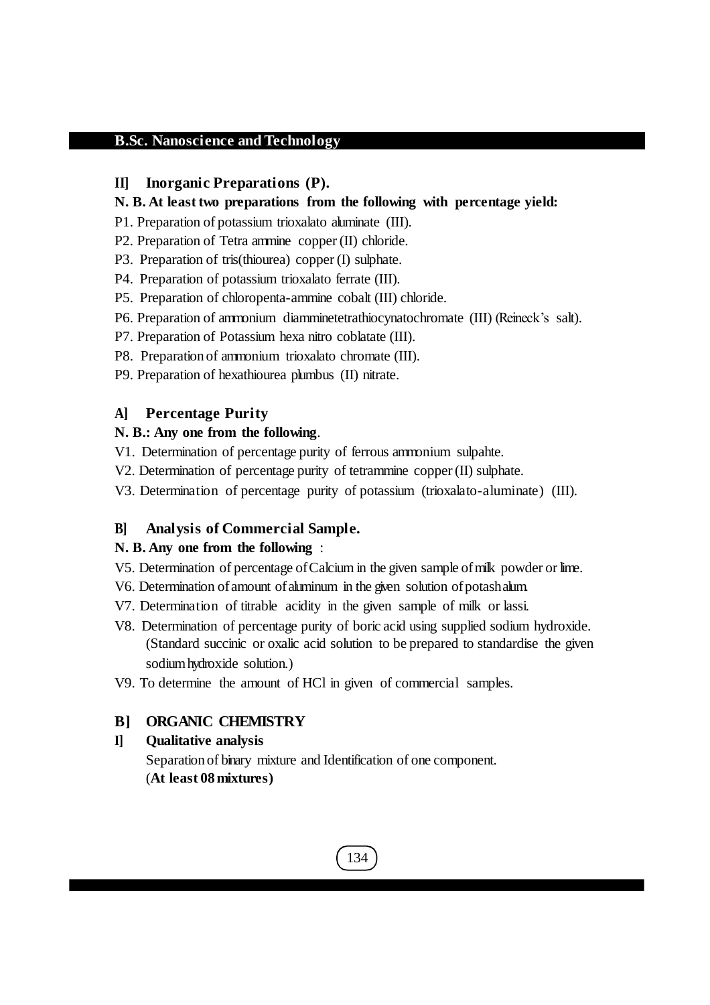#### **II] Inorganic Preparations (P).**

#### **N. B. At least two preparations from the following with percentage yield:**

- P1. Preparation of potassium trioxalato aluminate (III).
- P2. Preparation of Tetra ammine copper (II) chloride.
- P3. Preparation of tris(thiourea) copper (I) sulphate.
- P4. Preparation of potassium trioxalato ferrate (III).
- P5. Preparation of chloropenta-ammine cobalt (III) chloride.
- P6. Preparation of ammonium diamminetetrathiocynatochromate (III) (Reineck's salt).
- P7. Preparation of Potassium hexa nitro coblatate (III).
- P8. Preparation of ammonium trioxalato chromate (III).
- P9. Preparation of hexathiourea plumbus (II) nitrate.

# **A] Percentage Purity**

## **N. B.: Any one from the following**.

- V1. Determination of percentage purity of ferrous ammonium sulpahte.
- V2. Determination of percentage purity of tetrammine copper (II) sulphate.
- V3. Determination of percentage purity of potassium (trioxalato-aluminate) (III).

#### **B] Analysis of Commercial Sample.**

#### **N. B. Any one from the following** :

- V5. Determination of percentage ofCalcium in the given sample ofmilk powder orlime.
- V6. Determination of amount of aluminum in the given solution of potashalum.
- V7. Determination of titrable acidity in the given sample of milk or lassi.
- V8. Determination of percentage purity of boric acid using supplied sodium hydroxide. (Standard succinic or oxalic acid solution to be prepared to standardise the given sodiumhydroxide solution.)
- V9. To determine the amount of HCl in given of commercial samples.

## **B] ORGANIC CHEMISTRY**

# **I] Qualitative analysis** Separation of binary mixture and Identification of one component. (**At least 08mixtures)**

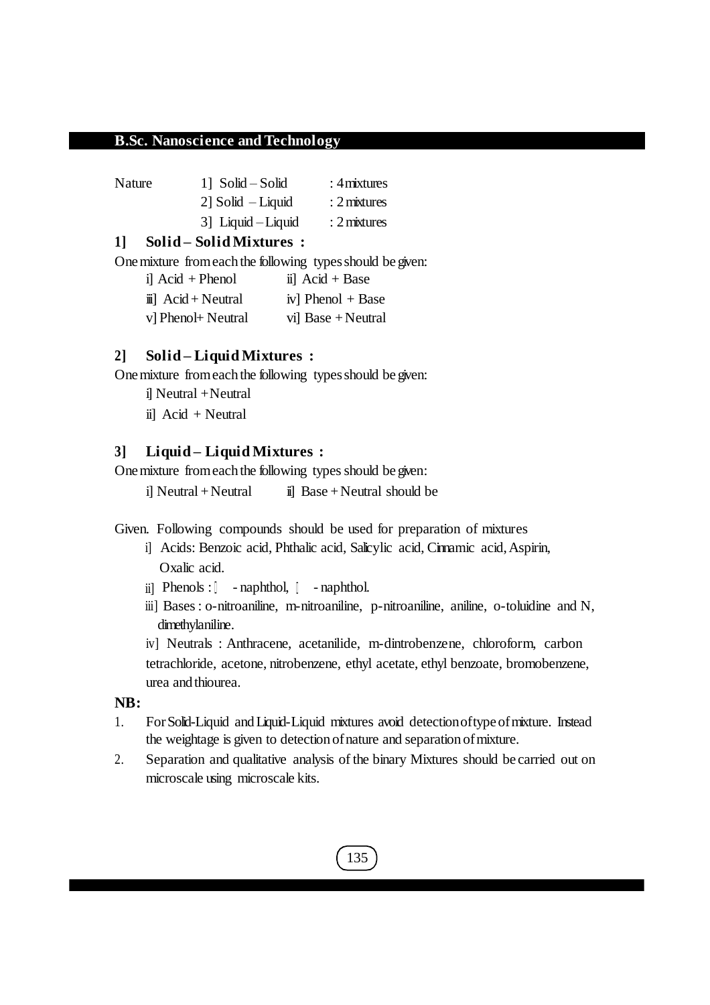Nature 1] Solid – Solid : 4 mixtures 2] Solid – Liquid : 2mixtures 3] Liquid –Liquid : 2mixtures

## **1] Solid – Solid Mixtures :**

One mixture from each the following types should be given:

i]  $Acid + Phenol$  ii]  $Acid + Base$  $\ddot{i}$  Acid + Neutral iv] Phenol + Base v] Phenol+ Neutral vi] Base + Neutral

# **2] Solid – Liquid Mixtures :**

One mixture from each the following types should be given:

- i] Neutral +Neutral
- ii] Acid + Neutral

## **3] Liquid – Liquid Mixtures :**

One mixture from each the following types should be given:

i] Neutral + Neutral  $\qquad \qquad$  ii] Base + Neutral should be

Given. Following compounds should be used for preparation of mixtures

- i] Acids: Benzoic acid, Phthalic acid, Salicylic acid, Cinnamic acid,Aspirin, Oxalic acid.
- ii] Phenols :  $\Box$  naphthol,  $\Box$  naphthol.
- iii] Bases: o-nitroaniline, m-nitroaniline, p-nitroaniline, aniline, o-toluidine and N, dimethylaniline.

iv] Neutrals : Anthracene, acetanilide, m-dintrobenzene, chloroform, carbon tetrachloride, acetone, nitrobenzene, ethyl acetate, ethyl benzoate, bromobenzene, urea and thiourea.

# **NB:**

- 1. ForSolid-Liquid andLiquid-Liquid mixtures avoid detectionoftypeofmixture. Instead the weightage is given to detection of nature and separation of mixture.
- 2. Separation and qualitative analysis of the binary Mixtures should be carried out on microscale using microscale kits.

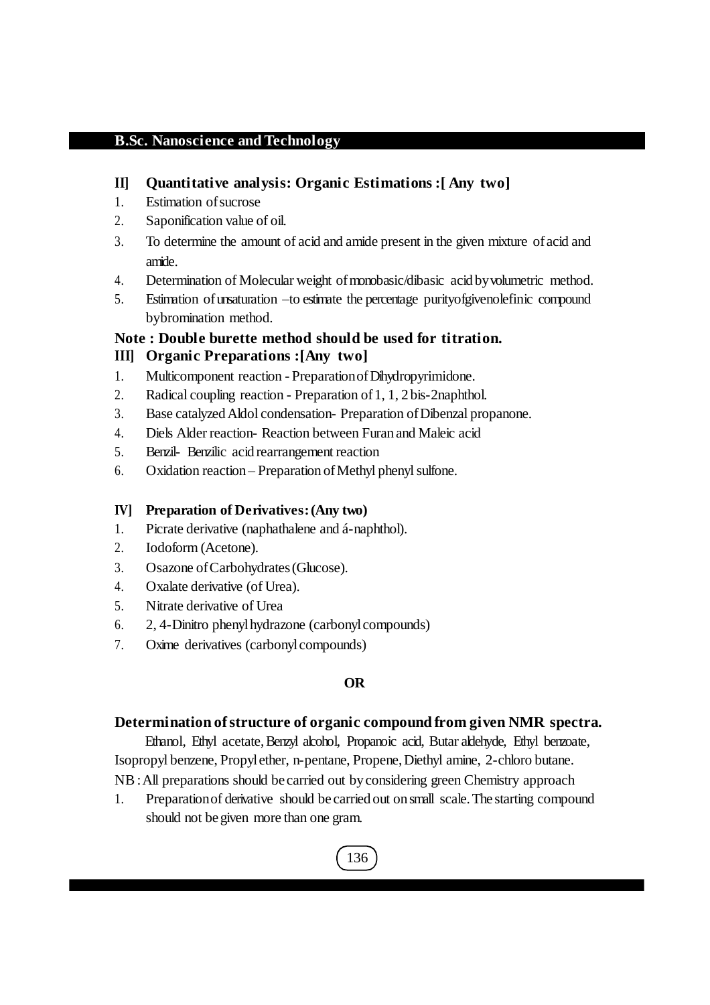# **II] Quantitative analysis: Organic Estimations :[ Any two]**

- 1. Estimation of sucrose
- 2. Saponification value of oil.
- 3. To determine the amount of acid and amide present in the given mixture ofacid and amide.
- 4. Determination of Molecular weight of monobasic/dibasic acid by volumetric method.
- 5. Estimation ofunsaturation –to estimate the percentage purityofgivenolefinic compound bybromination method.

# **Note : Double burette method should be used for titration. III] Organic Preparations :[Any two]**

- 1. Multicomponent reaction PreparationofDihydropyrimidone.
- 2. Radical coupling reaction Preparation of 1, 1, 2 bis-2naphthol.
- 3. Base catalyzedAldol condensation- Preparation ofDibenzal propanone.
- 4. Diels Alder reaction- Reaction between Furan and Maleic acid
- 5. Benzil- Benzilic acid rearrangement reaction
- 6. Oxidation reaction Preparation of Methyl phenyl sulfone.

# **IV] Preparation of Derivatives:(Any two)**

- 1. Picrate derivative (naphathalene and á-naphthol).
- 2. Iodoform (Acetone).
- 3. Osazone ofCarbohydrates(Glucose).
- 4. Oxalate derivative (of Urea).
- 5. Nitrate derivative of Urea
- 6. 2, 4-Dinitro phenylhydrazone (carbonylcompounds)
- 7. Oxime derivatives (carbonylcompounds)

# **OR**

# **Determination of structure of organic compound from given NMR spectra.**

Ethanol, Ethyl acetate, Benzyl alcohol, Propanoic acid, Butar aldehyde, Ethyl benzoate, Isopropyl benzene, Propylether, n-pentane, Propene,Diethyl amine, 2-chloro butane. NB:All preparations should be carried out byconsidering green Chemistry approach

1. Preparationof derivative should be carried out on small scale.The starting compound should not begiven more than one gram.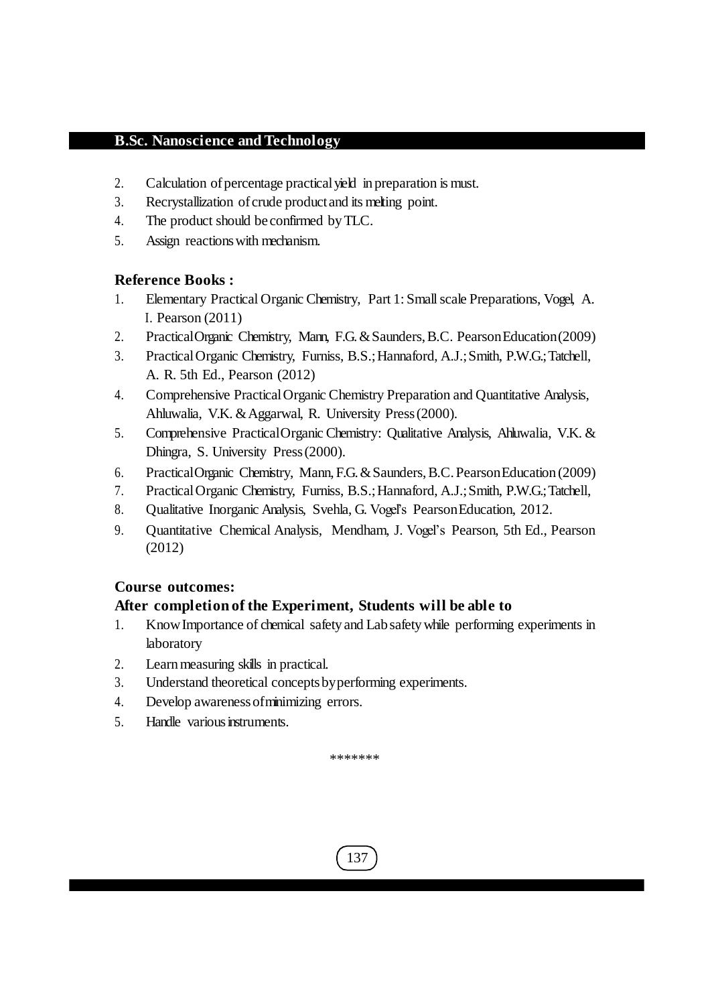- 2. Calculation of percentage practical yield in preparation is must.
- 3. Recrystallization of crude product and its melting point.
- 4. The product should be confirmed byTLC.
- 5. Assign reactionswith mechanism.

# **Reference Books :**

- 1. Elementary Practical Organic Chemistry, Part 1: Smallscale Preparations, Vogel, A. I. Pearson (2011)
- 2. PracticalOrganic Chemistry, Mann, F.G.&Saunders,B.C. PearsonEducation(2009)
- 3. PracticalOrganic Chemistry, Furniss, B.S.;Hannaford, A.J.;Smith, P.W.G.;Tatchell, A. R. 5th Ed., Pearson (2012)
- 4. Comprehensive PracticalOrganic Chemistry Preparation and Quantitative Analysis, Ahluwalia, V.K. & Aggarwal, R. University Press (2000).
- 5. Comprehensive PracticalOrganic Chemistry: Qualitative Analysis, Ahluwalia, V.K. & Dhingra, S. University Press(2000).
- 6. PracticalOrganic Chemistry, Mann,F.G.&Saunders,B.C.PearsonEducation (2009)
- 7. PracticalOrganic Chemistry, Furniss, B.S.;Hannaford, A.J.;Smith, P.W.G.;Tatchell,
- 8. Qualitative Inorganic Analysis, Svehla, G. Vogel's PearsonEducation, 2012.
- 9. Quantitative Chemical Analysis, Mendham, J. Vogel's Pearson, 5th Ed., Pearson (2012)

# **Course outcomes:**

# **After completion of the Experiment, Students will be able to**

- 1. KnowImportance of chemical safety and Lab safetywhile performing experiments in laboratory
- 2. Learn measuring skills in practical.
- 3. Understand theoretical conceptsbyperforming experiments.
- 4. Develop awarenessofminimizing errors.
- 5. Handle various instruments.

\*\*\*\*\*\*\*

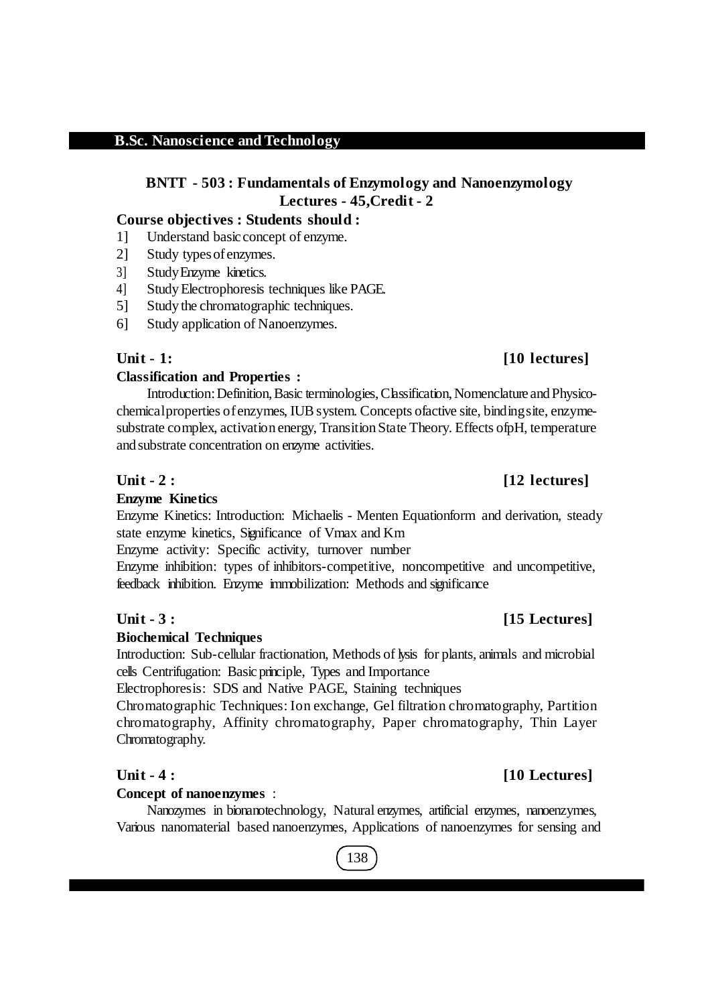# **BNTT - 503 : Fundamentals of Enzymology and Nanoenzymology Lectures - 45,Credit - 2**

# **Course objectives : Students should :**

- 1] Understand basic concept of enzyme.
- 2] Study typesofenzymes.
- 3] StudyEnzyme kinetics.
- 4] StudyElectrophoresis techniques like PAGE.
- 5] Study the chromatographic techniques.
- 6] Study application of Nanoenzymes.

# **Classification and Properties :**

Introduction: Definition, Basic terminologies, Classification, Nomenclature and Physicochemicalproperties ofenzymes, IUBsystem. Concepts ofactive site, bindingsite, enzymesubstrate complex, activation energy, Transition State Theory. Effects of pH, temperature and substrate concentration on enzyme activities.

# **Unit - 2 : [12 lectures]**

# **Enzyme Kinetics**

Enzyme Kinetics: Introduction: Michaelis - Menten Equationform and derivation, steady state enzyme kinetics, Significance of Vmax and Km

Enzyme activity: Specific activity, turnover number

Enzyme inhibition: types of inhibitors-competitive, noncompetitive and uncompetitive, feedback inhibition. Enzyme immobilization: Methods and significance

# **Biochemical Techniques**

Introduction: Sub-cellular fractionation, Methods of lysis for plants, animals and microbial cells Centrifugation: Basicprinciple, Types and Importance

Electrophoresis: SDS and Native PAGE, Staining techniques

Chromatographic Techniques: Ion exchange, Gel filtration chromatography, Partition chromatography, Affinity chromatography, Paper chromatography, Thin Layer Chromatography.

# **Concept of nanoenzymes** :

Nanozymes in bionanotechnology, Natural enzymes, artificial enzymes, nanoenzymes, Various nanomaterial based nanoenzymes, Applications of nanoenzymes for sensing and

# 138

# **Unit - 1: [10 lectures]**

# **Unit - 3 : [15 Lectures]**

# **Unit - 4 : [10 Lectures]**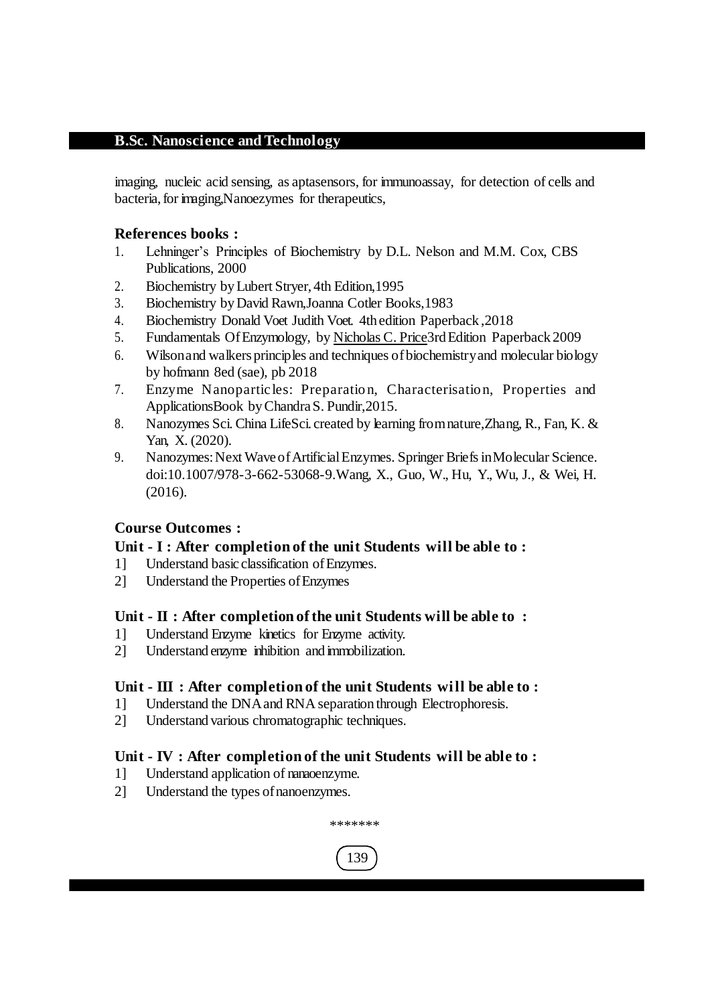imaging, nucleic acid sensing, as aptasensors, for immunoassay, for detection of cells and bacteria, for imaging, Nanoezymes for therapeutics,

# **References books :**

- 1. Lehninger's Principles of Biochemistry by D.L. Nelson and M.M. Cox, CBS Publications, 2000
- 2. Biochemistry byLubert Stryer, 4th Edition,1995
- 3. Biochemistry byDavid Rawn,Joanna Cotler Books,1983
- 4. Biochemistry Donald Voet Judith Voet. 4th edition Paperback ,2018
- 5. Fundamentals OfEnzymology, by Nicholas C. Price3rdEdition Paperback 2009
- 6. Wilsonand walkersprinciples and techniques ofbiochemistryand molecular biology by hofmann 8ed (sae), pb 2018
- 7. Enzyme Nanoparticles: Preparation, Characterisation, Properties and ApplicationsBook byChandraS. Pundir,2015.
- 8. Nanozymes Sci. China LifeSci. created by learning fromnature,Zhang, R., Fan, K. & Yan, X. (2020).
- 9. Nanozymes:Next WaveofArtificialEnzymes. Springer BriefsinMolecular Science. doi:10.1007/978-3-662-53068-9.Wang, X., Guo, W., Hu, Y., Wu, J., & Wei, H. (2016).

# **Course Outcomes :**

## **Unit - I : After completion of the unit Students will be able to :**

- 1] Understand basic classification ofEnzymes.
- 2] Understand the Properties ofEnzymes

## **Unit - II : After completion of the unit Students will be able to :**

- 1] Understand Enzyme kinetics for Enzyme activity.
- 2] Understand enzyme inhibition and immobilization.

# **Unit - III : After completion of the unit Students will be able to :**

- 1] Understand the DNAand RNA separation through Electrophoresis.
- 2] Understand various chromatographic techniques.

## **Unit - IV : After completion of the unit Students will be able to :**

- 1] Understand application of nanaoenzyme.
- 2] Understand the types of nanoenzymes.



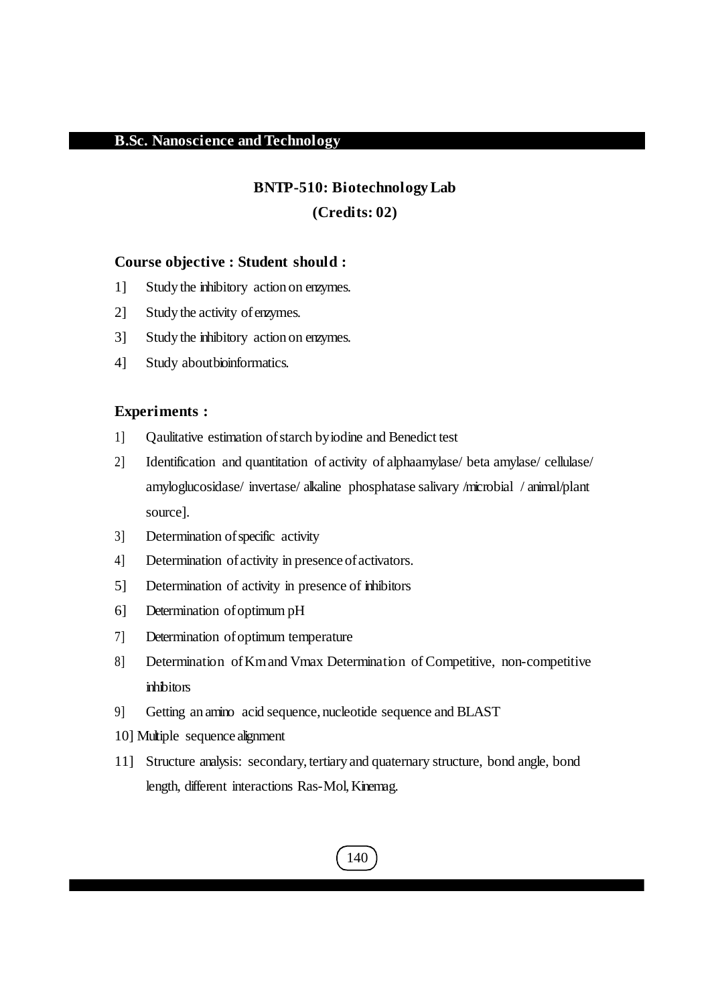#### **BNTP-510: Biotechnology Lab**

#### **(Credits: 02)**

#### **Course objective : Student should :**

- 1] Study the inhibitory action on enzymes.
- 2] Study the activity ofenzymes.
- 3] Study the inhibitory action on enzymes.
- 4] Study about bioinformatics.

# **Experiments :**

- 1] Qaulitative estimation ofstarch byiodine and Benedict test
- 2] Identification and quantitation of activity of alphaamylase/ beta amylase/ cellulase/ amyloglucosidase/ invertase/ alkaline phosphatase salivary /microbial / animal/plant source].
- 3] Determination of specific activity
- 4] Determination of activity in presence of activators.
- 5] Determination of activity in presence of inhibitors
- 6] Determination ofoptimum pH
- 7] Determination ofoptimum temperature
- 8] Determination ofKmand Vmax Determination of Competitive, non-competitive inhibitors
- 9] Getting an amino acid sequence, nucleotide sequence and BLAST
- 10] Multiple sequence alignment
- 11] Structure analysis: secondary,tertiary and quaternary structure, bond angle, bond length, different interactions Ras-Mol,Kinemag.

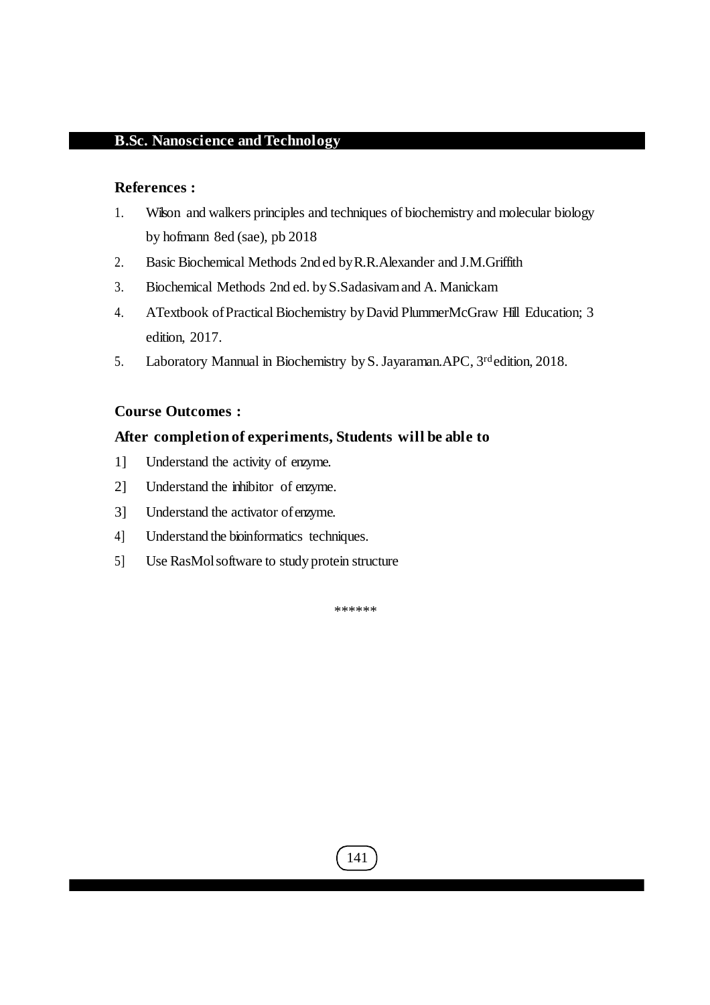#### **References :**

- 1. Wilson and walkers principles and techniques of biochemistry and molecular biology by hofmann 8ed (sae), pb 2018
- 2. Basic Biochemical Methods 2nd ed byR.R.Alexander and J.M.Griffith
- 3. Biochemical Methods 2nd ed. byS.Sadasivamand A. Manickam
- 4. ATextbook ofPractical Biochemistry byDavid PlummerMcGraw Hill Education; 3 edition, 2017.
- 5. Laboratory Mannual in Biochemistry by S. Jayaraman. APC, 3<sup>rd</sup> edition, 2018.

#### **Course Outcomes :**

#### **After completion of experiments, Students will be able to**

- 1] Understand the activity of enzyme.
- 2] Understand the inhibitor of enzyme.
- 3] Understand the activator ofenzyme.
- 4] Understand the bioinformatics techniques.
- 5] Use RasMolsoftware to study protein structure

\*\*\*\*\*\*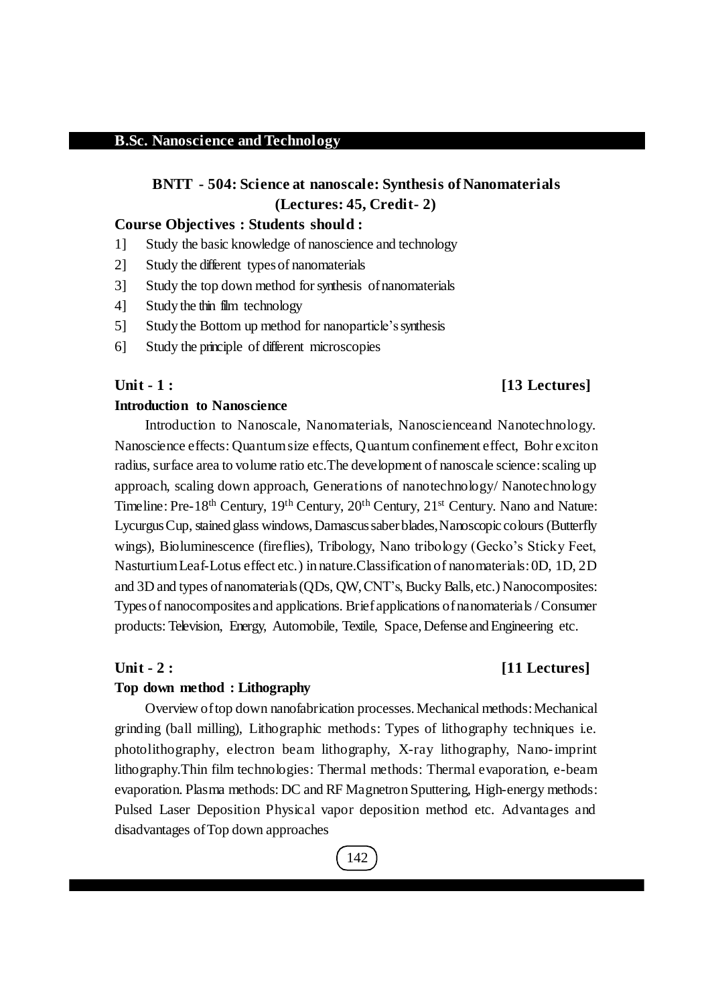# **BNTT - 504: Science at nanoscale: Synthesis of Nanomaterials (Lectures: 45, Credit- 2)**

#### **Course Objectives : Students should :**

- 1] Study the basic knowledge of nanoscience and technology
- 2] Study the different typesof nanomaterials
- 3] Study the top down method forsynthesis ofnanomaterials
- 4] Study the thin film technology
- 5] Study the Bottom up method for nanoparticle'ssynthesis
- 6] Study the principle of different microscopies

## **Unit - 1 : [13 Lectures]**

## **Introduction to Nanoscience**

Introduction to Nanoscale, Nanomaterials, Nanoscienceand Nanotechnology. Nanoscience effects: Quantumsize effects, Quantum confinement effect, Bohr exciton radius, surface area to volume ratio etc. The development of nanoscale science: scaling up approach, scaling down approach, Generations of nanotechnology/ Nanotechnology Timeline: Pre-18<sup>th</sup> Century, 19<sup>th</sup> Century, 20<sup>th</sup> Century, 21<sup>st</sup> Century. Nano and Nature: Lycurgus Cup, stained glass windows, Damascus saber blades, Nanoscopic colours (Butterfly wings), Bioluminescence (fireflies), Tribology, Nano tribology (Gecko's Sticky Feet, NasturtiumLeaf-Lotus effect etc.) innature.Classification of nanomaterials:0D, 1D, 2D and 3D and types ofnanomaterials(QDs, QW, CNT's, Bucky Balls, etc.) Nanocomposites: Typesof nanocomposites and applications. Brief applications ofnanomaterials/Consumer products: Television, Energy, Automobile, Textile, Space, Defense and Engineering etc.

#### **Unit - 2 : [11 Lectures]**

#### **Top down method : Lithography**

Overview oftop down nanofabrication processes.Mechanical methods:Mechanical grinding (ball milling), Lithographic methods: Types of lithography techniques i.e. photolithography, electron beam lithography, X-ray lithography, Nano-imprint lithography.Thin film technologies: Thermal methods: Thermal evaporation, e-beam evaporation. Plasma methods: DC and RF MagnetronSputtering, High-energy methods: Pulsed Laser Deposition Physical vapor deposition method etc. Advantages and disadvantages ofTop down approaches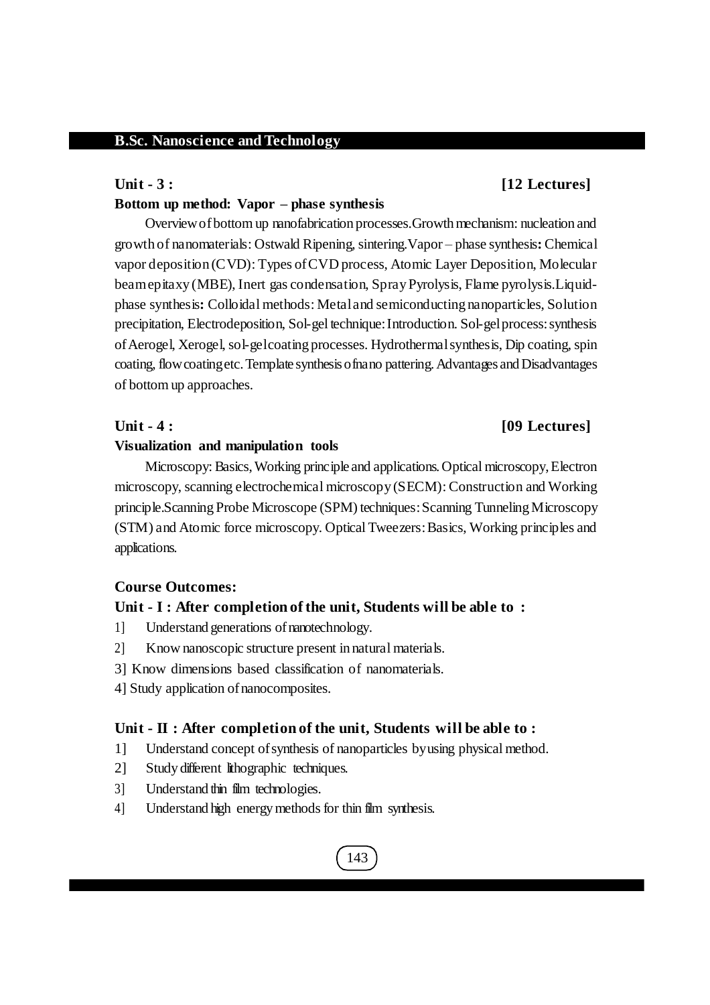#### **Unit - 3 : [12 Lectures]**

#### **Bottom up method: Vapor – phase synthesis**

Overview of bottom up nanofabrication processes. Growth mechanism: nucleation and growth of nanomaterials: Ostwald Ripening,sintering.Vapor – phase synthesis**:** Chemical vapor deposition (CVD): Types ofCVD process, Atomic Layer Deposition, Molecular beamepitaxy (MBE), Inert gas condensation, SprayPyrolysis, Flame pyrolysis.Liquidphase synthesis**:** Colloidal methods: Metaland semiconducting nanoparticles, Solution precipitation, Electrodeposition, Sol-gel technique:Introduction. Sol-gelprocess:synthesis of Aerogel, Xerogel, sol-gelcoating processes. Hydrothermal synthesis, Dip coating, spin coating, flow coatingetc. Template synthesis of nano pattering. Advantages and Disadvantages of bottom up approaches.

## **Unit - 4 : [09 Lectures]**

#### **Visualization and manipulation tools**

Microscopy: Basics, Working principle and applications. Optical microscopy, Electron microscopy, scanning electrochemical microscopy (SECM): Construction and Working principle.Scanning Probe Microscope (SPM) techniques:Scanning TunnelingMicroscopy (STM) and Atomic force microscopy. Optical Tweezers:Basics, Working principles and applications.

#### **Course Outcomes:**

## **Unit - I : After completion of the unit, Students will be able to :**

- 1] Understand generations ofnanotechnology.
- 2] Know nanoscopic structure present in natural materials.
- 3] Know dimensions based classification of nanomaterials.
- 4] Study application ofnanocomposites.

#### **Unit - II : After completion of the unit, Students will be able to :**

- 1] Understand concept ofsynthesis of nanoparticles byusing physical method.
- 2] Study different lithographic techniques.
- 3] Understand thin film technologies.
- 4] Understand high energy methods for thin film synthesis.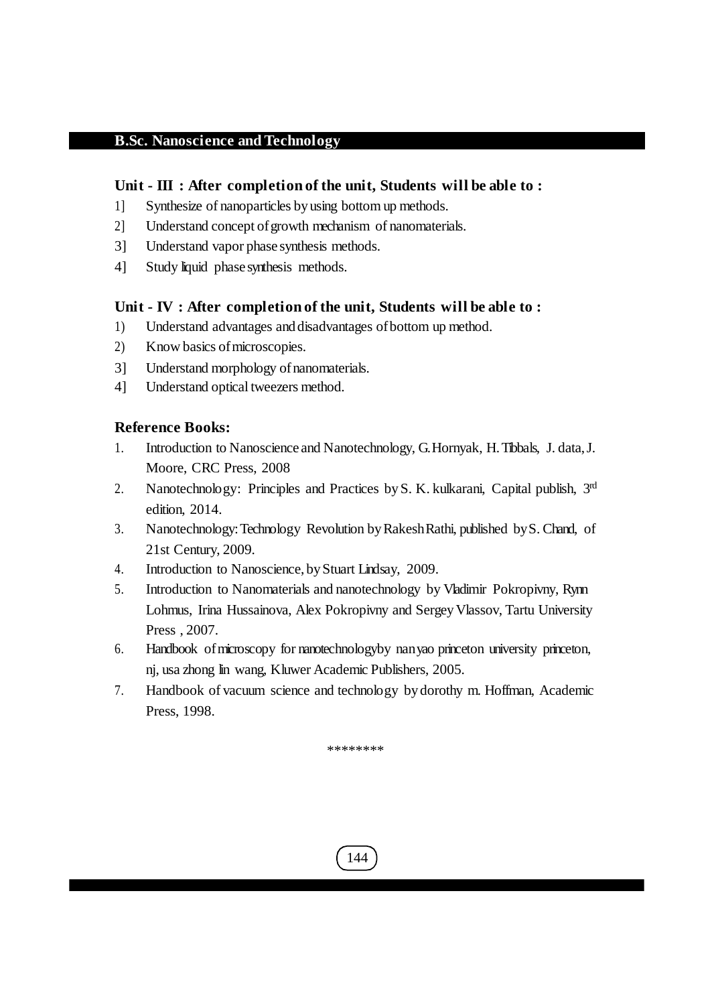# **Unit - III : After completion of the unit, Students will be able to :**

- 1] Synthesize of nanoparticles by using bottom up methods.
- 2] Understand concept ofgrowth mechanism of nanomaterials.
- 3] Understand vapor phase synthesis methods.
- 4] Study liquid phase synthesis methods.

# **Unit - IV : After completion of the unit, Students will be able to :**

- 1) Understand advantages and disadvantages of bottom up method.
- 2) Know basics ofmicroscopies.
- 3] Understand morphology of nanomaterials.
- 4] Understand optical tweezers method.

# **Reference Books:**

- 1. Introduction to Nanoscience and Nanotechnology, G.Hornyak, H.Tibbals, J. data,J. Moore, CRC Press, 2008
- 2. Nanotechnology: Principles and Practices by S. K. kulkarani, Capital publish, 3rd edition, 2014.
- 3. Nanotechnology:Technology Revolution byRakeshRathi, published byS. Chand, of 21st Century, 2009.
- 4. Introduction to Nanoscience, byStuart Lindsay, 2009.
- 5. Introduction to Nanomaterials and nanotechnology by Vladimir Pokropivny, Rynn Lohmus, Irina Hussainova, Alex Pokropivny and Sergey Vlassov, Tartu University Press , 2007.
- 6. Handbook ofmicroscopy for nanotechnologyby nanyao princeton university princeton, nj, usa zhong lin wang, Kluwer Academic Publishers, 2005.
- 7. Handbook of vacuum science and technology by dorothy m. Hoffman, Academic Press, 1998.

\*\*\*\*\*\*\*\*

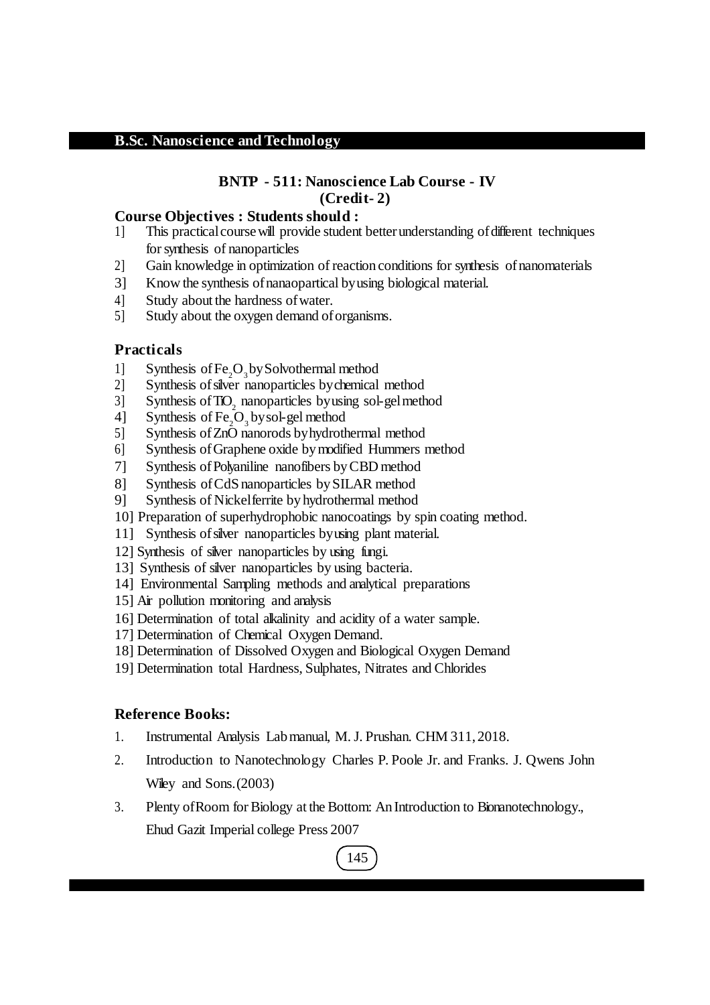# **BNTP - 511: Nanoscience Lab Course - IV (Credit- 2)**

### **Course Objectives : Students should :**

- 1] This practical course will provide student better understanding of different techniques forsynthesis of nanoparticles
- 2] Gain knowledge in optimization of reaction conditions for synthesis ofnanomaterials
- 3] Know the synthesis ofnanaopartical byusing biological material.
- 4] Study about the hardness ofwater.
- 5] Study about the oxygen demand oforganisms.

## **Practicals**

- 1] Synthesis of  $Fe<sub>2</sub>O<sub>3</sub>$  by Solvothermal method
- 2] Synthesis ofsilver nanoparticles bychemical method
- 3] Synthesis of  $TO<sub>2</sub>$  nanoparticles by using sol-gel method
- 4] Synthesis of  $Fe<sub>2</sub>O<sub>3</sub>$  by sol-gel method
- 5] Synthesis ofZnO nanorods byhydrothermal method
- 6] Synthesis ofGraphene oxide bymodified Hummers method
- 7] Synthesis of Polyaniline nanofibers by CBD method
- 8] Synthesis ofCdSnanoparticles bySILAR method
- 9] Synthesis of Nickelferrite by hydrothermal method
- 10] Preparation of superhydrophobic nanocoatings by spin coating method.
- 11] Synthesis ofsilver nanoparticles byusing plant material.
- 12] Synthesis of silver nanoparticles by using fungi.
- 13] Synthesis of silver nanoparticles by using bacteria.
- 14] Environmental Sampling methods and analytical preparations
- 15] Air pollution monitoring and analysis
- 16] Determination of total alkalinity and acidity of a water sample.
- 17] Determination of Chemical Oxygen Demand.
- 18] Determination of Dissolved Oxygen and Biological Oxygen Demand
- 19] Determination total Hardness, Sulphates, Nitrates and Chlorides

# **Reference Books:**

- 1. Instrumental Analysis Labmanual, M.J. Prushan. CHM 311, 2018.
- 2. Introduction to Nanotechnology Charles P. Poole Jr. and Franks. J. Qwens John Wiley and Sons. (2003)
- 3. Plenty ofRoom for Biology at the Bottom: AnIntroduction to Bionanotechnology., Ehud Gazit Imperial college Press 2007

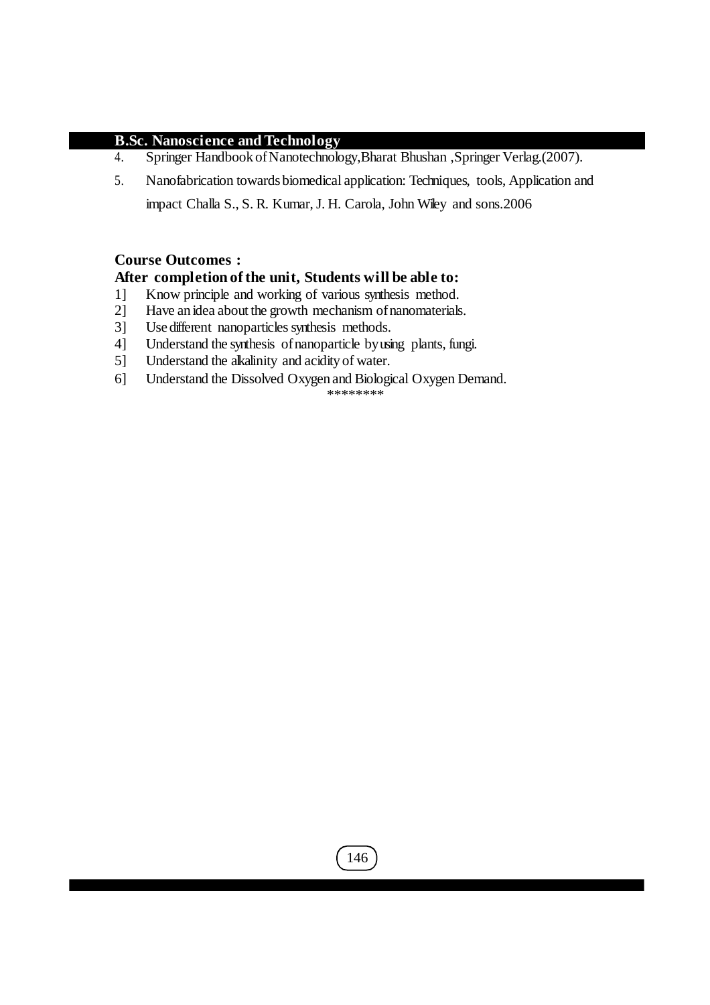- 4. Springer Handbook of Nanotechnology, Bharat Bhushan , Springer Verlag.(2007).
- 5. Nanofabrication towardsbiomedical application: Techniques, tools, Application and impact Challa S., S. R. Kumar, J. H. Carola, John Wiley and sons.2006

# **Course Outcomes :**

# **After completion of the unit, Students will be able to:**

- 1] Know principle and working of various synthesis method.<br>2] Have an idea about the growth mechanism of nanomaterials
- Have an idea about the growth mechanism of nanomaterials.
- 3] Use different nanoparticles synthesis methods.
- 4] Understand the synthesis ofnanoparticle byusing plants, fungi.
- 5] Understand the alkalinity and acidity of water.
- 6] Understand the Dissolved Oxygen and Biological Oxygen Demand.

\*\*\*\*\*\*\*\*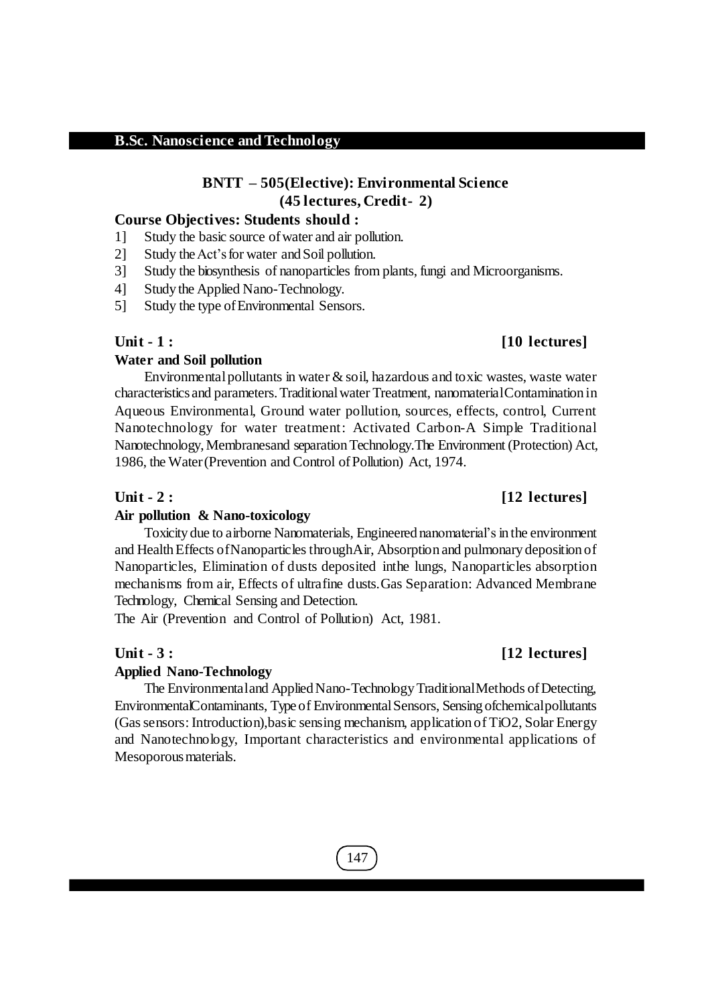# **BNTT – 505(Elective): Environmental Science (45 lectures, Credit- 2)**

#### **Course Objectives: Students should :**

- 1] Study the basic source ofwater and air pollution.
- 2] Study the Act's for water and Soil pollution.
- 3] Study the biosynthesis of nanoparticles from plants, fungi and Microorganisms.
- 4] Study the Applied Nano-Technology.
- 5] Study the type ofEnvironmental Sensors.

#### **Water and Soil pollution**

Environmental pollutants in water  $\&$  soil, hazardous and toxic wastes, waste water characteristics and parameters.Traditionalwater Treatment, nanomaterialContamination in Aqueous Environmental, Ground water pollution, sources, effects, control, Current Nanotechnology for water treatment: Activated Carbon-A Simple Traditional Nanotechnology,Membranesand separationTechnology.The Environment (Protection) Act, 1986, the Water (Prevention and Control of Pollution) Act, 1974.

#### **Unit - 2 : [12 lectures]**

#### **Air pollution & Nano-toxicology**

Toxicity due to airborne Nanomaterials, Engineered nanomaterial's in the environment and Health Effects of Nanoparticles through Air, Absorption and pulmonary deposition of Nanoparticles, Elimination of dusts deposited inthe lungs, Nanoparticles absorption mechanisms from air, Effects of ultrafine dusts.Gas Separation: Advanced Membrane Technology, Chemical Sensing and Detection.

The Air (Prevention and Control of Pollution) Act, 1981.

#### **Applied Nano-Technology**

The Environmental and Applied Nano-Technology Traditional Methods of Detecting, EnvironmentalContaminants, Type of Environmental Sensors, Sensing of chemical pollutants (Gassensors:Introduction),basic sensing mechanism, application of TiO2, Solar Energy and Nanotechnology, Important characteristics and environmental applications of Mesoporous materials.

# **Unit - 1 : [10 lectures]**

# **Unit - 3 : [12 lectures]**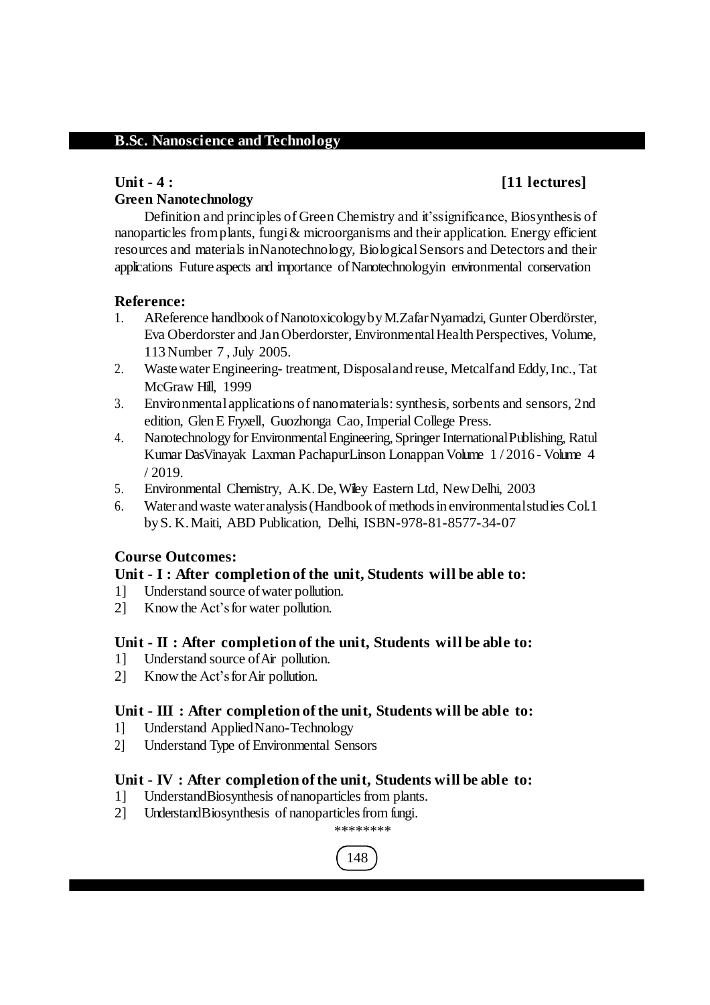# **Unit - 4 : [11 lectures]**

# **Green Nanotechnology**

Definition and principles of Green Chemistry and it'ssignificance, Biosynthesis of nanoparticles from plants, fungi  $\&$  microorganisms and their application. Energy efficient resources and materials inNanotechnology, BiologicalSensors and Detectors and their applications Future aspects and importance of Nanotechnologyin environmental conservation

# **Reference:**

- 1. AReference handbook ofNanotoxicologybyM.ZafarNyamadzi, Gunter Oberdörster, Eva Oberdorster and Jan Oberdorster, Environmental Health Perspectives, Volume, 113Number 7 ,July 2005.
- 2. Wastewater Engineering- treatment, Disposaland reuse, Metcalfand Eddy,Inc., Tat McGraw Hill, 1999
- 3. Environmentalapplications of nanomaterials:synthesis, sorbents and sensors, 2nd edition, Glen E Fryxell, Guozhonga Cao, Imperial College Press.
- 4. Nanotechnology for EnvironmentalEngineering,Springer InternationalPublishing, Ratul Kumar DasVinayak Laxman PachapurLinson LonappanVolume 1 / 2016 - Volume 4 / 2019.
- 5. Environmental Chemistry, A.K. De, Wiley Eastern Ltd, New Delhi, 2003
- 6. Waterandwaste wateranalysis(Handbook of methodsin environmentalstudies Col.1 byS. K.Maiti, ABD Publication, Delhi, ISBN-978-81-8577-34-07

## **Course Outcomes:**

## **Unit - I : After completion of the unit, Students will be able to:**

- 1] Understand source ofwater pollution.
- 2] Know the Act'sfor water pollution.

## **Unit - II : After completion of the unit, Students will be able to:**

- 1] Understand source ofAir pollution.
- 2] Know the Act's for Air pollution.

## **Unit - III : After completion of the unit, Students will be able to:**

- 1] Understand AppliedNano-Technology
- 2] Understand Type of Environmental Sensors

# **Unit - IV : After completion of the unit, Students will be able to:**

- 1] UnderstandBiosynthesis of nanoparticles from plants.
- 2] UnderstandBiosynthesis of nanoparticles from fungi.

#### \*\*\*\*\*\*\*\*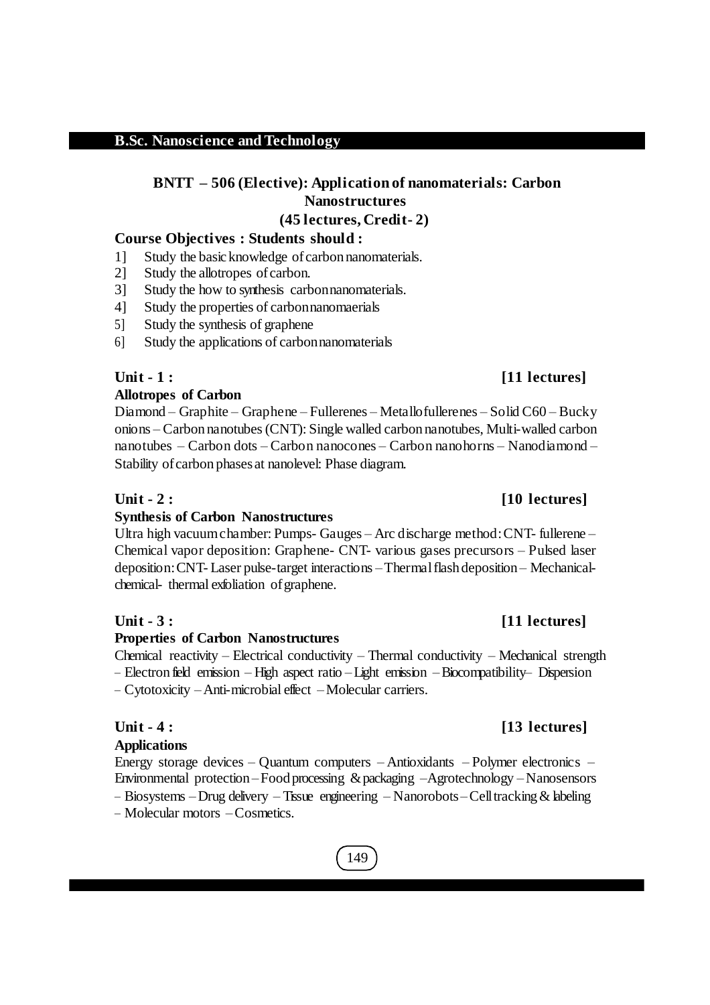# **BNTT – 506 (Elective): Application of nanomaterials: Carbon Nanostructures**

# **(45 lectures, Credit- 2)**

# **Course Objectives : Students should :**

- 1] Study the basicknowledge ofcarbon nanomaterials.
- 2] Study the allotropes ofcarbon.
- 3] Study the how to synthesis carbonnanomaterials.
- 4] Study the properties of carbonnanomaerials
- 5] Study the synthesis of graphene
- 6] Study the applications of carbonnanomaterials

# **Allotropes of Carbon**

Diamond – Graphite – Graphene – Fullerenes – Metallofullerenes – Solid C60 – Bucky onions – Carbon nanotubes(CNT): Single walled carbon nanotubes, Multi-walled carbon nanotubes – Carbon dots – Carbon nanocones – Carbon nanohorns – Nanodiamond – Stability of carbon phases at nanolevel: Phase diagram.

# **Unit - 2 : [10 lectures]**

# **Synthesis of Carbon Nanostructures**

Ultra high vacuumchamber: Pumps- Gauges – Arc discharge method:CNT- fullerene – Chemical vapor deposition: Graphene- CNT- various gases precursors – Pulsed laser deposition:CNT- Laser pulse-target interactions –Thermalflash deposition – Mechanicalchemical- thermal exfoliation ofgraphene.

# **Properties of Carbon Nanostructures**

Chemical reactivity – Electrical conductivity – Thermal conductivity – Mechanical strength – Electron field emission – High aspect ratio –Light emission –Biocompatibility– Dispersion – Cytotoxicity –Anti-microbial effect –Molecular carriers.

# **Applications**

Energy storage devices – Quantum computers – Antioxidants – Polymer electronics – Environmental protection –Food processing &packaging –Agrotechnology –Nanosensors

– Biosystems –Drug delivery – Tissue engineering – Nanorobots–Celltracking& labeling – Molecular motors –Cosmetics.

# 149

# **Unit - 1 : [11 lectures]**

# **Unit - 3 : [11 lectures]**

# **Unit - 4 : [13 lectures]**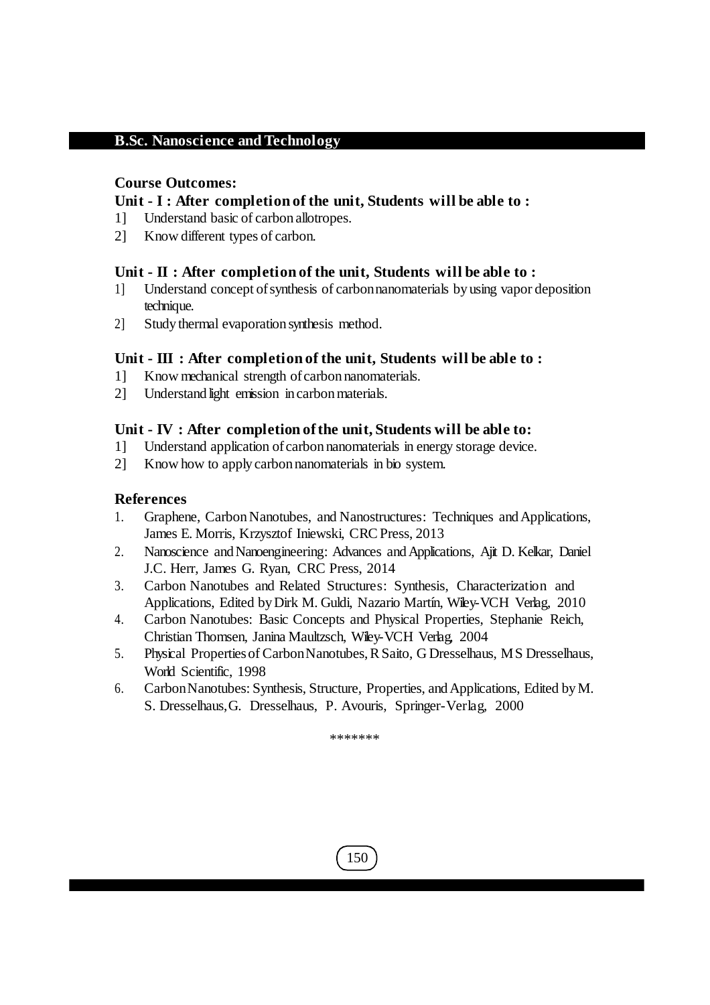# **Course Outcomes:**

# **Unit - I : After completion of the unit, Students will be able to :**

- 1] Understand basic of carbon allotropes.
- 2] Know different types of carbon.

# **Unit - II : After completion of the unit, Students will be able to :**

- 1] Understand concept ofsynthesis of carbonnanomaterials by using vapor deposition technique.
- 2] Study thermal evaporation synthesis method.

# **Unit - III : After completion of the unit, Students will be able to :**

- 1] Know mechanical strength ofcarbon nanomaterials.
- 2] Understand light emission in carbonmaterials.

# **Unit - IV : After completion of the unit, Students will be able to:**

- 1] Understand application ofcarbon nanomaterials in energy storage device.
- 2] Know how to apply carbon nanomaterials in bio system.

# **References**

- 1. Graphene, Carbon Nanotubes, and Nanostructures: Techniques and Applications, James E. Morris, Krzysztof Iniewski, CRCPress, 2013
- 2. Nanoscience and Nanoengineering: Advances and Applications, Ajit D. Kelkar, Daniel J.C. Herr, James G. Ryan, CRC Press, 2014
- 3. Carbon Nanotubes and Related Structures: Synthesis, Characterization and Applications, Edited by Dirk M. Guldi, Nazario Martín, Wiley-VCH Verlag, 2010
- 4. Carbon Nanotubes: Basic Concepts and Physical Properties, Stephanie Reich, Christian Thomsen, Janina Maultzsch, Wiley-VCH Verlag, 2004
- 5. Physical Propertiesof CarbonNanotubes,RSaito, G Dresselhaus, MS Dresselhaus, World Scientific, 1998
- 6. CarbonNanotubes: Synthesis, Structure, Properties, andApplications, Edited byM. S. Dresselhaus,G. Dresselhaus, P. Avouris, Springer-Verlag, 2000

\*\*\*\*\*\*\*

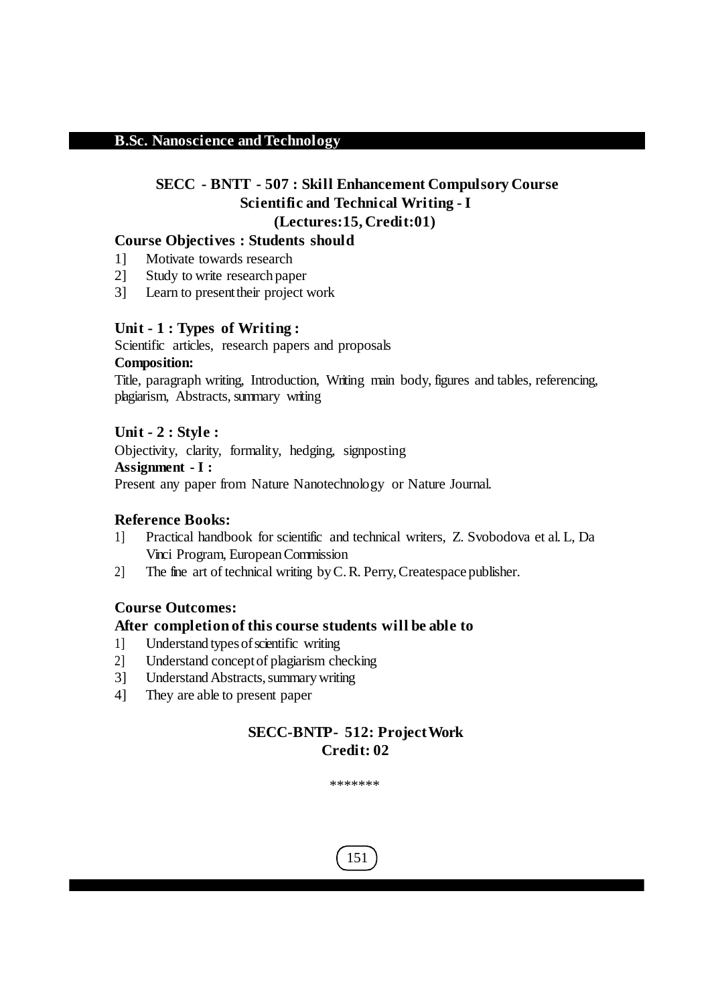# **SECC - BNTT - 507 : Skill Enhancement Compulsory Course Scientific and Technical Writing - I (Lectures:15, Credit:01)**

## **Course Objectives : Students should**

- 1] Motivate towards research
- 2] Study to write research paper
- 3] Learn to present their project work

## **Unit - 1 : Types of Writing :**

Scientific articles, research papers and proposals **Composition:**

Title, paragraph writing, Introduction, Writing main body, figures and tables, referencing, plagiarism, Abstracts, summary writing

## **Unit - 2 : Style :**

Objectivity, clarity, formality, hedging, signposting **Assignment - I :** Present any paper from Nature Nanotechnology or Nature Journal.

#### **Reference Books:**

- 1] Practical handbook for scientific and technical writers, Z. Svobodova et al. L, Da Vinci Program, EuropeanCommission
- 2] The fine art of technical writing byC.R. Perry,Createspace publisher.

## **Course Outcomes:**

#### **After completion of this course students will be able to**

- 1] Understand typesofscientific writing
- 2] Understand conceptof plagiarism checking
- 3] Understand Abstracts, summary writing
- 4] They are able to present paper

# **SECC-BNTP- 512: ProjectWork Credit: 02**

\*\*\*\*\*\*\*

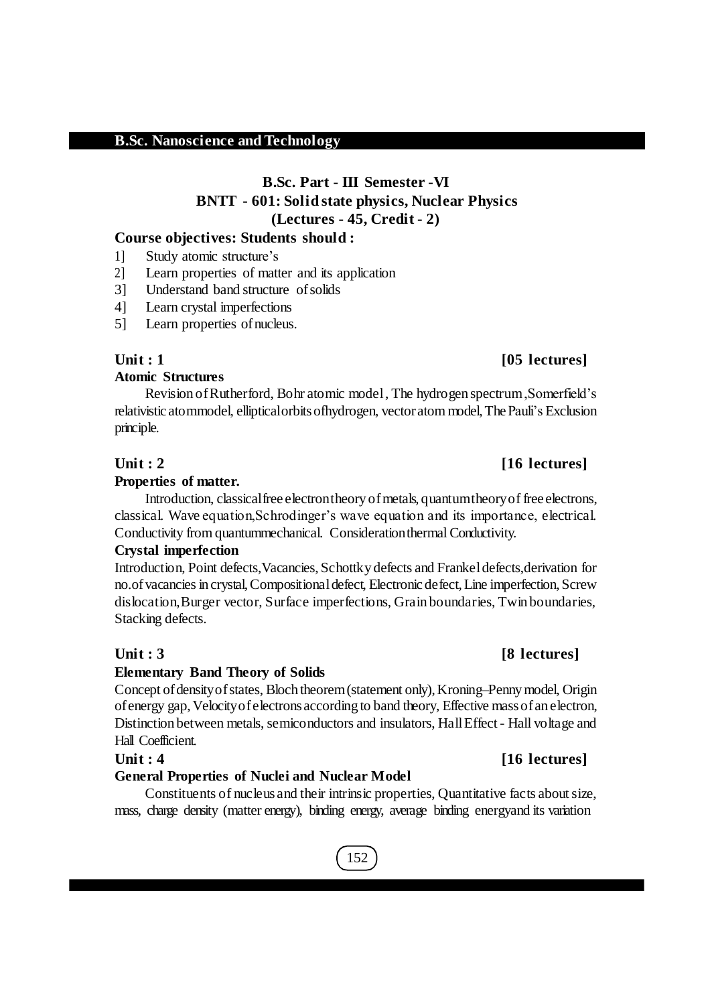# **B.Sc. Part - III Semester -VI BNTT - 601: Solid state physics, Nuclear Physics (Lectures - 45, Credit - 2)**

### **Course objectives: Students should :**

- 1] Study atomic structure's
- 2] Learn properties of matter and its application
- 3] Understand band structure ofsolids
- 4] Learn crystal imperfections
- 5] Learn properties ofnucleus.

## **Atomic Structures**

Revision ofRutherford, Bohr atomic model, The hydrogen spectrum,Somerfield's relativistic atommodel, elliptical orbits of hydrogen, vector atom model, The Pauli's Exclusion principle.

# **Unit : 2 [16 lectures]**

#### **Properties of matter.**

Introduction, classical free electron theory of metals, quantum theory of free electrons, classical. Wave equation,Schrodinger's wave equation and its importance, electrical. Conductivity from quantummechanical. Considerationthermal Conductivity.

#### **Crystal imperfection**

Introduction, Point defects,Vacancies,Schottky defects and Frankeldefects,derivation for no.of vacancies in crystal, Compositional defect, Electronic defect, Line imperfection, Screw dislocation,Burger vector, Surface imperfections, Grain boundaries, Twin boundaries, Stacking defects.

#### **Elementary Band Theory of Solids**

Concept of density of states, Bloch theorem (statement only), Kroning–Penny model, Origin ofenergy gap,Velocityofelectrons according to band theory, Effective massofan electron, Distinction between metals, semiconductors and insulators, Hall Effect - Hall voltage and Hall Coefficient.

## **General Properties of Nuclei and Nuclear Model**

Constituents of nucleus and their intrinsic properties, Quantitative facts aboutsize, mass, charge density (matter energy), binding energy, average binding energyand its variation

# 152

# **Unit : 3 [8 lectures]**

# **Unit : 4 [16 lectures]**

# **Unit : 1 [05 lectures]**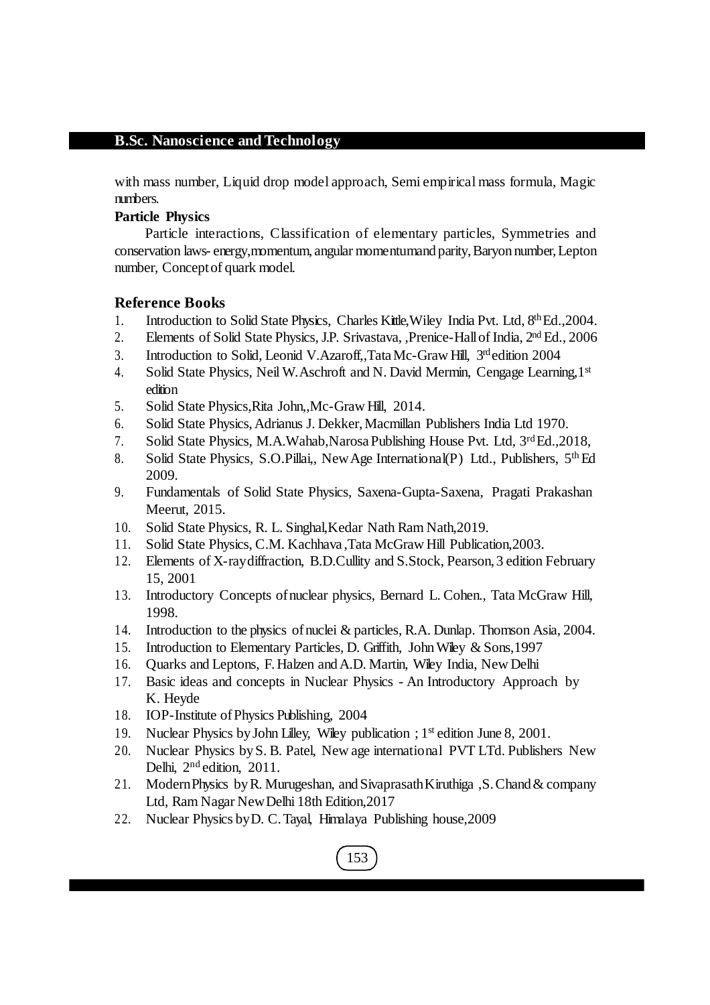with mass number, Liquid drop model approach, Semi empirical mass formula, Magic numbers.

# **Particle Physics**

Particle interactions, Classification of elementary particles, Symmetries and conservation laws- energy, momentum, angular momentum and parity, Baryon number, Lepton number, Conceptof quark model.

# **Reference Books**

- 1. Introduction to Solid State Physics, Charles Kittle, Wiley India Pvt. Ltd, 8th Ed., 2004.
- 2. Elements of Solid State Physics, J.P. Srivastava, , Prenice-Hall of India, 2<sup>nd</sup> Ed., 2006
- 3. Introduction to Solid, Leonid V. Azaroff,, Tata Mc-Graw Hill, 3rd edition 2004
- 4. Solid State Physics, Neil W.Aschroft and N. David Mermin, Cengage Learning,1st edition
- 5. Solid State Physics,Rita John,,Mc-Graw Hill, 2014.
- 6. Solid State Physics, Adrianus J. Dekker, Macmillan Publishers India Ltd 1970.
- 7. Solid State Physics, M.A.Wahab, Narosa Publishing House Pvt. Ltd, 3<sup>rd</sup>Ed., 2018,
- 8. Solid State Physics, S.O.Pillai,, New Age International(P) Ltd., Publishers, 5<sup>th</sup> Ed 2009.
- 9. Fundamentals of Solid State Physics, Saxena-Gupta-Saxena, Pragati Prakashan Meerut, 2015.
- 10. Solid State Physics, R. L. Singhal,Kedar Nath Ram Nath,2019.
- 11. Solid State Physics, C.M. Kachhava ,Tata McGraw Hill Publication,2003.
- 12. Elements of X-raydiffraction, B.D.Cullity and S.Stock, Pearson, 3 edition February 15, 2001
- 13. Introductory Concepts ofnuclear physics, Bernard L. Cohen., Tata McGraw Hill, 1998.
- 14. Introduction to the physics ofnuclei & particles, R.A. Dunlap. Thomson Asia, 2004.
- 15. Introduction to Elementary Particles, D. Griffith, John Wiley & Sons, 1997
- 16. Quarks and Leptons, F.Halzen andA.D. Martin, Wiley India, New Delhi
- 17. Basic ideas and concepts in Nuclear Physics An Introductory Approach by K. Heyde
- 18. IOP-Institute ofPhysics Publishing, 2004
- 19. Nuclear Physics by John Lilley, Wiley publication ; 1<sup>st</sup> edition June 8, 2001.
- 20. Nuclear Physics byS. B. Patel, New age international PVT LTd. Publishers New Delhi, 2<sup>nd</sup> edition, 2011.
- 21. ModernPhysics byR. Murugeshan, andSivaprasathKiruthiga ,S.Chand& company Ltd, Ram Nagar NewDelhi 18th Edition,2017
- 22. Nuclear Physics byD. C.Tayal, Himalaya Publishing house,2009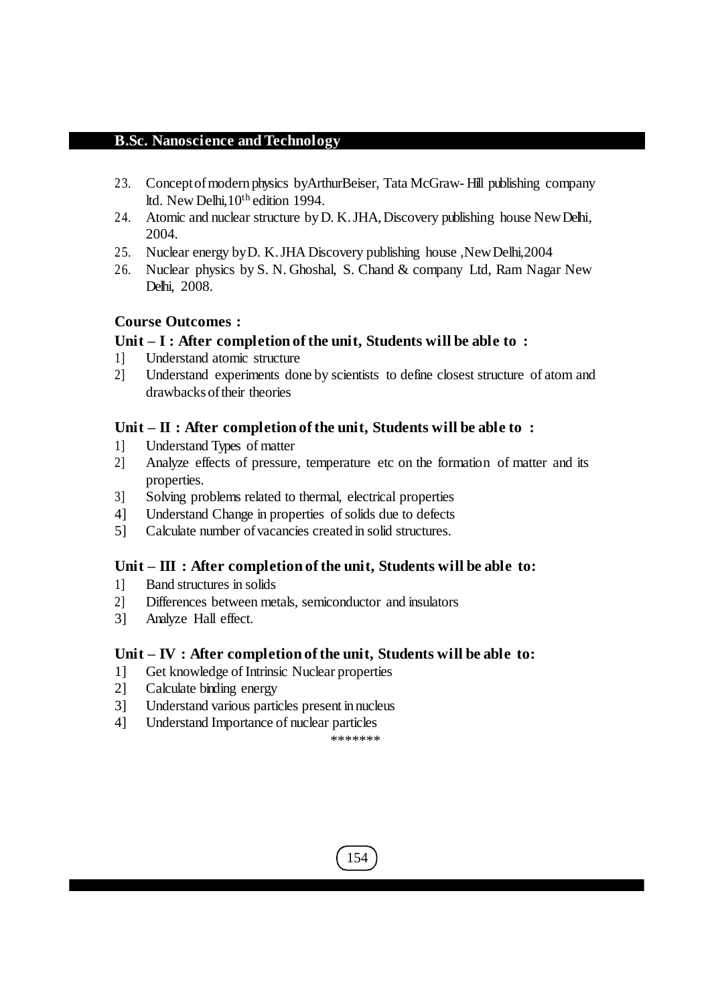- 23. Conceptofmodern physics byArthurBeiser, Tata McGraw- Hill publishing company ltd. New Delhi,10th edition 1994.
- 24. Atomic and nuclear structure byD. K.JHA,Discovery publishing house NewDelhi, 2004.
- 25. Nuclear energy byD. K.JHA Discovery publishing house ,NewDelhi,2004
- 26. Nuclear physics by S. N. Ghoshal, S. Chand & company Ltd, Ram Nagar New Delhi, 2008.

# **Course Outcomes :**

# **Unit – I : After completion of the unit, Students will be able to :**

- 1] Understand atomic structure
- 2] Understand experiments done by scientists to define closest structure of atom and drawbacksoftheir theories

# **Unit – II : After completion of the unit, Students will be able to :**

- 1] Understand Types of matter
- 2] Analyze effects of pressure, temperature etc on the formation of matter and its properties.
- 3] Solving problems related to thermal, electrical properties
- 4] Understand Change in properties ofsolids due to defects
- 5] Calculate number ofvacancies created in solid structures.

# **Unit – III : After completion of the unit, Students will be able to:**

- 1] Band structures in solids
- 2] Differences between metals, semiconductor and insulators
- 3] Analyze Hall effect.

## **Unit – IV : After completion of the unit, Students will be able to:**

- 1] Get knowledge of Intrinsic Nuclear properties
- 2] Calculate binding energy
- 3] Understand various particles present in nucleus
- 4] Understand Importance of nuclear particles

```
*******
```
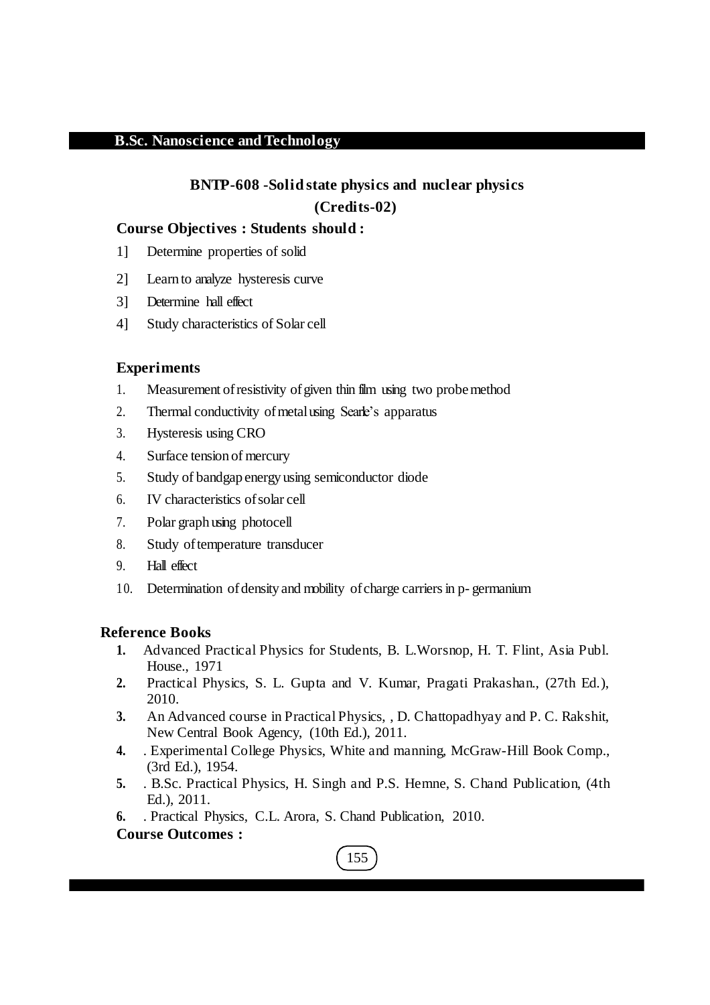# **BNTP-608 -Solid state physics and nuclear physics (Credits-02)**

# **Course Objectives : Students should :**

- 1] Determine properties of solid
- 2] Learn to analyze hysteresis curve
- 3] Determine hall effect
- 4] Study characteristics of Solar cell

# **Experiments**

- 1. Measurement of resistivity of given thin film using two probemethod
- 2. Thermal conductivity of metal using Searle's apparatus
- 3. Hysteresis using CRO
- 4. Surface tension of mercury
- 5. Study of bandgap energy using semiconductor diode
- 6. IV characteristics ofsolar cell
- 7. Polar graph using photocell
- 8. Study of temperature transducer
- 9. Hall effect
- 10. Determination of density and mobility of charge carriers in p-germanium

## **Reference Books**

- **1.** Advanced Practical Physics for Students, B. L.Worsnop, H. T. Flint, Asia Publ. House., 1971
- **2.** Practical Physics, S. L. Gupta and V. Kumar, Pragati Prakashan., (27th Ed.), 2010.
- **3.** An Advanced course in Practical Physics, , D. Chattopadhyay and P. C. Rakshit, New Central Book Agency, (10th Ed.), 2011.
- **4.** . Experimental College Physics, White and manning, McGraw-Hill Book Comp., (3rd Ed.), 1954.
- **5.** . B.Sc. Practical Physics, H. Singh and P.S. Hemne, S. Chand Publication, (4th Ed.), 2011.
- **6.** . Practical Physics, C.L. Arora, S. Chand Publication, 2010.

# **Course Outcomes :**

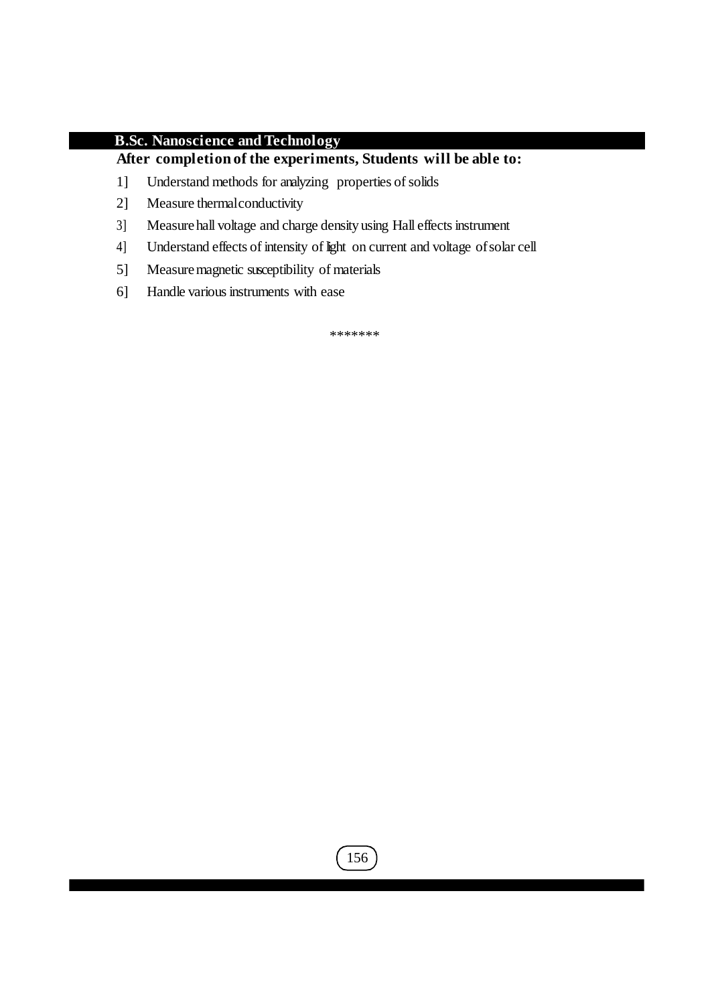# **After completion of the experiments, Students will be able to:**

- 1] Understand methods for analyzing properties of solids
- 2] Measure thermalconductivity
- 3] Measure hall voltage and charge density using Hall effects instrument
- 4] Understand effects of intensity of light on current and voltage ofsolar cell
- 5] Measure magnetic susceptibility of materials
- 6] Handle various instruments with ease

\*\*\*\*\*\*\*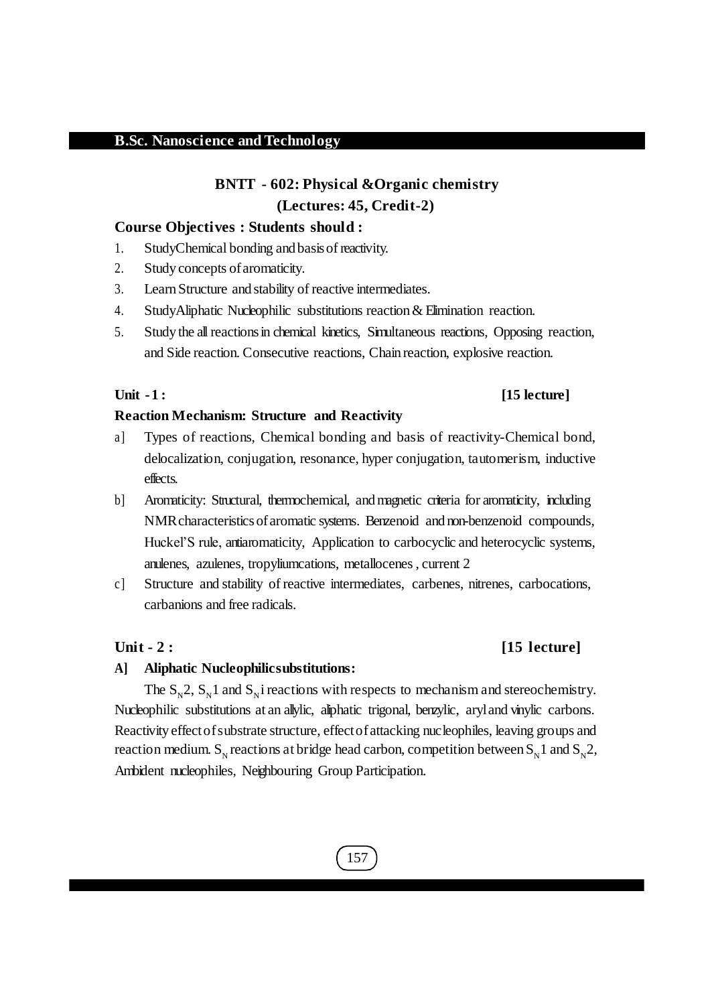# **BNTT - 602: Physical &Organic chemistry (Lectures: 45, Credit-2)**

#### **Course Objectives : Students should :**

- 1. StudyChemical bonding and basisof reactivity.
- 2. Study concepts of aromaticity.
- 3. LearnStructure and stability of reactive intermediates.
- 4. StudyAliphatic Nucleophilic substitutions reaction & Elimination reaction.
- 5. Study the allreactionsin chemical kinetics, Simultaneous reactions, Opposing reaction, and Side reaction. Consecutive reactions, Chain reaction, explosive reaction.

#### **Unit -1 : [15 lecture]**

#### **Reaction Mechanism: Structure and Reactivity**

- a] Types of reactions, Chemical bonding and basis of reactivity-Chemical bond, delocalization, conjugation, resonance, hyper conjugation, tautomerism, inductive effects.
- b] Aromaticity: Structural, thermochemical, and magnetic criteria for aromaticity, including NMRcharacteristicsofaromatic systems. Benzenoid and non-benzenoid compounds, Huckel'S rule, antiaromaticity, Application to carbocyclic and heterocyclic systems, anulenes, azulenes, tropyliumcations, metallocenes, current 2
- c] Structure and stability of reactive intermediates, carbenes, nitrenes, carbocations, carbanions and free radicals.

## **Unit - 2 : [15 lecture]**

#### **A] Aliphatic Nucleophilicsubstitutions:**

The  $S_N^2$ ,  $S_N^1$  and  $S_N^1$  reactions with respects to mechanism and stereochemistry. Nucleophilic substitutions at an allylic, aliphatic trigonal, benzylic, aryl and vinylic carbons. Reactivity effectofsubstrate structure, effectofattacking nucleophiles, leaving groups and reaction medium. S<sub>N</sub> reactions at bridge head carbon, competition between S<sub>N</sub>1 and S<sub>N</sub>2, Ambident nucleophiles, Neighbouring Group Participation.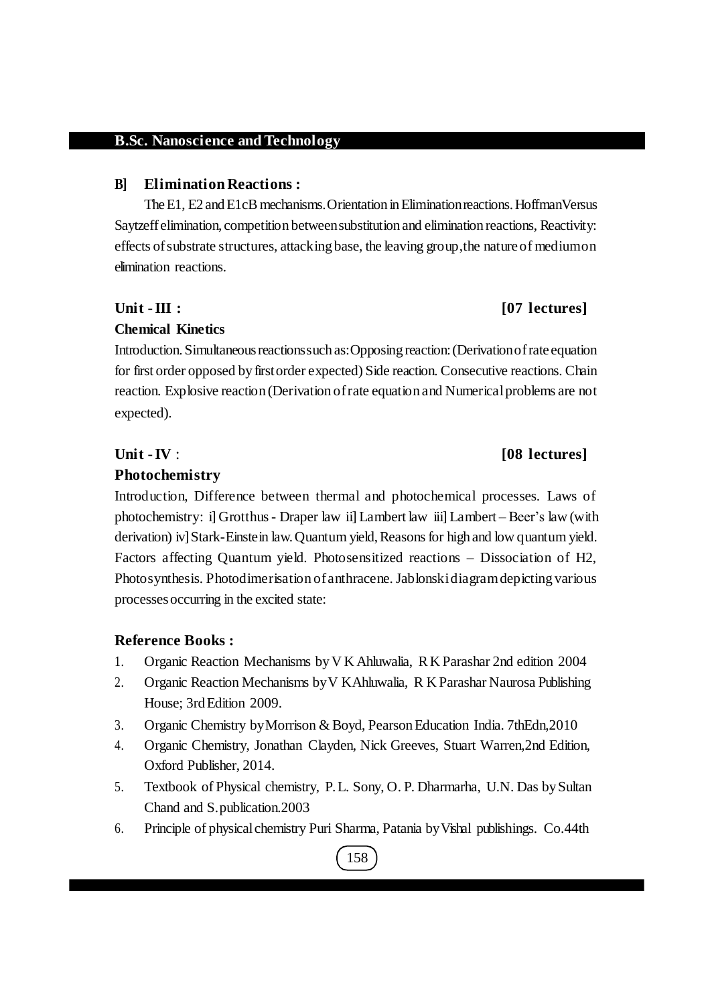#### **B] Elimination Reactions :**

The E1, E2 and E1cB mechanisms. Orientation in Elimination reactions. HoffmanVersus Saytzeff elimination, competition betweensubstitution and elimination reactions, Reactivity: effects ofsubstrate structures, attacking base, the leaving group,the nature of mediumon elimination reactions.

#### **Unit -III : [07 lectures]**

#### **Chemical Kinetics**

Introduction. Simultaneous reactions such as: Opposing reaction: (Derivation of rate equation for first order opposed by firstorder expected) Side reaction. Consecutive reactions. Chain reaction. Explosive reaction (Derivation ofrate equation and Numericalproblems are not expected).

#### **Photochemistry**

Introduction, Difference between thermal and photochemical processes. Laws of photochemistry: i] Grotthus - Draper law ii] Lambert law iii] Lambert – Beer's law (with derivation) iv] Stark-Einstein law. Quantum yield, Reasons for high and low quantum yield. Factors affecting Quantum yield. Photosensitized reactions – Dissociation of H2, Photosynthesis. Photodimerisation ofanthracene. Jablonskidiagramdepicting various processesoccurring in the excited state:

## **Reference Books :**

- 1. Organic Reaction Mechanisms byV K Ahluwalia, R K Parashar 2nd edition 2004
- 2. Organic Reaction Mechanisms byV KAhluwalia, R K Parashar Naurosa Publishing House: 3rd Edition 2009.
- 3. Organic Chemistry byMorrison & Boyd, PearsonEducation India. 7thEdn,2010
- 4. Organic Chemistry, Jonathan Clayden, Nick Greeves, Stuart Warren,2nd Edition, Oxford Publisher, 2014.
- 5. Textbook of Physical chemistry, P.L. Sony, O. P. Dharmarha, U.N. Das bySultan Chand and S.publication.2003
- 6. Principle of physicalchemistry Puri Sharma, Patania byVishal publishings. Co.44th

# 158

# **Unit -IV** : **[08 lectures]**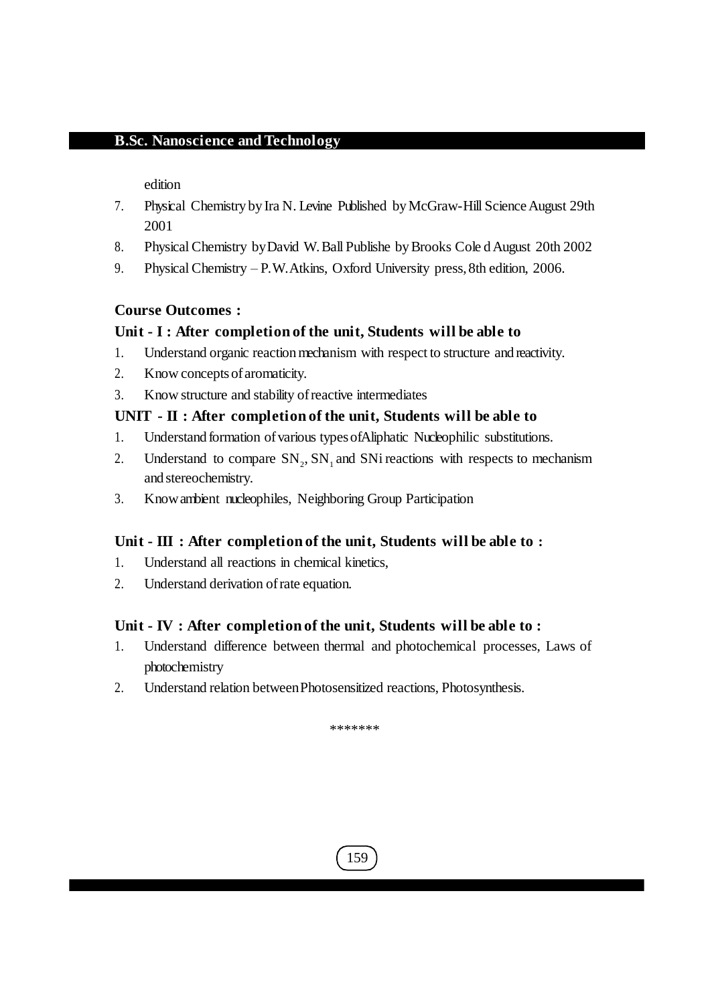edition

- 7. Physical Chemistry by Ira N. Levine Published by McGraw-Hill Science August 29th 2001
- 8. Physical Chemistry by David W. Ball Publishe by Brooks Cole d August 20th 2002
- 9. Physical Chemistry P.W. Atkins, Oxford University press, 8th edition, 2006.

# **Course Outcomes :**

# **Unit - I : After completion of the unit, Students will be able to**

- 1. Understand organic reaction mechanism with respect to structure and reactivity.
- 2. Know conceptsofaromaticity.
- 3. Know structure and stability ofreactive intermediates

# **UNIT - II : After completion of the unit, Students will be able to**

- 1. Understand formation ofvarious typesofAliphatic Nucleophilic substitutions.
- 2. Understand to compare  $SN_2$ ,  $SN_1$  and  $SNi$  reactions with respects to mechanism and stereochemistry.
- 3. Knowambient nucleophiles, Neighboring Group Participation

# **Unit - III : After completion of the unit, Students will be able to :**

- 1. Understand all reactions in chemical kinetics,
- 2. Understand derivation ofrate equation.

## **Unit - IV : After completion of the unit, Students will be able to :**

- 1. Understand difference between thermal and photochemical processes, Laws of photochemistry
- 2. Understand relation betweenPhotosensitized reactions, Photosynthesis.

\*\*\*\*\*\*\*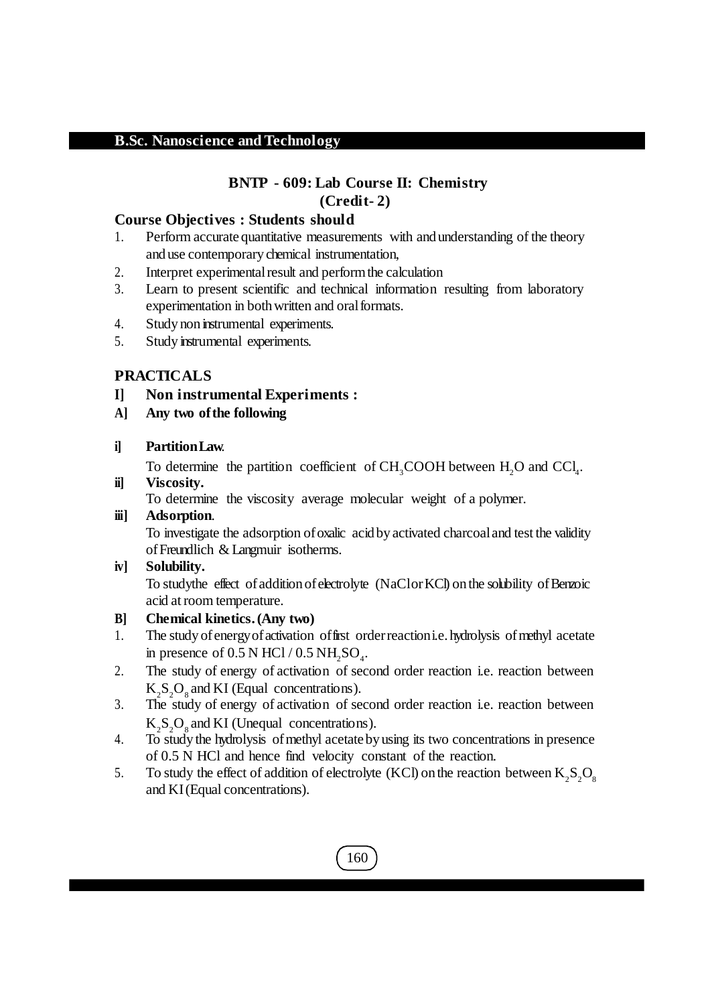# **BNTP - 609: Lab Course II: Chemistry (Credit- 2)**

# **Course Objectives : Students should**

- 1. Perform accurate quantitative measurements with and understanding of the theory and use contemporary chemical instrumentation,
- 2. Interpret experimental result and perform the calculation
- 3. Learn to present scientific and technical information resulting from laboratory experimentation in both written and oral formats.
- 4. Study non instrumental experiments.
- 5. Study instrumental experiments.

# **PRACTICALS**

- **I] Non instrumental Experiments :**
- **A] Any two ofthe following**

# **i] PartitionLaw**.

To determine the partition coefficient of  $CH_3COOH$  between  $H_2O$  and  $CCl_4$ .

# **ii] Viscosity.**

To determine the viscosity average molecular weight of a polymer.

## **iii] Adsorption**.

To investigate the adsorption ofoxalic acid byactivated charcoaland test the validity ofFreundlich & Langmuir isotherms.

## **iv] Solubility.**

To studythe effect of addition of electrolyte (NaClor KCl) on the solubility of Benzoic acid atroom temperature.

## **B] Chemical kinetics.(Any two)**

- 1. The study of energy of activation of first order reaction i.e. hydrolysis of methyl acetate in presence of  $0.5$  N HCl /  $0.5$  NH<sub>2</sub>SO<sub>4</sub>.
- 2. The study of energy of activation of second order reaction i.e. reaction between  $K_2S_2O_8$  and KI (Equal concentrations).
- 3. The study of energy of activation of second order reaction i.e. reaction between  $K_2S_2O_8$  and KI (Unequal concentrations).
- 4. To study the hydrolysis ofmethyl acetateby using its two concentrations in presence of 0.5 N HCl and hence find velocity constant of the reaction.
- 5. To study the effect of addition of electrolyte (KCl) on the reaction between  $K_2S_2O_8$ and KI(Equal concentrations).

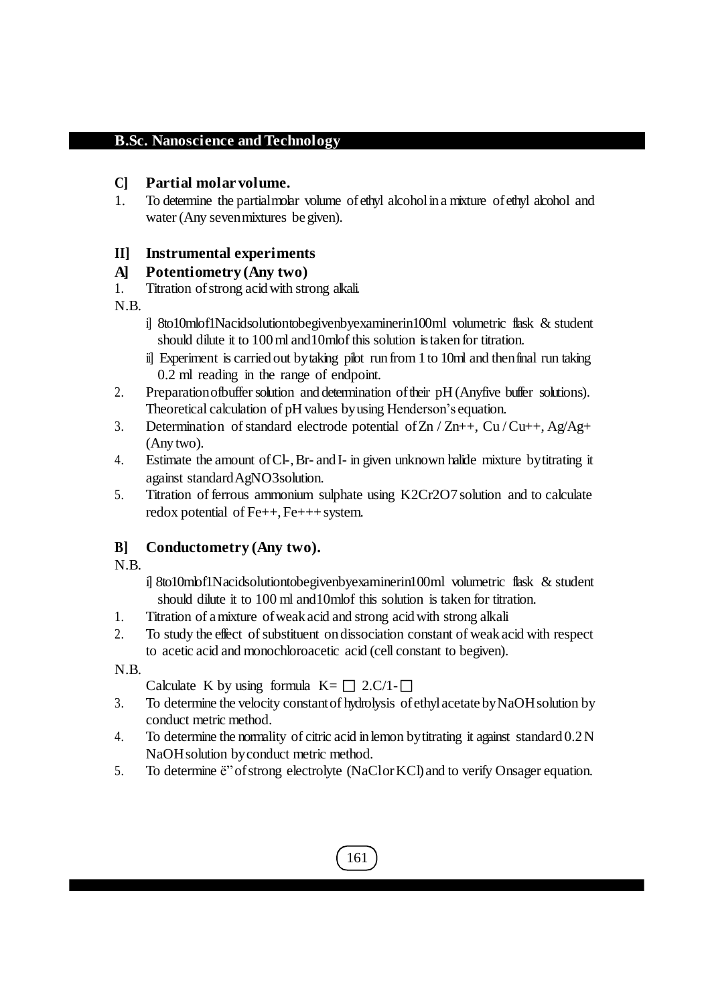# **C] Partial molar volume.**

1. To determine the partialmolar volume ofethyl alcoholin a mixture ofethyl alcohol and water (Any seven mixtures be given).

# **II] Instrumental experiments**

# **A] Potentiometry (Any two)**

1. Titration ofstrong acidwith strong alkali.

N.B.

- i] 8to10mlof1Nacidsolutiontobegivenbyexaminerin100ml volumetric flask & student should dilute it to 100ml and10mlof this solution istaken for titration.
- ii] Experiment is carried out bytaking pilot run from 1 to 10ml and thenfinal run taking 0.2 ml reading in the range of endpoint.
- 2. Preparation of buffer solution and determination of their pH (Anyfive buffer solutions). Theoretical calculation of pH values byusing Henderson's equation.
- 3. Determination of standard electrode potential of  $Zn / Zn++$ ,  $Cu/Cu++$ ,  $Ag/Ag+$ (Any two).
- 4. Estimate the amount ofCl-,Br- and I- in given unknown halide mixture bytitrating it against standardAgNO3solution.
- 5. Titration of ferrous ammonium sulphate using K2Cr2O7 solution and to calculate redox potential of  $Fe++, Fe+++$ system.

# **B] Conductometry (Any two).**

N.B.

- i] 8to10mlof1Nacidsolutiontobegivenbyexaminerin100ml volumetric flask & student should dilute it to 100 ml and10mlof this solution is taken for titration.
- 1. Titration of amixture ofweak acid and strong acidwith strong alkali
- 2. To study the effect of substituent on dissociation constant of weak acid with respect to acetic acid and monochloroacetic acid (cell constant to begiven).

N.B.

Calculate K by using formula  $K = \Box 2.C/1- \Box$ 

- 3. To determine the velocity constantof hydrolysis ofethylacetatebyNaOHsolution by conduct metric method.
- 4. To determine the normality of citric acid in lemon bytitrating it against standard 0.2N NaOHsolution byconduct metric method.
- 5. To determine ë"ofstrong electrolyte (NaClorKCl)and to verify Onsager equation.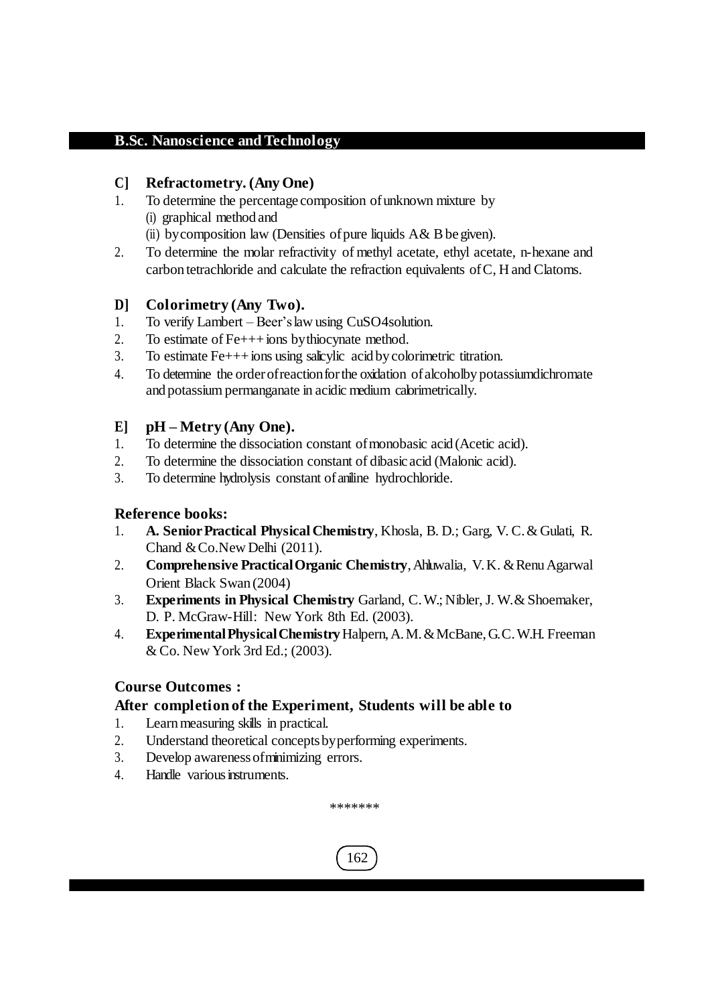# **C] Refractometry. (AnyOne)**

- 1. To determine the percentage composition ofunknown mixture by (i) graphical method and
	- (ii) by composition law (Densities of pure liquids  $A & B$  be given).
- 2. To determine the molar refractivity of methyl acetate, ethyl acetate, n-hexane and carbon tetrachloride and calculate the refraction equivalents ofC, H and Clatoms.

# **D] Colorimetry (Any Two).**

- 1. To verify Lambert Beer'slaw using CuSO4solution.
- 2. To estimate of Fe+++ions bythiocynate method.
- 3. To estimate Fe+++ions using salicylic acid bycolorimetric titration.
- 4. To determine the orderofreactionforthe oxidation ofalcoholby potassiumdichromate and potassium permanganate in acidic medium calorimetrically.

# **E] pH – Metry (Any One).**

- 1. To determine the dissociation constant of monobasic acid (Acetic acid).
- 2. To determine the dissociation constant of dibasic acid (Malonic acid).
- 3. To determine hydrolysis constant ofaniline hydrochloride.

# **Reference books:**

- 1. **A. SeniorPractical Physical Chemistry**, Khosla, B. D.; Garg, V. C.& Gulati, R. Chand &Co.New Delhi (2011).
- 2. **Comprehensive Practical Organic Chemistry**, Ahluwalia, V.K. & Renu Agarwal Orient Black Swan (2004)
- 3. **Experiments in Physical Chemistry** Garland, C.W.; Nibler,J. W.& Shoemaker, D. P. McGraw-Hill: New York 8th Ed. (2003).
- 4. **ExperimentalPhysicalChemistry**Halpern,A.M.&McBane,G.C.W.H. Freeman & Co. New York 3rd Ed.; (2003).

# **Course Outcomes :**

# **After completion of the Experiment, Students will be able to**

- 1. Learn measuring skills in practical.
- 2. Understand theoretical conceptsbyperforming experiments.
- 3. Develop awarenessofminimizing errors.
- 4. Handle various instruments.

\*\*\*\*\*\*\*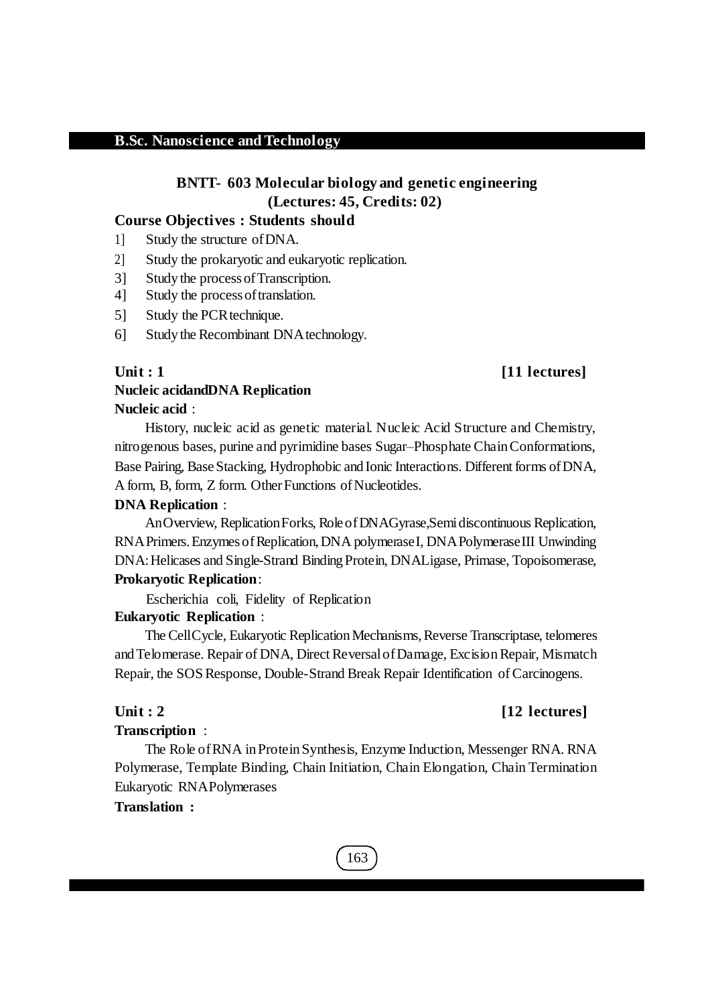# **BNTT- 603 Molecular biology and genetic engineering (Lectures: 45, Credits: 02)**

#### **Course Objectives : Students should**

- 1] Study the structure ofDNA.
- 2] Study the prokaryotic and eukaryotic replication.
- 3] Study the processofTranscription.
- 4] Study the processoftranslation.
- 5] Study the PCR technique.
- 6] Study the Recombinant DNAtechnology.

# **Unit : 1 [11 lectures]**

# **Nucleic acidandDNA Replication Nucleic acid** :

History, nucleic acid as genetic material. Nucleic Acid Structure and Chemistry, nitrogenous bases, purine and pyrimidine bases Sugar–Phosphate ChainConformations, Base Pairing, Base Stacking, Hydrophobic and Ionic Interactions. Different forms of DNA, A form, B, form, Z form. Other Functions of Nucleotides.

#### **DNA Replication** :

AnOverview, ReplicationForks, RoleofDNAGyrase,Semidiscontinuous Replication, RNAPrimers.EnzymesofReplication,DNA polymeraseI, DNAPolymeraseIII Unwinding DNA:Helicases and Single-Strand BindingProtein, DNALigase, Primase, Topoisomerase, **Prokaryotic Replication**:

Escherichia coli, Fidelity of Replication

#### **Eukaryotic Replication** :

The CellCycle, Eukaryotic Replication Mechanisms, Reverse Transcriptase, telomeres and Telomerase. Repair of DNA, Direct Reversal of Damage, Excision Repair, Mismatch Repair, the SOS Response, Double-Strand Break Repair Identification of Carcinogens.

## **Unit : 2 [12 lectures]**

## **Transcription** :

The Role ofRNA inProteinSynthesis, Enzyme Induction, Messenger RNA. RNA Polymerase, Template Binding, Chain Initiation, Chain Elongation, Chain Termination Eukaryotic RNAPolymerases

# **Translation :**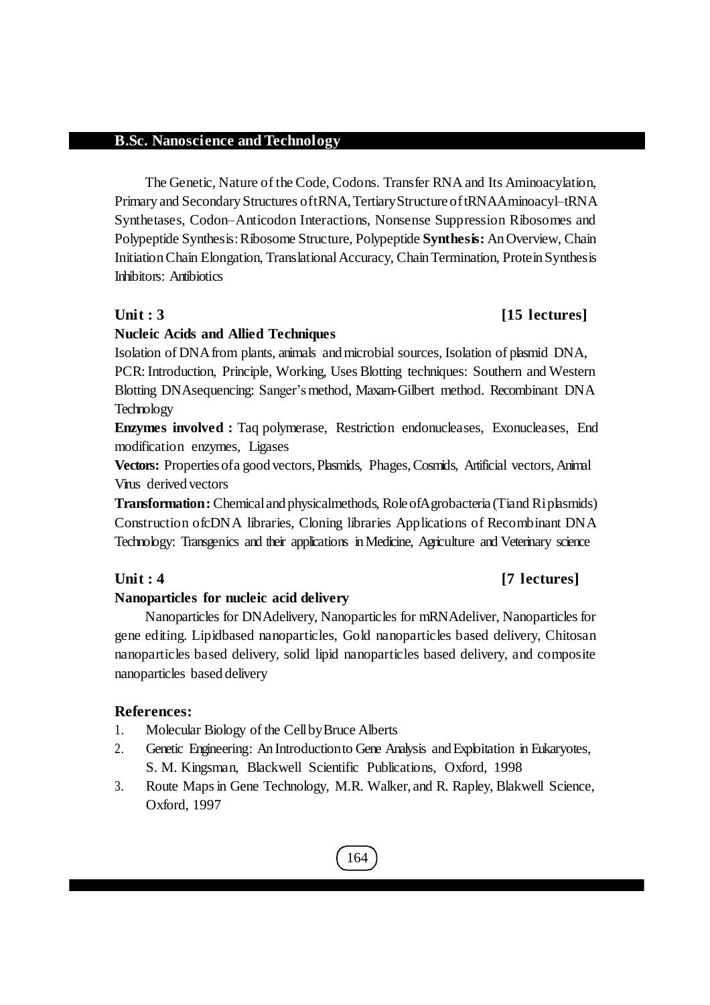The Genetic, Nature of the Code, Codons. Transfer RNA and Its Aminoacylation, Primary and Secondary Structures of tRNA, Tertiary Structure of tRNAAminoacyl–tRNA Synthetases, Codon–Anticodon Interactions, Nonsense Suppression Ribosomes and Polypeptide Synthesis:Ribosome Structure, Polypeptide **Synthesis:** AnOverview, Chain InitiationChain Elongation, TranslationalAccuracy, ChainTermination, ProteinSynthesis Inhibitors: Antibiotics

# **Unit : 3 [15 lectures]**

# **Nucleic Acids and Allied Techniques**

Isolation of DNAfrom plants, animals andmicrobial sources, Isolation of plasmid DNA, PCR: Introduction, Principle, Working, Uses Blotting techniques: Southern and Western Blotting DNAsequencing: Sanger'smethod, Maxam-Gilbert method. Recombinant DNA Technology

**Enzymes involved :** Taq polymerase, Restriction endonucleases, Exonucleases, End modification enzymes, Ligases

**Vectors:** Propertiesofa good vectors,Plasmids, Phages,Cosmids, Artificial vectors,Animal Virus derived vectors

**Transformation:** Chemicaland physicalmethods, RoleofAgrobacteria (Tiand Riplasmids) Construction ofcDNA libraries, Cloning libraries Applications of Recombinant DNA Technology: Transgenics and their applications inMedicine, Agriculture and Veterinary science

# **Unit : 4 [7 lectures]**

## **Nanoparticles for nucleic acid delivery**

Nanoparticles for DNAdelivery, Nanoparticles for mRNAdeliver, Nanoparticles for gene editing. Lipidbased nanoparticles, Gold nanoparticles based delivery, Chitosan nanoparticles based delivery, solid lipid nanoparticles based delivery, and composite nanoparticles based delivery

# **References:**

- 1. Molecular Biology of the CellbyBruce Alberts
- 2. Genetic Engineering: An Introduction to Gene Analysis and Exploitation in Eukaryotes, S. M. Kingsman, Blackwell Scientific Publications, Oxford, 1998
- 3. Route Mapsin Gene Technology, M.R. Walker, and R. Rapley, Blakwell Science, Oxford, 1997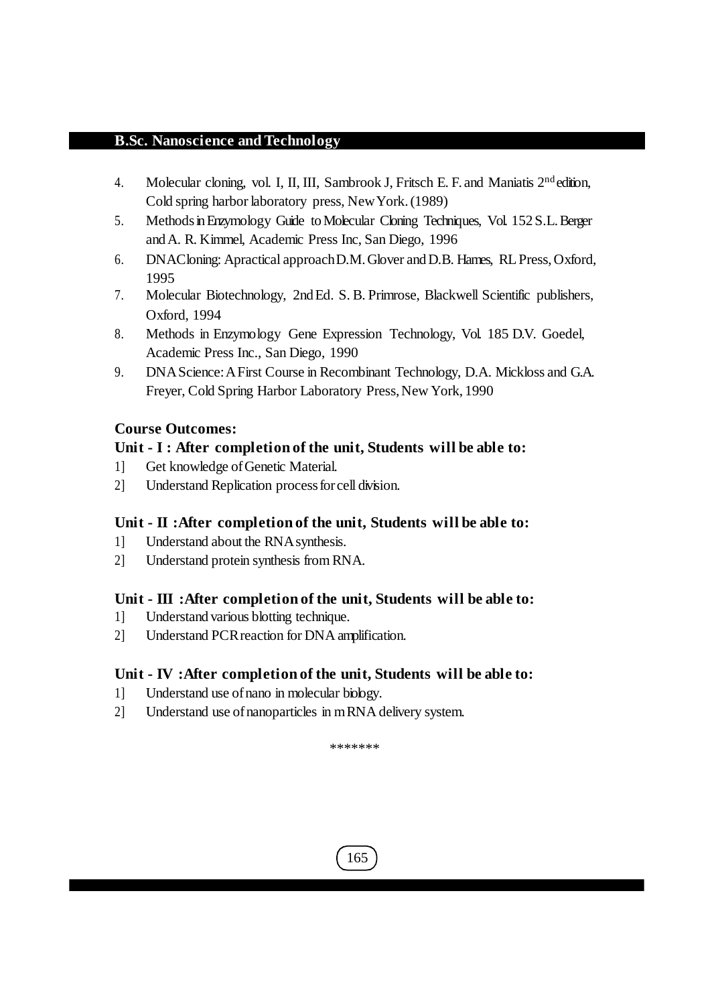- 4. Molecular cloning, vol. I, II, III, Sambrook J, Fritsch E. F. and Maniatis 2<sup>nd</sup> edition, Cold spring harbor laboratory press, NewYork.(1989)
- 5. MethodsinEnzymology Guide toMolecular Cloning Techniques, Vol. 152S.L.Berger andA. R. Kimmel, Academic Press Inc, San Diego, 1996
- 6. DNACloning: Apractical approachD.M.Glover andD.B. Hames, RLPress,Oxford, 1995
- 7. Molecular Biotechnology, 2ndEd. S. B. Primrose, Blackwell Scientific publishers, Oxford, 1994
- 8. Methods in Enzymology Gene Expression Technology, Vol. 185 D.V. Goedel, Academic Press Inc., San Diego, 1990
- 9. DNAScience:AFirst Course in Recombinant Technology, D.A. Mickloss and G.A. Freyer, Cold Spring Harbor Laboratory Press, New York, 1990

# **Course Outcomes:**

# **Unit - I : After completion of the unit, Students will be able to:**

- 1] Get knowledge of Genetic Material.
- 2] Understand Replication processforcell division.

# **Unit - II :After completion of the unit, Students will be able to:**

- 1] Understand about the RNAsynthesis.
- 2] Understand protein synthesis from RNA.

# **Unit - III :After completion of the unit, Students will be able to:**

- 1] Understand various blotting technique.
- 2] Understand PCRreaction for DNA amplification.

## **Unit - IV :After completion of the unit, Students will be able to:**

- 1] Understand use ofnano in molecular biology.
- 2] Understand use ofnanoparticles in mRNA delivery system.

\*\*\*\*\*\*\*

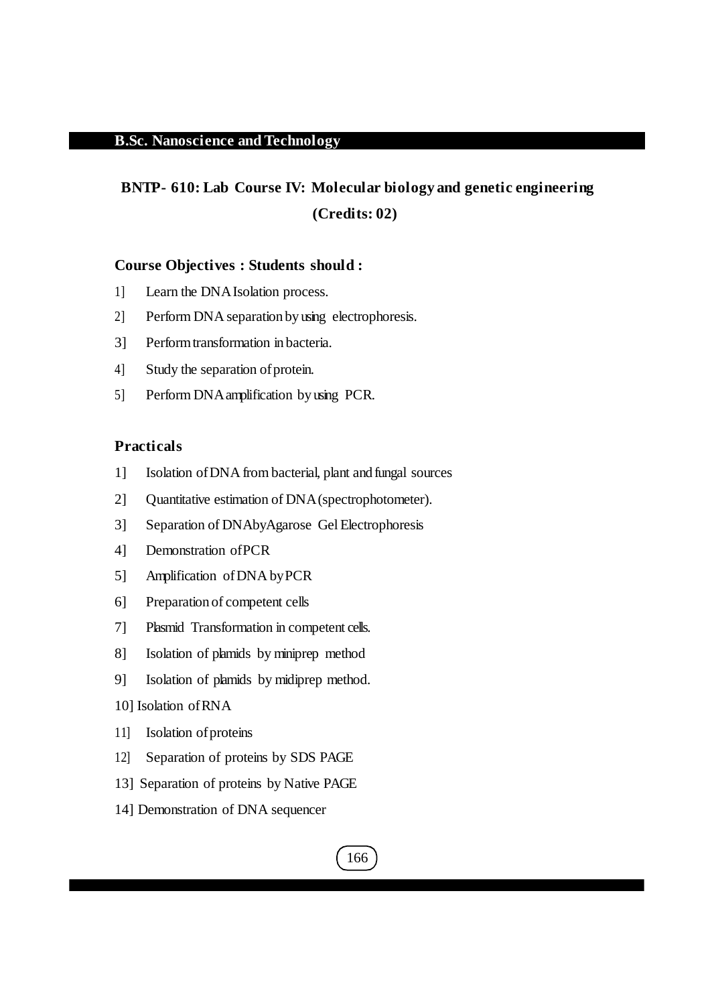# **BNTP- 610: Lab Course IV: Molecular biology and genetic engineering (Credits: 02)**

#### **Course Objectives : Students should :**

- 1] Learn the DNAIsolation process.
- 2] Perform DNA separation by using electrophoresis.
- 3] Performtransformation in bacteria.
- 4] Study the separation of protein.
- 5] Perform DNAamplification by using PCR.

### **Practicals**

- 1] Isolation ofDNA from bacterial, plant and fungal sources
- 2] Quantitative estimation of DNA(spectrophotometer).
- 3] Separation of DNAbyAgarose Gel Electrophoresis
- 4] Demonstration ofPCR
- 5] Amplification ofDNA byPCR
- 6] Preparation of competent cells
- 7] Plasmid Transformation in competent cells.
- 8] Isolation of plamids by miniprep method
- 9] Isolation of plamids by midiprep method.
- 10] Isolation ofRNA
- 11] Isolation of proteins
- 12] Separation of proteins by SDS PAGE
- 13] Separation of proteins by Native PAGE
- 14] Demonstration of DNA sequencer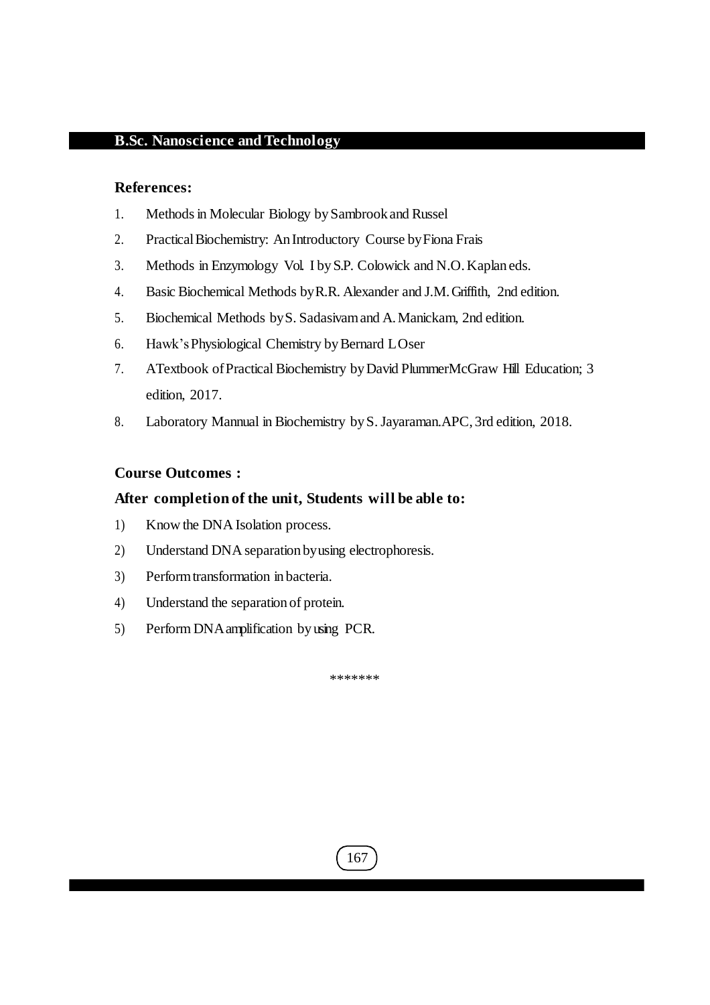#### **References:**

- 1. Methods in Molecular Biology by Sambrook and Russel
- 2. PracticalBiochemistry: An Introductory Course byFiona Frais
- 3. Methods in Enzymology Vol. I byS.P. Colowick and N.O.Kaplan eds.
- 4. Basic Biochemical Methods byR.R. Alexander and J.M.Griffith, 2nd edition.
- 5. Biochemical Methods byS. Sadasivamand A.Manickam, 2nd edition.
- 6. Hawk's Physiological Chemistry by Bernard LOser
- 7. ATextbook ofPractical Biochemistry byDavid PlummerMcGraw Hill Education; 3 edition, 2017.
- 8. Laboratory Mannual in Biochemistry byS.Jayaraman.APC, 3rd edition, 2018.

#### **Course Outcomes :**

#### **After completion of the unit, Students will be able to:**

- 1) Know the DNA Isolation process.
- 2) Understand DNA separation byusing electrophoresis.
- 3) Performtransformation in bacteria.
- 4) Understand the separation of protein.
- 5) Perform DNAamplification by using PCR.

\*\*\*\*\*\*\*

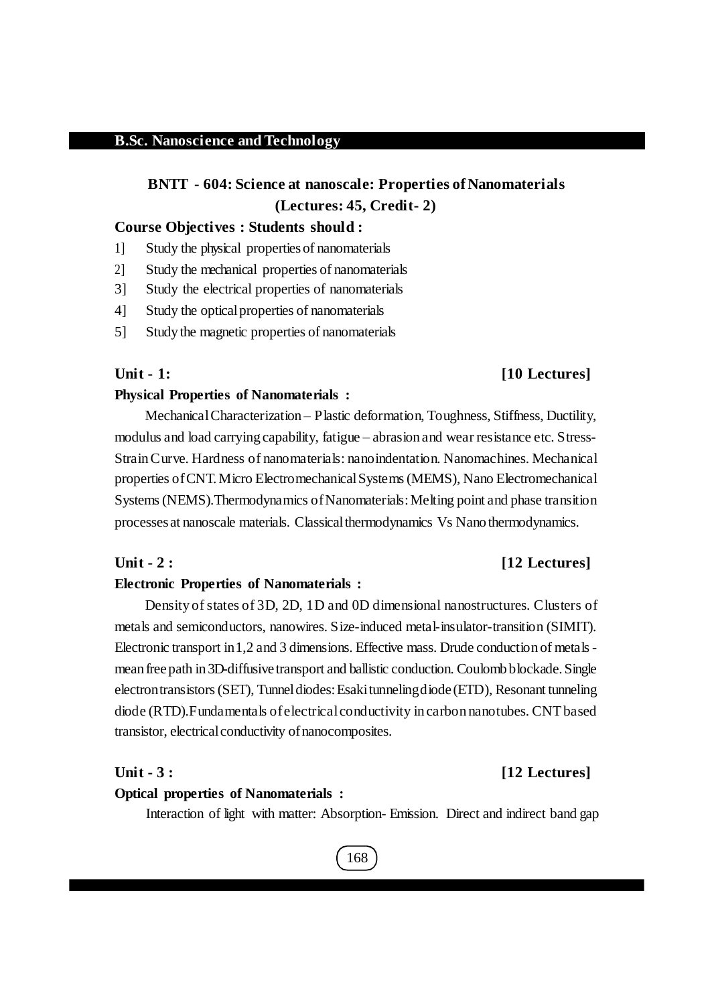# **BNTT - 604: Science at nanoscale: Properties of Nanomaterials (Lectures: 45, Credit- 2)**

#### **Course Objectives : Students should :**

- 1] Study the physical propertiesof nanomaterials
- 2] Study the mechanical properties of nanomaterials
- 3] Study the electrical properties of nanomaterials
- 4] Study the opticalproperties of nanomaterials
- 5] Study the magnetic properties of nanomaterials

# **Unit - 1: [10 Lectures]**

#### **Physical Properties of Nanomaterials :**

MechanicalCharacterization – Plastic deformation, Toughness, Stiffness, Ductility, modulus and load carrying capability, fatigue – abrasion and wear resistance etc. Stress-StrainCurve. Hardness of nanomaterials: nanoindentation. Nanomachines. Mechanical properties of CNT. Micro Electromechanical Systems (MEMS), Nano Electromechanical Systems (NEMS). Thermodynamics of Nanomaterials: Melting point and phase transition processes at nanoscale materials. Classicalthermodynamics Vs Nano thermodynamics.

#### **Unit - 2 : [12 Lectures]**

#### **Electronic Properties of Nanomaterials :**

Density of states of 3D, 2D, 1D and 0D dimensional nanostructures. Clusters of metals and semiconductors, nanowires. Size-induced metal-insulator-transition (SIMIT). Electronic transport in1,2 and 3 dimensions. Effective mass. Drude conduction of metalsmean freepath in 3D-diffusive transport and ballistic conduction. Coulomb blockade.Single electrontransistors(SET), Tunneldiodes:Esakitunnelingdiode (ETD), Resonant tunneling diode (RTD). Fundamentals of electrical conductivity in carbon nanotubes. CNT based transistor, electrical conductivity of nanocomposites.

### **Unit - 3 : [12 Lectures]**

#### **Optical properties of Nanomaterials :**

Interaction of light with matter: Absorption- Emission. Direct and indirect band gap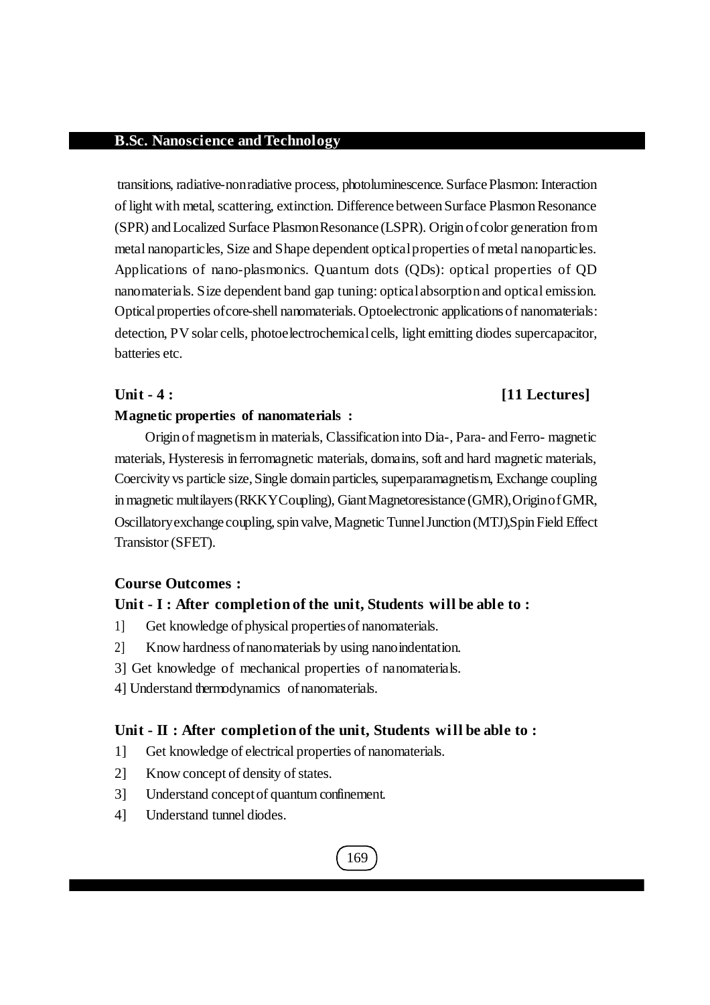transitions, radiative-nonradiative process, photoluminescence. SurfacePlasmon: Interaction of light with metal, scattering, extinction. Difference between Surface Plasmon Resonance (SPR) andLocalized Surface PlasmonResonance (LSPR). Origin ofcolor generation from metal nanoparticles, Size and Shape dependent opticalproperties of metal nanoparticles. Applications of nano-plasmonics. Quantum dots (QDs): optical properties of QD nanomaterials. Size dependent band gap tuning: opticalabsorption and optical emission. Optical properties of core-shell nanomaterials. Optoelectronic applications of nanomaterials: detection, PV solar cells, photoelectrochemical cells, light emitting diodes supercapacitor, batteries etc.

### **Unit - 4 : [11 Lectures]**

#### **Magnetic properties of nanomaterials :**

Origin of magnetism in materials, Classification into Dia-, Para- and Ferro- magnetic materials, Hysteresis in ferromagnetic materials, domains, soft and hard magnetic materials, Coercivity vs particle size,Single domain particles, superparamagnetism, Exchange coupling in magnetic multilayers (RKKYCoupling), Giant Magnetoresistance (GMR), Origin of GMR, Oscillatory exchange coupling, spin valve, Magnetic Tunnel Junction (MTJ), Spin Field Effect Transistor (SFET).

## **Course Outcomes :**

#### **Unit - I : After completion of the unit, Students will be able to :**

- 1] Get knowledge of physical properties of nanomaterials.
- 2] Know hardness ofnanomaterials by using nanoindentation.
- 3] Get knowledge of mechanical properties of nanomaterials.
- 4] Understand thermodynamics ofnanomaterials.

#### **Unit - II : After completion of the unit, Students will be able to :**

- 1] Get knowledge of electrical properties of nanomaterials.
- 2] Know concept of density of states.
- 3] Understand conceptof quantum confinement.
- 4] Understand tunnel diodes.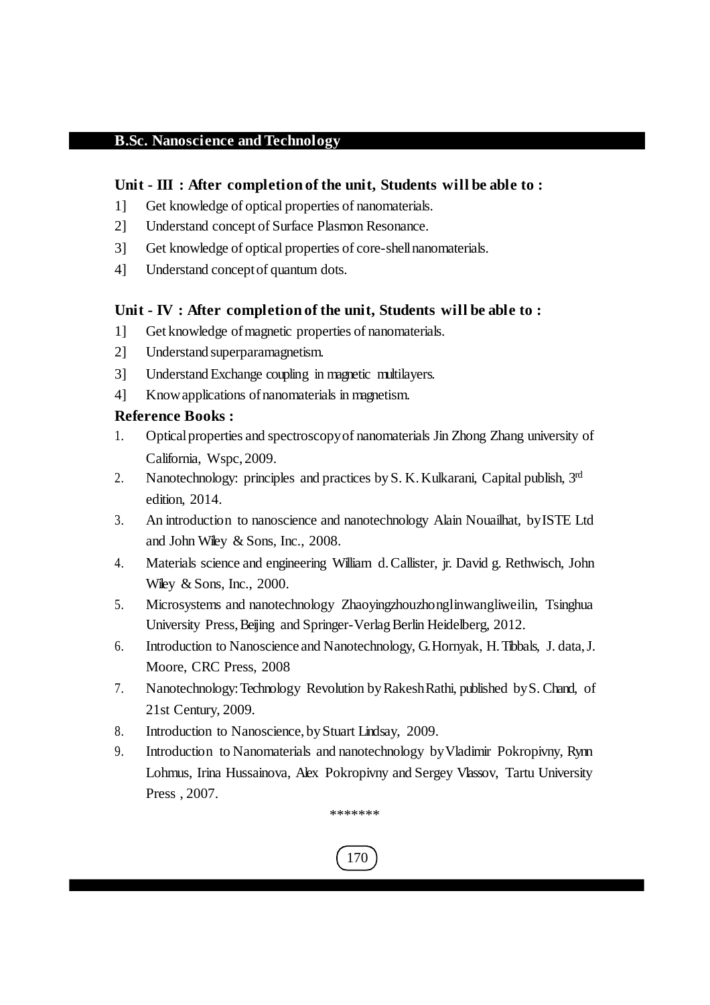# **Unit - III : After completion of the unit, Students will be able to :**

- 1] Get knowledge of optical properties of nanomaterials.
- 2] Understand concept of Surface Plasmon Resonance.
- 3] Get knowledge of optical properties of core-shellnanomaterials.
- 4] Understand conceptof quantum dots.

# **Unit - IV : After completion of the unit, Students will be able to :**

- 1] Get knowledge of magnetic properties of nanomaterials.
- 2] Understand superparamagnetism.
- 3] UnderstandExchange coupling in magnetic multilayers.
- 4] Knowapplications ofnanomaterials in magnetism.

# **Reference Books :**

- 1. Opticalproperties and spectroscopyof nanomaterials Jin Zhong Zhang university of California, Wspc, 2009.
- 2. Nanotechnology: principles and practices by S. K. Kulkarani, Capital publish, 3rd edition, 2014.
- 3. An introduction to nanoscience and nanotechnology Alain Nouailhat, byISTE Ltd and John Wiley & Sons, Inc., 2008.
- 4. Materials science and engineering William d.Callister, jr. David g. Rethwisch, John Wiley & Sons, Inc., 2000.
- 5. Microsystems and nanotechnology Zhaoyingzhouzhonglinwangliweilin, Tsinghua University Press, Beijing and Springer-Verlag Berlin Heidelberg, 2012.
- 6. Introduction to Nanoscience and Nanotechnology, G.Hornyak, H.Tibbals, J. data,J. Moore, CRC Press, 2008
- 7. Nanotechnology:Technology Revolution byRakeshRathi, published byS. Chand, of 21st Century, 2009.
- 8. Introduction to Nanoscience, byStuart Lindsay, 2009.
- 9. Introduction to Nanomaterials and nanotechnology byVladimir Pokropivny, Rynn Lohmus, Irina Hussainova, Alex Pokropivny and Sergey Vlassov, Tartu University Press , 2007.

\*\*\*\*\*\*\*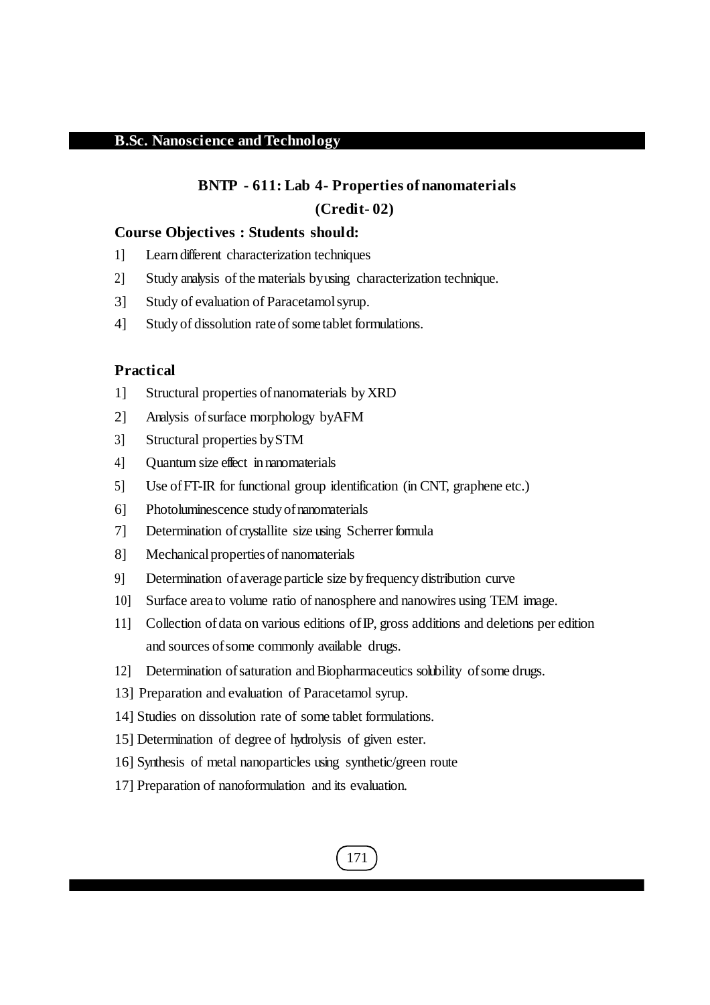# **BNTP - 611: Lab 4- Properties of nanomaterials (Credit- 02)**

#### **Course Objectives : Students should:**

- 1] Learn different characterization techniques
- 2] Study analysis of the materials byusing characterization technique.
- 3] Study of evaluation of Paracetamolsyrup.
- 4] Study of dissolution rate of some tablet formulations.

# **Practical**

- 1] Structural properties ofnanomaterials byXRD
- 2] Analysis ofsurface morphology byAFM
- 3] Structural properties bySTM
- 4] Quantum size effect in nanomaterials
- 5] Use ofFT-IR for functional group identification (in CNT, graphene etc.)
- 6] Photoluminescence study of nanomaterials
- 7] Determination of crystallite size using Scherrer formula
- 8] Mechanical properties of nanomaterials
- 9] Determination ofaverage particle size byfrequency distribution curve
- 10] Surface area to volume ratio of nanosphere and nanowires using TEM image.
- 11] Collection ofdata on various editions ofIP, gross additions and deletions per edition and sources of some commonly available drugs.
- 12] Determination ofsaturation andBiopharmaceutics solubility ofsome drugs.
- 13] Preparation and evaluation of Paracetamol syrup.
- 14] Studies on dissolution rate of some tablet formulations.
- 15] Determination of degree of hydrolysis of given ester.
- 16] Synthesis of metal nanoparticles using synthetic/green route
- 17] Preparation of nanoformulation and its evaluation.

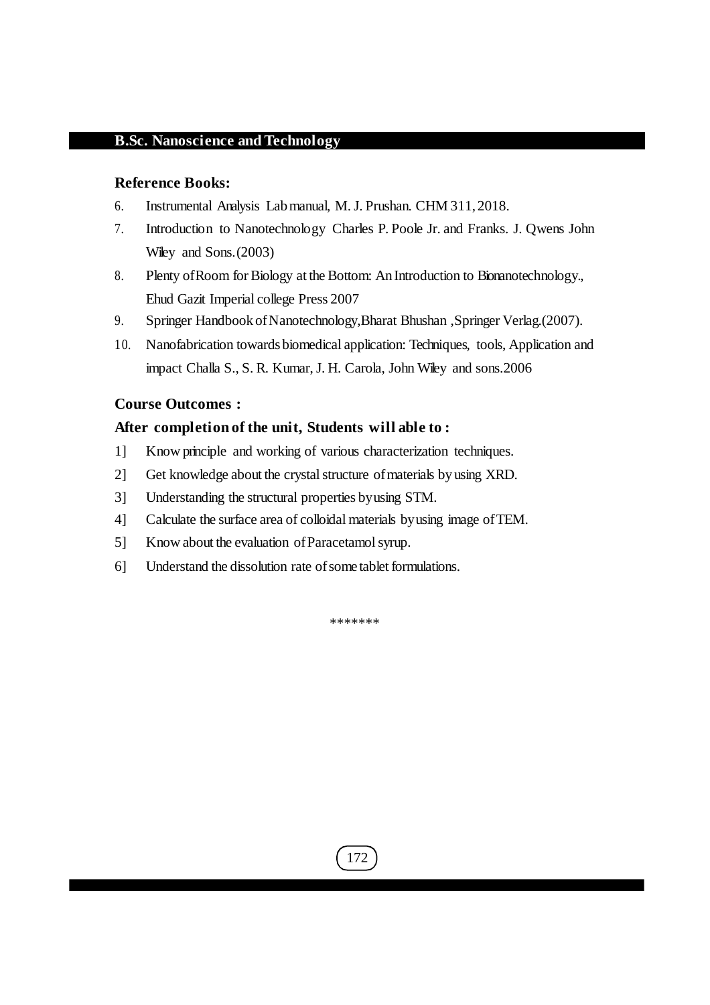#### **Reference Books:**

- 6. Instrumental Analysis Labmanual, M.J. Prushan. CHM 311, 2018.
- 7. Introduction to Nanotechnology Charles P. Poole Jr. and Franks. J. Qwens John Wiley and Sons. (2003)
- 8. Plenty of Room for Biology at the Bottom: An Introduction to Bionanotechnology., Ehud Gazit Imperial college Press 2007
- 9. Springer Handbook of Nanotechnology, Bharat Bhushan , Springer Verlag.(2007).
- 10. Nanofabrication towardsbiomedical application: Techniques, tools, Application and impact Challa S., S. R. Kumar, J. H. Carola, John Wiley and sons.2006

### **Course Outcomes :**

#### **After completion of the unit, Students will able to :**

- 1] Know principle and working of various characterization techniques.
- 2] Get knowledge about the crystal structure of materials by using XRD.
- 3] Understanding the structural properties byusing STM.
- 4] Calculate the surface area of colloidal materials byusing image ofTEM.
- 5] Know about the evaluation of Paracetamol syrup.
- 6] Understand the dissolution rate of some tablet formulations.

\*\*\*\*\*\*\*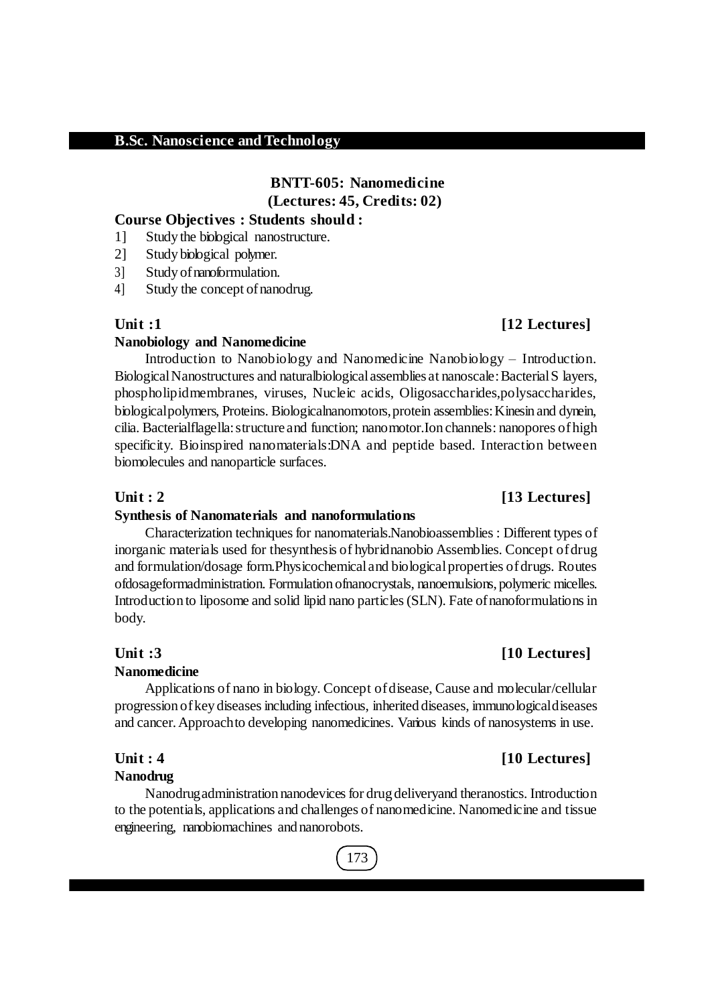# **BNTT-605: Nanomedicine (Lectures: 45, Credits: 02)**

## **Course Objectives : Students should :**

- 1] Study the biological nanostructure.
- 2] Study biological polymer.
- 3] Study of nanoformulation.
- 4] Study the concept of nanodrug.

#### **Nanobiology and Nanomedicine**

Introduction to Nanobiology and Nanomedicine Nanobiology – Introduction. Biological Nanostructures and naturalbiological assemblies at nanoscale: Bacterial S layers, phospholipidmembranes, viruses, Nucleic acids, Oligosaccharides,polysaccharides, biologicalpolymers, Proteins. Biologicalnanomotors,protein assemblies:Kinesin and dynein, cilia. Bacterialflagella:structure and function; nanomotor.Ion channels: nanopores ofhigh specificity. Bioinspired nanomaterials:DNA and peptide based. Interaction between biomolecules and nanoparticle surfaces.

#### **Unit : 2 [13 Lectures]**

#### **Synthesis of Nanomaterials and nanoformulations**

Characterization techniques for nanomaterials.Nanobioassemblies : Different types of inorganic materials used for thesynthesis of hybridnanobio Assemblies. Concept ofdrug and formulation/dosage form.Physicochemical and biologicalproperties ofdrugs. Routes ofdosageformadministration. Formulation ofnanocrystals, nanoemulsions, polymeric micelles. Introduction to liposome and solid lipid nano particles (SLN). Fate of nanoformulations in body.

#### **Unit :3 [10 Lectures]**

#### **Nanomedicine**

Applications of nano in biology. Concept ofdisease, Cause and molecular/cellular progression ofkey diseasesincluding infectious, inherited diseases, immunologicaldiseases and cancer.Approachto developing nanomedicines. Various kinds of nanosystems in use.

#### **Nanodrug**

Nanodrugadministration nanodevices for drug deliveryand theranostics. Introduction to the potentials, applications and challenges of nanomedicine. Nanomedicine and tissue engineering, nanobiomachines and nanorobots.

# 173

# **Unit :1 [12 Lectures]**

## **Unit : 4 [10 Lectures]**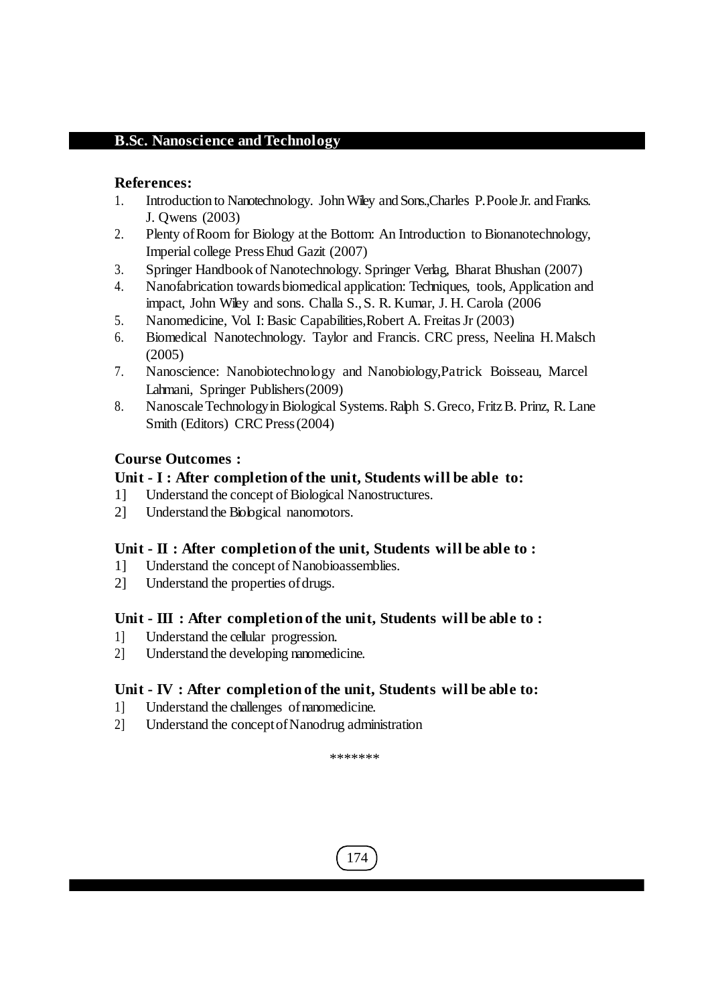# **References:**

- 1. Introduction to Nanotechnology. John Wiley and Sons., Charles P. Poole Jr. and Franks. J. Qwens (2003)
- 2. Plenty ofRoom for Biology at the Bottom: An Introduction to Bionanotechnology, Imperial college PressEhud Gazit (2007)
- 3. Springer Handbook of Nanotechnology. Springer Verlag, Bharat Bhushan (2007)
- 4. Nanofabrication towardsbiomedical application: Techniques, tools, Application and impact, John Wiley and sons. Challa S.,S. R. Kumar, J. H. Carola (2006
- 5. Nanomedicine, Vol. I:Basic Capabilities,Robert A. FreitasJr (2003)
- 6. Biomedical Nanotechnology. Taylor and Francis. CRC press, Neelina H.Malsch (2005)
- 7. Nanoscience: Nanobiotechnology and Nanobiology,Patrick Boisseau, Marcel Lahmani, Springer Publishers(2009)
- 8. Nanoscale Technology in Biological Systems. Ralph S. Greco, Fritz B. Prinz, R. Lane Smith (Editors) CRC Press (2004)

# **Course Outcomes :**

# **Unit - I : After completion of the unit, Students will be able to:**

- 1] Understand the concept of Biological Nanostructures.
- 2] Understand the Biological nanomotors.

# **Unit - II : After completion of the unit, Students will be able to :**

- 1] Understand the concept of Nanobioassemblies.
- 2] Understand the properties of drugs.

# **Unit - III : After completion of the unit, Students will be able to :**

- 1] Understand the cellular progression.
- 2] Understand the developing nanomedicine.

# **Unit - IV : After completion of the unit, Students will be able to:**

- 1] Understand the challenges ofnanomedicine.
- 2] Understand the conceptofNanodrug administration

\*\*\*\*\*\*\*

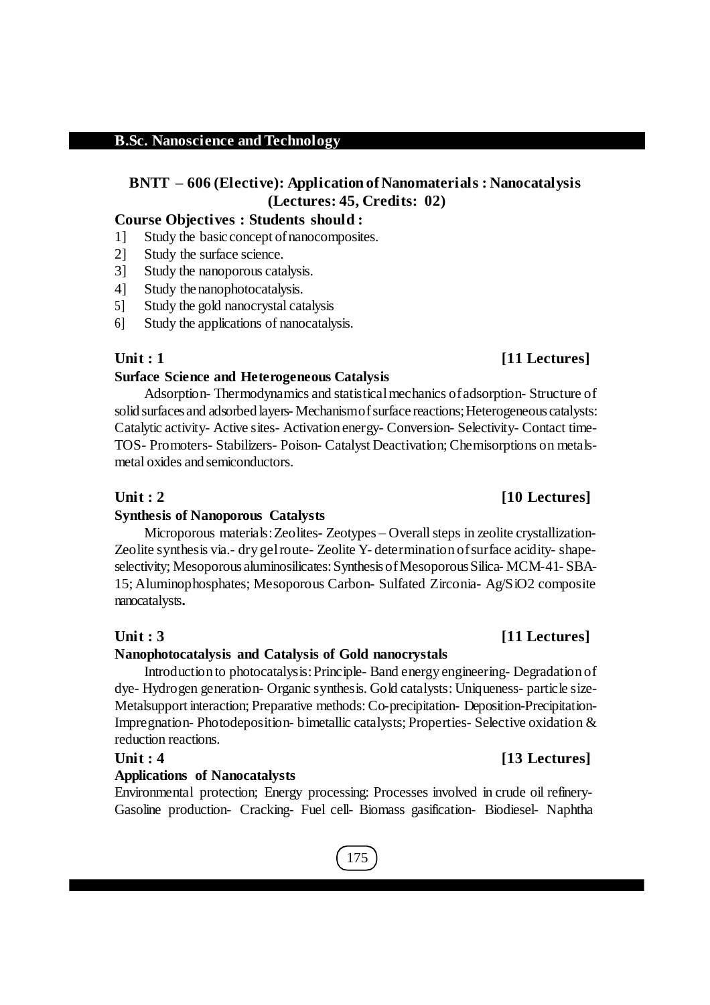# **BNTT – 606 (Elective): Application of Nanomaterials : Nanocatalysis (Lectures: 45, Credits: 02)**

## **Course Objectives : Students should :**

- 1] Study the basic concept ofnanocomposites.
- 2] Study the surface science.
- 3] Study the nanoporous catalysis.
- 4] Study the nanophotocatalysis.
- 5] Study the gold nanocrystal catalysis
- 6] Study the applications of nanocatalysis.

#### **Surface Science and Heterogeneous Catalysis**

Adsorption- Thermodynamics and statisticalmechanics ofadsorption- Structure of solid surfaces and adsorbed layers- Mechanism of surface reactions; Heterogeneous catalysts: Catalytic activity- Active sites- Activation energy- Conversion- Selectivity- Contact time-TOS- Promoters- Stabilizers- Poison- Catalyst Deactivation; Chemisorptions on metalsmetal oxides and semiconductors.

#### **Synthesis of Nanoporous Catalysts**

Microporous materials: Zeolites- Zeotypes – Overall steps in zeolite crystallization-Zeolite synthesis via.- dry gelroute- Zeolite Y- determination ofsurface acidity- shapeselectivity; Mesoporous aluminosilicates: Synthesis of Mesoporous Silica- MCM-41- SBA-15; Aluminophosphates; Mesoporous Carbon- Sulfated Zirconia- Ag/SiO2 composite nanocatalysts**.**

#### **Unit : 3 [11 Lectures]**

#### **Nanophotocatalysis and Catalysis of Gold nanocrystals**

Introduction to photocatalysis:Principle- Band energy engineering- Degradation of dye- Hydrogen generation- Organic synthesis. Gold catalysts: Uniqueness- particle size-Metalsupport interaction; Preparative methods:Co-precipitation- Deposition-Precipitation-Impregnation- Photodeposition- bimetallic catalysts; Properties- Selective oxidation & reduction reactions.

### **Unit : 4 [13 Lectures]**

#### **Applications of Nanocatalysts**

Environmental protection; Energy processing: Processes involved in crude oil refinery-Gasoline production- Cracking- Fuel cell- Biomass gasification- Biodiesel- Naphtha

# **Unit : 1 [11 Lectures]**

# **Unit : 2 [10 Lectures]**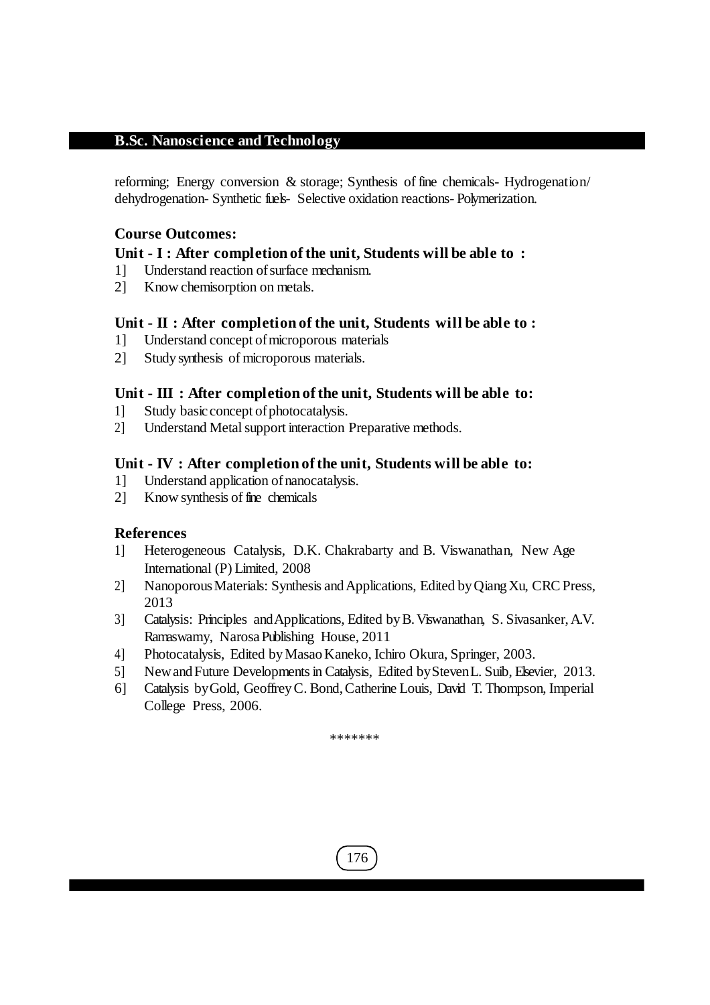reforming; Energy conversion & storage; Synthesis of fine chemicals- Hydrogenation/ dehydrogenation- Synthetic fuels- Selective oxidation reactions- Polymerization.

# **Course Outcomes:**

# **Unit - I : After completion of the unit, Students will be able to :**

- 1] Understand reaction ofsurface mechanism.
- 2] Know chemisorption on metals.

# **Unit - II : After completion of the unit, Students will be able to :**

- 1] Understand concept ofmicroporous materials
- 2] Study synthesis of microporous materials.

# **Unit - III : After completion of the unit, Students will be able to:**

- 1] Study basic concept of photocatalysis.
- 2] Understand Metalsupport interaction Preparative methods.

# **Unit - IV : After completion of the unit, Students will be able to:**

- 1] Understand application ofnanocatalysis.
- 2] Know synthesis of fine chemicals

# **References**

- 1] Heterogeneous Catalysis, D.K. Chakrabarty and B. Viswanathan, New Age International (P) Limited, 2008
- 2] NanoporousMaterials: Synthesis andApplications, Edited byQiangXu, CRCPress, 2013
- 3] Catalysis: Principles andApplications, Edited byB.Viswanathan, S. Sivasanker,A.V. Ramaswamy, NarosaPublishing House, 2011
- 4] Photocatalysis, Edited by Masao Kaneko, Ichiro Okura, Springer, 2003.
- 5] New and Future Developments in Catalysis, Edited by Steven L. Suib, Elsevier, 2013.
- 6] Catalysis byGold, GeoffreyC. Bond,Catherine Louis, David T. Thompson, Imperial College Press, 2006.

\*\*\*\*\*\*\*

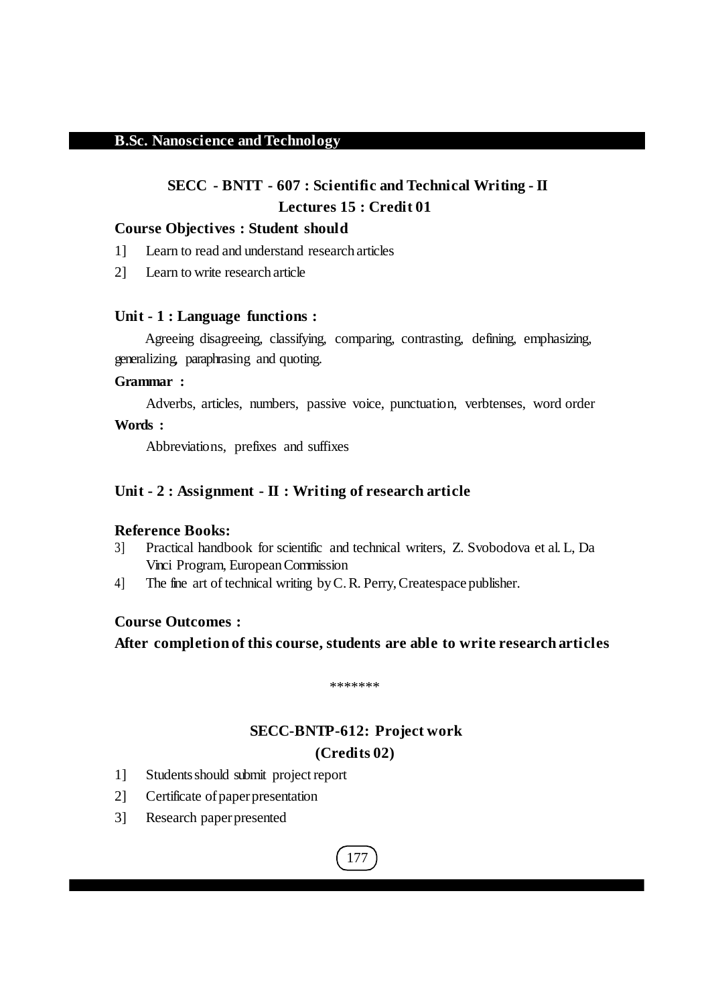# **SECC - BNTT - 607 : Scientific and Technical Writing - II Lectures 15 : Credit 01**

### **Course Objectives : Student should**

- 1] Learn to read and understand research articles
- 2] Learn to write research article

#### **Unit - 1 : Language functions :**

Agreeing disagreeing, classifying, comparing, contrasting, defining, emphasizing, generalizing, paraphrasing and quoting.

### **Grammar :**

Adverbs, articles, numbers, passive voice, punctuation, verbtenses, word order

## **Words :**

Abbreviations, prefixes and suffixes

## **Unit - 2 : Assignment - II : Writing of research article**

#### **Reference Books:**

- 3] Practical handbook for scientific and technical writers, Z. Svobodova et al. L, Da Vinci Program, EuropeanCommission
- 4] The fine art of technical writing byC.R. Perry,Createspace publisher.

# **Course Outcomes :**

**After completion of this course, students are able to write research articles**

\*\*\*\*\*\*\*

# **SECC-BNTP-612: Project work (Credits 02)**

- 1] Studentsshould submit project report
- 2] Certificate of paper presentation
- 3] Research paperpresented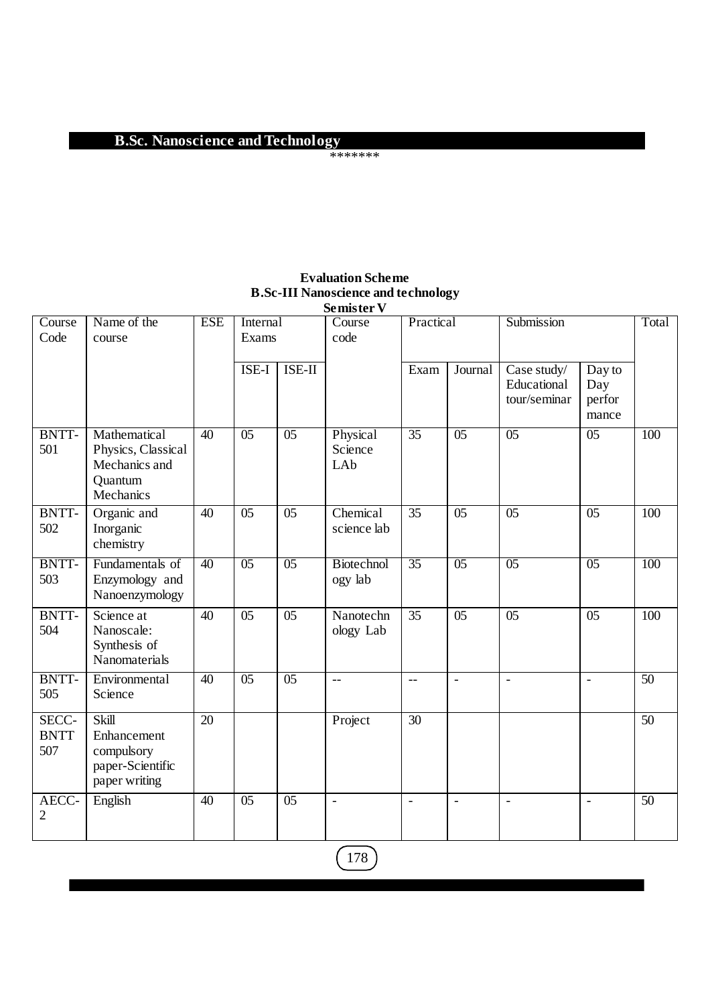#### \*\*\*\*\*\*\*

|                             |                                                                             |                 |                   |                 | Semister <sub>V</sub>        |                     |                 |                                            |                                  |     |
|-----------------------------|-----------------------------------------------------------------------------|-----------------|-------------------|-----------------|------------------------------|---------------------|-----------------|--------------------------------------------|----------------------------------|-----|
| Course<br>Code              | Name of the<br>course                                                       | <b>ESE</b>      | Internal<br>Exams |                 | Course<br>code               | Practical           |                 | Submission                                 |                                  |     |
|                             |                                                                             |                 | ISE-I             | ISE-II          |                              | Exam                | Journal         | Case study/<br>Educational<br>tour/seminar | Day to<br>Day<br>perfor<br>mance |     |
| BNTT-<br>501                | Mathematical<br>Physics, Classical<br>Mechanics and<br>Quantum<br>Mechanics | $\overline{40}$ | $\overline{05}$   | $\overline{05}$ | Physical<br>Science<br>LAb   | $\overline{35}$     | 05              | 05                                         | 0 <sub>5</sub>                   | 100 |
| <b>BNTT-</b><br>502         | Organic and<br>Inorganic<br>chemistry                                       | 40              | 05                | $\overline{05}$ | Chemical<br>science lab      | $\overline{35}$     | $\overline{05}$ | $\overline{05}$                            | 05                               | 100 |
| BNTT-<br>503                | Fundamentals of<br>Enzymology and<br>Nanoenzymology                         | 40              | 0 <sub>5</sub>    | $\overline{05}$ | <b>Biotechnol</b><br>ogy lab | $\overline{35}$     | 0 <sub>5</sub>  | 0 <sub>5</sub>                             | 0 <sub>5</sub>                   | 100 |
| <b>BNTT-</b><br>504         | Science at<br>Nanoscale:<br>Synthesis of<br>Nanomaterials                   | 40              | 05                | $\overline{05}$ | Nanotechn<br>ology Lab       | 35                  | 05              | $\overline{05}$                            | 05                               | 100 |
| BNTT-<br>505                | Environmental<br>Science                                                    | 40              | $\overline{05}$   | $\overline{05}$ | $\overline{a}$               | $-$                 | $\overline{a}$  | $\mathbf{r}$                               | $\overline{a}$                   | 50  |
| SECC-<br><b>BNTT</b><br>507 | Skill<br>Enhancement<br>compulsory<br>paper-Scientific<br>paper writing     | 20              |                   |                 | Project                      | 30                  |                 |                                            |                                  | 50  |
| AECC-<br>$\overline{2}$     | English                                                                     | 40              | 05                | 05              | $\overline{a}$               | $\bar{\phantom{a}}$ | $\overline{a}$  | $\blacksquare$                             | ÷,                               | 50  |

# **Evaluation Scheme B.Sc-III Nanoscience and technology**

 $\boxed{178}$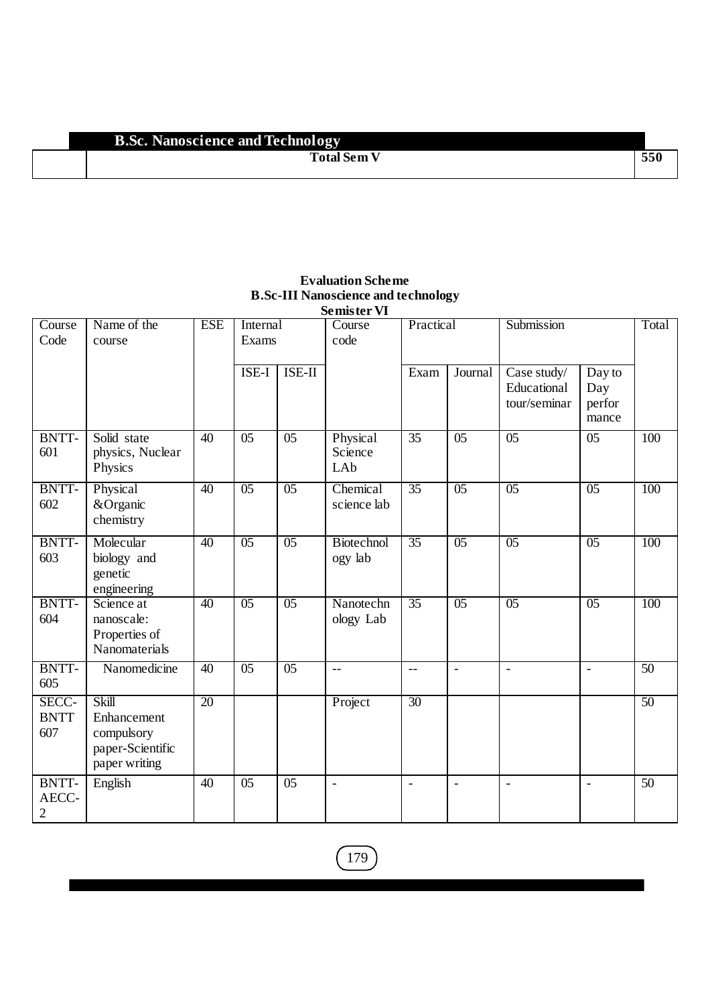#### **Total Sem V 550**

| <b>Semister VI</b>                      |                                                                         |                 |                   |                 |                              |                          |                          |                                            |                                  |       |
|-----------------------------------------|-------------------------------------------------------------------------|-----------------|-------------------|-----------------|------------------------------|--------------------------|--------------------------|--------------------------------------------|----------------------------------|-------|
| Course<br>Code                          | Name of the<br>course                                                   | <b>ESE</b>      | Internal<br>Exams |                 | $\overline{C}$ ourse<br>code | Practical                |                          | Submission                                 |                                  | Total |
|                                         |                                                                         |                 | ISE-I             | ISE-II          |                              | Exam                     | Journal                  | Case study/<br>Educational<br>tour/seminar | Day to<br>Day<br>perfor<br>mance |       |
| <b>BNTT-</b><br>601                     | Solid state<br>physics, Nuclear<br>Physics                              | 40              | 05                | 05              | Physical<br>Science<br>LAb   | 35                       | 05                       | $\overline{05}$                            | 05                               | 100   |
| BNTT-<br>602                            | Physical<br>&Organic<br>chemistry                                       | 40              | 05                | 0 <sub>5</sub>  | Chemical<br>science lab      | $\overline{35}$          | 05                       | $\overline{05}$                            | 0 <sub>5</sub>                   | 100   |
| BNTT-<br>603                            | Molecular<br>biology and<br>genetic<br>engineering                      | $\overline{40}$ | 05                | 0 <sub>5</sub>  | Biotechnol<br>ogy lab        | $\overline{35}$          | 05                       | 0 <sub>5</sub>                             | $\overline{05}$                  | 100   |
| BNTT-<br>604                            | Science at<br>nanoscale:<br>Properties of<br>Nanomaterials              | $\overline{40}$ | $\overline{05}$   | 0 <sub>5</sub>  | Nanotechn<br>ology Lab       | $\overline{35}$          | 0 <sub>5</sub>           | $\overline{05}$                            | $\overline{05}$                  | 100   |
| BNTT-<br>605                            | Nanomedicine                                                            | $\overline{40}$ | 05                | 0 <sub>5</sub>  | $-$                          | $\overline{\phantom{m}}$ | $\blacksquare$           | $\overline{\phantom{a}}$                   | $\overline{\phantom{a}}$         | 50    |
| SECC-<br><b>BNTT</b><br>607             | Skill<br>Enhancement<br>compulsory<br>paper-Scientific<br>paper writing | 20              |                   |                 | Project                      | 30                       |                          |                                            |                                  | 50    |
| <b>BNTT-</b><br>AECC-<br>$\overline{2}$ | English                                                                 | 40              | 0 <sub>5</sub>    | $\overline{05}$ | $\overline{\phantom{a}}$     | $\overline{\phantom{a}}$ | $\overline{\phantom{a}}$ | $\overline{\phantom{a}}$                   | $\overline{\phantom{a}}$         | 50    |

# **Evaluation Scheme B.Sc-III Nanoscience and technology**

 $\boxed{179}$